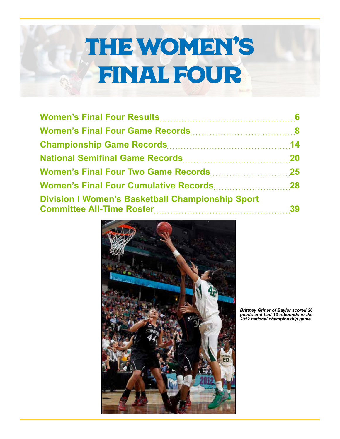# THE WOMEN'S FINAL FOUR

| <b>Division I Women's Basketball Championship Sport</b> |  |
|---------------------------------------------------------|--|



*Brittney Griner of Baylor scored 26 points and had 13 rebounds in the 2012 national championship game.*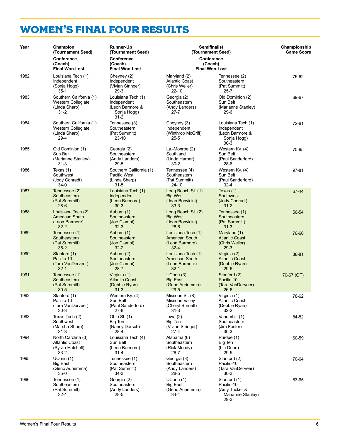# <span id="page-1-0"></span>WOMEN'S FINAL FOUR RESULTS

| Year | Champion<br>(Tournament Seed)                                                | <b>Runner-Up</b><br>(Tournament Seed)                                       | <b>Semifinalist</b><br>(Tournament Seed)                                  | Championship<br><b>Game Score</b>                                             |            |
|------|------------------------------------------------------------------------------|-----------------------------------------------------------------------------|---------------------------------------------------------------------------|-------------------------------------------------------------------------------|------------|
|      | Conference<br>(Coach)<br><b>Final Won-Lost</b>                               | Conference<br>(Coach)<br><b>Final Won-Lost</b>                              |                                                                           | Conference<br>(Coach)<br><b>Final Won-Lost</b>                                |            |
| 1982 | Louisiana Tech (1)<br>Independent<br>(Sonja Hogg)<br>$35-1$                  | Cheyney (2)<br>Independent<br>(Vivian Stringer)<br>$29-3$                   | Maryland (2)<br><b>Atlantic Coast</b><br>(Chris Weller)<br>22-10          | Tennessee (2)<br>Southeastern<br>(Pat Summitt)<br>$25 - 7$                    | 76-62      |
| 1983 | Southern California (1)<br>Western Collegiate<br>(Linda Sharp)<br>$31 - 2$   | Louisiana Tech (1)<br>Independent<br>(Leon Barmore &<br>Sonja Hogg)<br>31-2 | Georgia (2)<br>Southeastern<br>(Andy Landers)<br>$27 - 7$                 | Old Dominion (2)<br>Sun Belt<br>(Marianne Stanley)<br>$29-6$                  | 69-67      |
| 1984 | Southern California (1)<br>Western Collegiate<br>(Linda Sharp)<br>$29-4$     | Tennessee (3)<br>Southeastern<br>(Pat Summitt)<br>23-10                     | Cheyney (3)<br>Independent<br>(Winthrop McGriff)<br>$25 - 5$              | Louisiana Tech (1)<br>Independent<br>(Leon Barmore &<br>Sonja Hogg)<br>$30-3$ | 72-61      |
| 1985 | Old Dominion (1)<br>Sun Belt<br>(Marianne Stanley)<br>$31 - 3$               | Georgia (2)<br>Southeastern<br>(Andy Landers)<br>$29 - 5$                   | La.-Monroe (2)<br>Southland<br>(Linda Harper)<br>$30 - 2$                 | Western Ky. (4)<br>Sun Belt<br>(Paul Sanderford)<br>28-6                      | 70-65      |
| 1986 | Texas (1)<br>Southwest<br>(Jody Conradt)<br>$34-0$                           | Southern California (1)<br>Pacific West<br>(Linda Sharp)<br>$31 - 5$        | Tennessee (4)<br>Southeastern<br>(Pat Summitt)<br>$24 - 10$               | Western Ky. (4)<br>Sun Belt<br>(Paul Sanderford)<br>$32 - 4$                  | $97 - 81$  |
| 1987 | Tennessee (2)<br>Southeastern<br>(Pat Summitt)<br>$28-6$                     | Louisiana Tech (1)<br>Independent<br>(Leon Barmore)<br>$30-3$               | Long Beach St. (1)<br><b>Big West</b><br>(Joan Bonvicini)<br>$33 - 3$     | Texas $(1)$<br>Southwest<br>(Jody Conradt)<br>$31 - 2$                        | 67-44      |
| 1988 | Louisiana Tech (2)<br><b>American South</b><br>(Leon Barmore)<br>$32 - 2$    | Auburn (1)<br>Southeastern<br>(Joe Ciampi)<br>$32 - 3$                      | Long Beach St. (2)<br><b>Big West</b><br>(Joan Bonvicini)<br>$28-6$       | Tennessee (1)<br>Southeastern<br>(Pat Summitt)<br>$31 - 3$                    | 56-54      |
| 1989 | Tennessee (1)<br>Southeastern<br>(Pat Summitt)<br>$35 - 2$                   | Auburn (1)<br>Southeastern<br>(Joe Ciampi)<br>$32 - 2$                      | Louisiana Tech (1)<br><b>American South</b><br>(Leon Barmore)<br>$32 - 4$ | Maryland (1)<br><b>Atlantic Coast</b><br>(Chris Weller)<br>$29-3$             | 76-60      |
| 1990 | Stanford (1)<br>Pacific-10<br>(Tara VanDerveer)<br>$32 - 1$                  | Auburn (2)<br>Southeastern<br>(Joe Ciampi)<br>$28 - 7$                      | Louisiana Tech (1)<br><b>American South</b><br>(Leon Barmore)<br>$32 - 1$ | Virginia (2)<br><b>Atlantic Coast</b><br>(Debbie Ryan)<br>$29-6$              | 88-81      |
| 1991 | Tennessee (1)<br>Southeastern<br>(Pat Summitt)<br>$30 - 5$                   | Virginia (1)<br><b>Atlantic Coast</b><br>(Debbie Ryan)<br>$31 - 3$          | UConn(3)<br><b>Big East</b><br>(Geno Auriemma)<br>$29 - 5$                | Stanford (2)<br>Pacific-10<br>(Tara VanDerveer)<br>$26-6$                     | 70-67 (OT) |
| 1992 | Stanford (1)<br>Pacific-10<br>(Tara VanDerveer)<br>$30-3$                    | Western Ky. (4)<br>Sun Belt<br>(Paul Sanderford)<br>27-8                    | Missouri St. (8)<br>Missouri Valley<br>(Cheryl Burnett)<br>$31 - 3$       | Virginia (1)<br><b>Atlantic Coast</b><br>(Debbie Ryan)<br>32-2                | 78-62      |
| 1993 | Texas Tech (2)<br>Southwest<br>(Marsha Sharp)<br>$31 - 3$                    | Ohio St. (1)<br>Big Ten<br>(Nancy Darsch)<br>28-4                           | lowa $(2)$<br>Big Ten<br>(Vivian Stringer)<br>27-4                        | Vanderbilt (1)<br>Southeastern<br>(Jim Foster)<br>$30-3$                      | 84-82      |
| 1994 | North Carolina (3)<br><b>Atlantic Coast</b><br>(Sylvia Hatchell)<br>$33 - 2$ | Louisiana Tech (4)<br>Sun Belt<br>(Leon Barmore)<br>31-4                    | Alabama (6)<br>Southeastern<br>(Rick Moody)<br>26-7                       | Purdue (1)<br>Big Ten<br>(Lin Dunn)<br>$29 - 5$                               | 60-59      |
| 1995 | UConn (1)<br><b>Big East</b><br>(Geno Auriemma)<br>$35-0$                    | Tennessee (1)<br>Southeastern<br>(Pat Summitt)<br>34-3                      | Georgia (3)<br>Southeastern<br>(Andy Landers)<br>28-5                     | Stanford (2)<br>Pacific-10<br>(Tara VanDerveer)<br>$30-3$                     | 70-64      |
| 1996 | Tennessee (1)<br>Southeastern<br>(Pat Summitt)<br>$32 - 4$                   | Georgia (2)<br>Southeastern<br>(Andy Landers)<br>28-5                       | UConn(1)<br><b>Big East</b><br>(Geno Auriemma)<br>$34 - 4$                | Stanford (1)<br>Pacific-10<br>(Amy Tucker &<br>Marianne Stanley)<br>$29-3$    | 83-65      |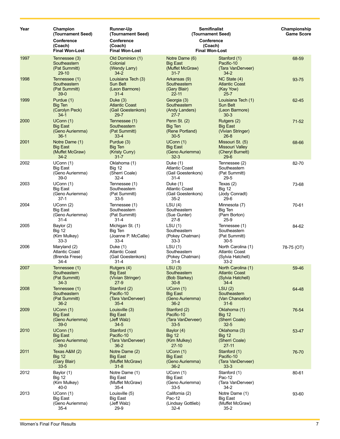| Year | Champion<br>(Tournament Seed)<br><b>Conference</b><br>(Coach)    | <b>Runner-Up</b><br>(Tournament Seed)<br>Conference<br>(Coach)        | <b>Semifinalist</b><br>(Tournament Seed)<br><b>Conference</b><br>(Coach) |                                                                              | Championship<br><b>Game Score</b> |
|------|------------------------------------------------------------------|-----------------------------------------------------------------------|--------------------------------------------------------------------------|------------------------------------------------------------------------------|-----------------------------------|
|      | <b>Final Won-Lost</b>                                            | <b>Final Won-Lost</b>                                                 |                                                                          | <b>Final Won-Lost</b>                                                        |                                   |
| 1997 | Tennessee (3)<br>Southeastern<br>(Pat Summitt)<br>$29-10$        | Old Dominion (1)<br>Colonial<br>(Wendy Larry)<br>$34 - 2$             | Notre Dame (6)<br><b>Big East</b><br>(Muffet McGraw)<br>$31 - 7$         | Stanford (1)<br>Pacific-10<br>(Tara VanDerveer)<br>$34 - 2$                  | 68-59                             |
| 1998 | Tennessee (1)<br>Southeastern<br>(Pat Summitt)<br>$39-0$         | Louisiana Tech (3)<br>Sun Belt<br>(Leon Barmore)<br>$31 - 4$          | Arkansas (9)<br>Southeastern<br>(Gary Blair)<br>$22 - 11$                | NC State (4)<br><b>Atlantic Coast</b><br>(Kay Yow)<br>$25 - 7$               | $93 - 75$                         |
| 1999 | Purdue (1)<br><b>Big Ten</b><br>(Carolyn Peck)<br>$34-1$         | Duke $(3)$<br><b>Atlantic Coast</b><br>(Gail Goestenkors)<br>$29 - 7$ | Georgia (3)<br>Southeastern<br>(Andy Landers)<br>$27 - 7$                | Louisiana Tech (1)<br>Sun Belt<br>(Leon Barmore)<br>$30-3$                   | 62-45                             |
| 2000 | UConn(1)<br><b>Big East</b><br>(Geno Auriemma)<br>$36-1$         | Tennessee (1)<br>Southeastern<br>(Pat Summitt)<br>$33 - 4$            | Penn St. (2)<br><b>Big Ten</b><br>(Rene Portland)<br>$30-5$              | Rutgers (2)<br><b>Big East</b><br>(Vivian Stringer)<br>$26 - 8$              | $71 - 52$                         |
| 2001 | Notre Dame (1)<br><b>Big East</b><br>(Muffet McGraw)<br>$34 - 2$ | Purdue (3)<br>Big Ten<br>(Kristy Curry)<br>$31 - 7$                   | UConn(1)<br><b>Big East</b><br>(Geno Auriemma)<br>$32 - 3$               | Missouri St. (5)<br><b>Missouri Valley</b><br>(Cheryl Burnett)<br>$29-6$     | 68-66                             |
| 2002 | UConn (1)<br><b>Big East</b><br>(Geno Auriemma)<br>$39-0$        | Oklahoma (1)<br><b>Big 12</b><br>(Sherri Coale)<br>$32 - 4$           | Duke (1)<br><b>Atlantic Coast</b><br>(Gail Goestenkors)<br>$31 - 4$      | Tennessee (2)<br>Southeastern<br>(Pat Summitt)<br>$29 - 5$                   | 82-70                             |
| 2003 | UConn (1)<br><b>Big East</b><br>(Geno Auriemma)<br>$37-1$        | Tennessee (1)<br>Southeastern<br>(Pat Summitt)<br>$33 - 5$            | Duke (1)<br><b>Atlantic Coast</b><br>(Gail Goestenkors)<br>$35 - 2$      | Texas $(2)$<br><b>Big 12</b><br>(Jody Conradt)<br>$29-6$                     | 73-68                             |
| 2004 | UConn (2)<br><b>Big East</b><br>(Geno Auriemma)<br>$31 - 4$      | Tennessee (1)<br>Southeastern<br>(Pat Summitt)<br>$31 - 4$            | LSU(4)<br>Southeastern<br>(Sue Gunter)<br>27-8                           | Minnesota (7)<br>Big Ten<br>(Pam Borton)<br>$25-9$                           | 70-61                             |
| 2005 | Baylor (2)<br><b>Big 12</b><br>(Kim Mulkey)<br>$33-3$            | Michigan St. (1)<br>Big Ten<br>(Joanne P. McCallie)<br>$33 - 4$       | LSU(1)<br>Southeastern<br>(Pokey Chatman)<br>$33 - 3$                    | Tennessee (1)<br>Southeastern<br>(Pat Summitt)<br>$30 - 5$                   | 84-62                             |
| 2006 | Maryland (2)<br><b>Atlantic Coast</b><br>(Brenda Frese)<br>34-4  | Duke (1)<br><b>Atlantic Coast</b><br>(Gail Goestenkors)<br>$31 - 4$   | LSU(1)<br>Southeastern<br>(Pokey Chatman)<br>31-4                        | North Carolina (1)<br><b>Atlantic Coast</b><br>(Sylvia Hatchell)<br>$33 - 2$ | 78-75 (OT)                        |
| 2007 | Tennessee (1)<br>Southeastern<br>(Pat Summitt)<br>$34-3$         | Rutgers (4)<br><b>Big East</b><br>(Vivian Stringer)<br>$27-9$         | LSU(3)<br>Southeastern<br>(Bob Starkey)<br>$30 - 8$                      | North Carolina (1)<br><b>Atlantic Coast</b><br>(Sylvia Hatchell)<br>$34 - 4$ | 59-46                             |
| 2008 | Tennessee (1)<br>Southeastern<br>(Pat Summitt)<br>$36-2$         | Stanford (2)<br>Pacific-10<br>(Tara VanDerveer)<br>$35 - 4$           | UConn(1)<br><b>Big East</b><br>(Geno Auriemma)<br>$36-2$                 | LSU(2)<br>Southeastern<br>(Van Chancellor)<br>$31-6$                         | 64-48                             |
| 2009 | UConn (1)<br><b>Big East</b><br>(Geno Auriemma)<br>$39-0$        | Louisville (3)<br><b>Big East</b><br>(Jeff Walz)<br>$34 - 5$          | Stanford (2)<br>Pacific-10<br>(Tara VanDerveer)<br>$33 - 5$              | Oklahoma (1)<br><b>Big 12</b><br>(Sherri Coale)<br>$32 - 5$                  | $76 - 54$                         |
| 2010 | UConn(1)<br><b>Big East</b><br>(Geno Auriemma)<br>$39-0$         | Stanford (1)<br>Pacific-10<br>(Tara VanDerveer)<br>$36 - 2$           | Baylor (4)<br><b>Big 12</b><br>(Kim Mulkey)<br>27-10                     | Oklahoma (3)<br><b>Big 12</b><br>(Sherri Coale)<br>$27-11$                   | 53-47                             |
| 2011 | Texas A&M (2)<br><b>Big 12</b><br>(Gary Blair)<br>$33 - 5$       | Notre Dame (2)<br><b>Big East</b><br>(Muffet McGraw)<br>$31 - 8$      | UConn(1)<br><b>Big East</b><br>(Geno Auriemma)<br>$36-2$                 | Stanford (1)<br>Pacific-10<br>(Tara VanDerveer)<br>$33 - 3$                  | 76-70                             |
| 2012 | Baylor (1)<br><b>Big 12</b><br>(Kim Mulkey)<br>40-0              | Notre Dame (1)<br>Big East<br>(Muffet McGraw)<br>$35 - 4$             | UConn (1)<br>Big East<br>(Geno Auriemma)<br>$33 - 5$                     | Stanford (1)<br>Pac-12<br>(Tara VanDerveer)<br>34-2                          | 80-61                             |
| 2013 | UConn(1)<br>Big East<br>(Geno Auriemma)<br>$35 - 4$              | Louisville (5)<br><b>Big East</b><br>(Jeff Walz)<br>29-9              | California (2)<br>Pac-12<br>(Lindsay Gottlieb)<br>32-4                   | Notre Dame (1)<br><b>Big East</b><br>(Muffet McGraw)<br>$35 - 2$             | 93-60                             |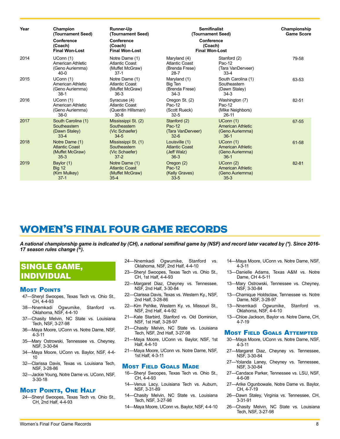<span id="page-3-0"></span>

| Year | Champion<br>(Tournament Seed)<br>Conference<br>(Coach)<br><b>Final Won-Lost</b> | <b>Runner-Up</b><br>(Tournament Seed)<br>Conference<br>(Coach)<br><b>Final Won-Lost</b> | <b>Semifinalist</b><br>(Tournament Seed)<br>Conference<br>(Coach)<br><b>Final Won-Lost</b> |                                                                   | Championship<br><b>Game Score</b> |
|------|---------------------------------------------------------------------------------|-----------------------------------------------------------------------------------------|--------------------------------------------------------------------------------------------|-------------------------------------------------------------------|-----------------------------------|
| 2014 | UConn(1)<br>American Athletic<br>(Geno Auriemma)<br>$40 - 0$                    | Notre Dame (1)<br><b>Atlantic Coast</b><br>(Muffet McGraw)<br>$37-1$                    | Maryland (4)<br><b>Atlantic Coast</b><br>(Brenda Frese)<br>$28 - 7$                        | Stanford (2)<br>Pac-12<br>(Tara VanDerveer)<br>$33 - 4$           | 79-58                             |
| 2015 | UConn(1)<br>American Athletic<br>(Geno Auriemma)<br>$38-1$                      | Notre Dame (1)<br>Atlantic Coast<br>(Muffet McGraw)<br>$36-3$                           | Maryland (1)<br>Big Ten<br>(Brenda Frese)<br>34-3                                          | South Carolina (1)<br>Southeastern<br>(Dawn Staley)<br>$34-3$     | 63-53                             |
| 2016 | UConn(1)<br>American Athletic<br>(Geno Auriemma)<br>$38-0$                      | Syracuse (4)<br>Atlantic Coast<br>(Quentin Hillsman)<br>$30 - 8$                        | Oregon St. (2)<br>Pac-12<br>(Scott Rueck)<br>$32 - 5$                                      | Washington (7)<br>Pac-12<br>(Mike Neighbors)<br>$26 - 11$         | 82-51                             |
| 2017 | South Carolina (1)<br>Southeastern<br>(Dawn Staley)<br>$33 - 4$                 | Mississippi St. (2)<br>Southeastern<br>(Vic Schaefer)<br>$34 - 5$                       | Stanford (2)<br>Pac-12<br>(Tara VanDerveer)<br>$32 - 6$                                    | UConn(1)<br><b>American Athletic</b><br>(Geno Auriemma)<br>$36-1$ | 67-55                             |
| 2018 | Notre Dame (1)<br><b>Atlantic Coast</b><br>(Muffet McGraw)<br>$35 - 3$          | Mississippi St. (1)<br>Southeastern<br>(Vic Schaefer)<br>$37 - 2$                       | Louisville (1)<br><b>Atlantic Coast</b><br>(Jeff Walz)<br>$36-3$                           | UConn(1)<br>American Athletic<br>(Geno Auriemma)<br>$36-1$        | 61-58                             |
| 2019 | Baylor (1)<br><b>Big 12</b><br>(Kim Mulkey)<br>$37-1$                           | Notre Dame (1)<br><b>Atlantic Coast</b><br>(Muffet McGraw)<br>$35 - 4$                  | Oregon (2)<br>Pac-12<br>(Kelly Graves)<br>$33 - 5$                                         | UConn(2)<br>American Athletic<br>(Geno Auriemma)<br>$35 - 3$      | 82-81                             |

# WOMEN'S FINAL FOUR GAME RECORDS

*A national championship game is indicated by (CH), a national semifinal game by (NSF) and record later vacated by (\*). Since 2016- 17 season rules change (^).* 

### SINGLE GAME, INDIVIDUAL

#### **MOST POINTS**

- 47—Sheryl Swoopes, Texas Tech vs. Ohio St., CH, 4-4-93
- 38—Nnemkadi Ogwumike, Stanford vs. Oklahoma, NSF, 4-4-10
- 37—Chasity Melvin, NC State vs. Louisiana Tech, NSF, 3-27-98
- 36—Maya Moore, UConn vs. Notre Dame, NSF, 4-3-11
- 35—Mary Ostrowski, Tennessee vs. Cheyney, NSF, 3-30-84
- 34—Maya Moore, UConn vs. Baylor, NSF, 4-4- 10
- 32—Clarissa Davis, Texas vs. Louisiana Tech, NSF, 3-28-86
- 32—Jackie Young, Notre Dame vs. UConn, NSF, 3-30-18

### Most Points, One Half

24—Sheryl Swoopes, Texas Tech vs. Ohio St., CH, 2nd Half, 4-4-93

- 24—Nnemkadi Ogwumike, Stanford vs. Oklahoma, NSF, 2nd Half, 4-4-10
- 23—Sheryl Swoopes, Texas Tech vs. Ohio St., CH, 1st Half, 4-4-93
- 22—Margaret Diaz, Cheyney vs. Tennessee, NSF, 2nd Half, 3-30-84
- 22—Clarissa Davis, Texas vs. Western Ky., NSF, 2nd Half, 3-28-86
- 22—Kim Pehlke, Western Ky. vs. Missouri St., NSF, 2nd Half, 4-4-92
- 21—Kate Starbird, Stanford vs. Old Dominion, NSF, 1st Half, 3-28-97
- 21—Chasity Melvin, NC State vs. Louisiana Tech, NSF, 2nd Half, 3-27-98
- 21—Maya Moore, UConn vs. Baylor, NSF, 1st Half, 4-4-10
- 21—Maya Moore, UConn vs. Notre Dame, NSF, 1st Half, 4-3-11

#### Most Field Goals Made

- 16—Sheryl Swoopes, Texas Tech vs. Ohio St., CH, 4-4-93
- 14—Venus Lacy, Louisiana Tech vs. Auburn, NSF, 3-31-89
- 14—Chasity Melvin, NC State vs. Louisiana Tech, NSF, 3-27-98
- 14—Maya Moore, UConn vs. Baylor, NSF, 4-4-10
- 14—Maya Moore, UConn vs. Notre Dame, NSF, 4-3-11
- 13—Danielle Adams, Texas A&M vs. Notre Dame, CH 4-5-11
- 13—Mary Ostrowski, Tennessee vs. Cheyney, NSF, 3-30-84
- 13—Chamique Holdsclaw, Tennessee vs. Notre Dame, NSF, 3-28-97
- 13—Nnemkadi Ogwumike, Stanford vs. Oklahoma, NSF, 4-4-10
- 13—Chloe Jackson, Baylor vs. Notre Dame, CH, 4-7-19

#### **MOST FIELD GOALS ATTEMPTED**

- 30—Maya Moore, UConn vs. Notre Dame, NSF, 4-3-11
- 27—Margaret Diaz, Cheyney vs. Tennessee, NSF, 3-30-84
- 27—Yolanda Laney, Cheyney vs. Tennessee, NSF, 3-30-84
- 27—Candace Parker, Tennessee vs. LSU, NSF, 4-6-08
- 27—Arike Ogunbowale, Notre Dame vs. Baylor, CH, 4-7-19
- 26—Dawn Staley, Virginia vs. Tennessee, CH, 3-31-91
- 26—Chasity Melvin, NC State vs. Louisiana Tech, NSF, 3-27-98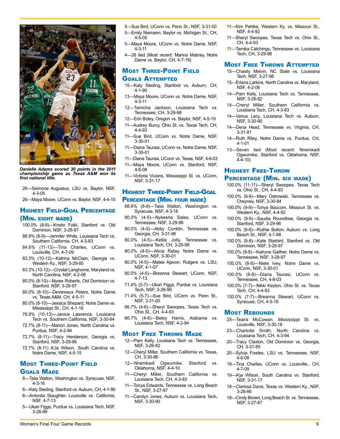

*Danielle Adams scored 30 points in the 2011 championship game as Texas A&M won its first national title.*

- 26—Seimone Augustus, LSU vs. Baylor, NSF, 4-3-05
- 26—Maya Moore, UConn vs. Baylor, NSF, 4-4-10

#### Highest Field-Goal Percentage (Min. eight made)

- 100.0% (8-8)—Kristin Folkl, Stanford vs. Old Dominion, NSF, 3-28-97
- 88.9% (8-9)—Jennifer White, Louisiana Tech vs. Southern California, CH, 4-3-83
- 84.6% (11-13)—Tina Charles, UConn vs. Louisville, CH, 4-7-09
- 83.3% (10-12)—Katrina McClain, Georgia vs. Western Ky., NSF, 3-29-85
- 83.3% (10-12)—Crystal Langhorne, Maryland vs. North Carolina, NSF, 4-2-06
- 80.0% (8-10)—Nyree Roberts, Old Dominion vs. Stanford, NSF, 3-28-97
- 80.0% (8-10)—Devereaux Peters, Notre Dame vs. Texas A&M, CH, 4-5-11
- 80.0% (8-10)—Jessica Shepard, Notre Dame vs. Mississippi St., CH, 4-1-18
- 76.9% (10-13)—Janice Lawrence, Louisiana Tech vs. Southern California, NSF, 3-30-84
- 72.7% (8-11)—Marion Jones, North Carolina vs. Purdue, NSF, 4-2-94
- 72.7% (8-11)—Tracy Henderson, Georgia vs. Stanford, NSF, 3-29-96
- 72.7% (8-11) A'Ja Wilson, South Carolina vs. Notre Dame, NSF, 4-5-15

#### Most Three-Point Field Goals Made

- 8—Talia Walton, Washington vs. Syracuse, NSF, 4-3-16
- 6—Katy Steding, Stanford vs. Auburn, CH, 4-1-90
- 6—Antonita Slaughter, Louisville vs. California, NSF, 4-7-13
- 5—Ukari Figgs, Purdue vs. Louisiana Tech, NSF, 3-26-99
- 5—Sue Bird, UConn vs. Penn St., NSF, 3-31-00 5—Emily Niemann, Baylor vs. Michigan St., CH,
- 4-5-05 5—Maya Moore, UConn vs. Notre Dame, NSF,
- 4-3-11
- 4—26 tied (Most recent: Marina Mabrey, Notre Dame vs. Baylor, CH, 4-7-19)

#### Most Three-Point Field Goals Attempted

- 15—Katy Steding, Stanford vs. Auburn, CH, 4-1-90
- 13—Maya Moore, UConn vs. Notre Dame, NSF, 4-3-11
- 12—Tamicha Jackson, Louisiana Tech vs. Tennessee, CH, 3-29-98
- 12—Erin Boley, Oregon vs. Baylor, NSF, 4-5-19
- 11—Audrey Burcy, Ohio St. vs. Texas Tech, CH, 4-4-93
- 11—Sue Bird, UConn vs. Notre Dame, NSF, 3-30-01
- 11—Diana Taurasi, UConn vs. Notre Dame, NSF, 3-30-01
- 11—Diana Taurasi, UConn vs. Texas, NSF, 4-6-03 11—Maya Moore, UConn vs. Stanford, NSF,
- 4-6-08
- 11—Victoria Vivians, Mississippi St. vs. UConn, NSF, 3-31-17

### Highest Three-Point Field-Goal

#### Percentage (Min. four made)

- 88.8% (8-9)—Talia Walton, Washington vs. Syracuse, NSF, 4-3-16
- 80.0% (4-5)—Nykesha Sales, UConn vs. Tennessee, NSF, 3-29-96
- 80.0% (4-5)—Abby Conklin, Tennessee vs. Georgia, CH, 3-31-96
- 80.0% (4-5)—Kellie Jolly, Tennessee vs. Louisiana Tech, CH, 3-29-98
- 80.0% (4-5)—Alicia Ratay, Notre Dame vs. UConn, NSF, 3-30-01
- 80.0% (4-5)—Matee Ajavon, Rutgers vs. LSU, NSF, 4-1-07
- 80.0% (4-5)—Breanna Stewart, UConn, NSF, 4-7-13
- 71.4% (5-7)—Ukari Figgs, Purdue vs. Louisiana Tech, NSF, 3-26-99
- 71.4% (5-7)—Sue Bird, UConn vs. Penn St., NSF, 3-31-00
- 66.7% (4-6)—Sheryl Swoopes, Texas Tech vs. Ohio St., CH, 4-4-93
- 66.7% (4-6)—Betsy Harris, Alabama vs. Louisiana Tech, NSF, 4-2-94

#### Most Free Throws Made

- 12—Pam Kelly, Louisiana Tech vs. Tennessee, NSF, 3-26-82
- 12—Cheryl Miller, Southern California vs. Texas, CH, 3-30-86
- 12—Nnemkadi Ogwumike, Stanford vs. Oklahoma, NSF, 4-4-10
- 11—Cheryl Miller, Southern California vs. Louisiana Tech, CH, 4-3-83
- 11—Tonya Edwards, Tennessee vs. Long Beach St., NSF, 3-27-87
- -Carolyn Jones, Auburn vs. Louisiana Tech, NSF, 3-30-90
- 11—Kim Pehlke, Western Ky. vs. Missouri St., NSF, 4-4-92
- 11—Sheryl Swoopes, Texas Tech vs. Ohio St., CH, 4-4-93
- 11—Tamika Catchings, Tennessee vs. Louisiana Tech, CH, 3-29-98

#### Most Free Throws Attempted

- 15—Chasity Melvin, NC State vs. Louisiana Tech, NSF, 3-27-98
- 15—Erlana Larkins, North Carolina vs. Maryland, NSF, 4-2-06
- 14—Pam Kelly, Louisiana Tech vs. Tennessee, NSF, 3-26-82
- 14—Cheryl Miller, Southern California vs. Louisiana Tech, CH, 4-3-83
- 14—Venus Lacy, Louisiana Tech vs. Auburn, NSF, 3-30-90
- 14—Dena Head, Tennessee vs. Virginia, CH, 3-31-91
- 14—Ruth Riley, Notre Dame vs. Purdue, CH, 4-1-01
- 13—Seven tied (Most recent: Nnemkadi Ogwumike, Stanford vs. Oklahoma, NSF,  $4 - 4 - 10$

### Highest Free-Throw Percentage (Min. six made)

- 100.0% (11-11)—Sheryl Swoopes, Texas Tech vs. Ohio St., CH, 4-4-93
- 100.0% (9-9)—Mary Ostrowski, Tennessee vs. Cheyney, NSF, 3-30-84
- 100.0% (9-9)—Tonya Baucom, Missouri St. vs. Western Ky., NSF, 4-4-92
- 100.0% (9-9)—Saudia Roundtree, Georgia vs. Stanford, NSF, 3-29-96
- 100.0% (8-8)—Ruthie Bolton, Auburn vs. Long Beach St., NSF, 4-1-88
- 100.0% (8-8)—Kate Starbird, Stanford vs. Old Dominion, NSF, 3-28-97
- 100.0% (8-8)—Katryna Gaither, Notre Dame vs. Tennessee, NSF, 3-28-97
- 100.0% (8-8)—Niele Ivey, Notre Dame vs. UConn, NSF, 3-30-01
- 100.0% (8-8)—Diana Taurasi, UConn vs. Tennessee, CH, 4-8-03
- 100.0% (7-7)—Nikki Keyton, Ohio St. vs. Texas Tech, CH, 4-4-93
- 100.0% (7-7)—Breanna Stewart, UConn vs. Syracuse, CH, 4-5-16

#### **MOST REBOUNDS**

- 25—Teaira McCowan, Mississippi St. vs. Louisville, NSF, 3-30-18
- 23—Charlotte Smith, North Carolina vs. Louisiana Tech, CH, 4-3-94
- 20—Tracy Claxton, Old Dominion vs. Georgia, CH, 3-31-85
- 20—Sylvia Fowles, LSU vs. Tennessee, NSF, 4-6-08
- 19—Tina Charles, UConn vs. Louisville., CH, 4-7-09
- 19—A'ja Wilson, South Carolina vs. Stanford, NSF, 3-31-17
- 18—Clarissa Davis, Texas vs. Western Ky., NSF, 3-28-86
- 18—Cindy Brown, Long Beach St. vs. Tennessee, NSF, 3-27-87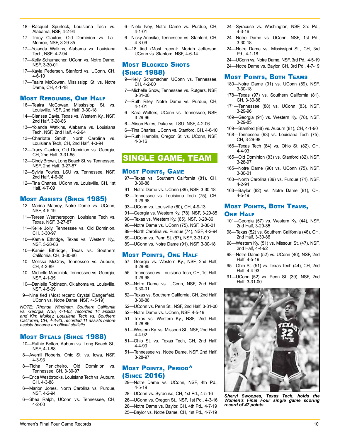- 18—Racquel Spurlock, Louisiana Tech vs. Alabama, NSF, 4-2-94
- 17—Tracy Claxton, Old Dominion vs. La.- Monroe, NSF, 3-29-85
- 17—Yolanda Watkins, Alabama vs. Louisiana Tech, NSF, 4-2-94
- 17—Kelly Schumacher, UConn vs. Notre Dame, NSF, 3-30-01
- 17—Kayla Pedersen, Stanford vs. UConn, CH, 4-6-10
- 17—Teaira McCowan, Mississippi St. vs. Notre Dame, CH, 4-1-18

#### Most Rebounds, One Half

- 16—Teaira McCowan, Mississippi St. vs. Louisville, NSF, 2nd Half, 3-30-18
- 14—Clarissa Davis, Texas vs. Western Ky., NSF, 2nd Half, 3-28-86
- 13—Yolanda Watkins, Alabama vs. Louisiana Tech, NSF, 2nd Half, 4-2-94
- 13—Charlotte Smith, North Carolina vs. Louisiana Tech, CH, 2nd Half, 4-3-94
- 12—Tracy Claxton, Old Dominion vs. Georgia, CH, 2nd Half, 3-31-85
- 12—Cindy Brown, Long Beach St. vs. Tennessee, NSF, 2nd Half, 3-27-87
- 12—Sylvia Fowles, LSU vs. Tennessee, NSF, 2nd Half, 4-6-08
- 12—Tina Charles, UConn vs. Louisville, CH, 1st Half, 4-7-09

#### Most Assists (Since 1985)

- 12—Marina Mabrey, Notre Dame vs. UConn, NSF, 4-5-19
- 11—Teresa Weatherspoon, Louisiana Tech vs. Texas, NSF, 3-27-87
- 11—Kellie Jolly, Tennessee vs. Old Dominion, CH, 3-30-97
- 10—Kamie Ethridge, Texas vs. Western Ky., NSF, 3-28-86
- 10—Kamie Ethridge, Texas vs. Southern California, CH, 3-30-86
- 10—Melissa McCray, Tennessee vs. Auburn, CH, 4-2-89
- 10—Michelle Marciniak, Tennessee vs. Georgia, NSF, 4-1-95
- 10—Danielle Robinson, Oklahoma vs. Louisville, NSF, 4-5-09
- 9—Nine tied (Most recent: Crystal Dangerfield, UConn vs. Notre Dame, NSF, 4-5-19)

*NOTE: Rhonda Windham, Southern California vs. Georgia, NSF, 4-1-83, recorded 14 assists and Kim Mulkey, Louisiana Tech vs. Southern California, CH, 4-3-83, recorded 11 assists before assists became an official statistic.*

#### Most Steals (Since 1988)

- 10—Ruthie Bolton, Auburn vs. Long Beach St., NSF, 4-1-88
- 8—Averrill Roberts, Ohio St. vs. Iowa, NSF, 4-3-93
- 8—Ticha Penicheiro, Old Dominion vs. Tennessee, CH, 3-30-97
- 6—Erica Westbrooks, Louisiana Tech vs. Auburn, CH, 4-3-88
- 6—Marion Jones, North Carolina vs. Purdue, NSF, 4-2-94
- 6—Shea Ralph, UConn vs. Tennessee, CH, 4-2-00
- 6—Niele Ivey, Notre Dame vs. Purdue, CH, 4-1-01
- 6—Nicky Anosike, Tennessee vs. Stanford, CH, 4-8-09
- 5—18 tied (Most recent: Moriah Jefferson, UConn vs. Stanford, NSF, 4-6-14

### **MOST BLOCKED SHOTS** (Since 1988)

- 9—Kelly Schumacher, UConn vs. Tennessee, CH, 4-2-00
- 7—Michelle Snow, Tennessee vs. Rutgers, NSF, 3-31-00
- 7—Ruth Riley, Notre Dame vs. Purdue, CH, 4-1-01
- 6—Kara Wolters, UConn vs. Tennessee, NSF, 3-29-96
- 6—Alison Bales, Duke vs. LSU, NSF, 4-2-06
- 6—Tina Charles, UConn vs. Stanford, CH, 4-6-10
- 6—Ruth Hamblin, Oregon St. vs. UConn, NSF, 4-3-16

### SINGLE GAME, TEAM

#### **Most Points, GAME**

- 97—Texas vs. Southern California (81), CH, 3-30-86
- 91—Notre Dame vs. UConn (89), NSF, 3-30-18 93—Tennessee vs. Louisiana Tech (75), CH, 3-29-98
- 93—UConn vs. Louisville (60), CH, 4-9-13
- 91—Georgia vs. Western Ky. (78), NSF, 3-29-85
- 90—Texas vs. Western Ky. (65), NSF, 3-28-86
- 90—Notre Dame vs. UConn (75), NSF, 3-30-01
- 89—North Carolina vs. Purdue (74), NSF, 4-2-94
- 89—UConn vs. Penn St. (67), NSF, 3-31-00
- 89—UConn vs. Notre Dame (91), NSF, 3-30-18

#### Most Points, One Half

- 57—Georgia vs. Western Ky., NSF, 2nd Half, 3-29-85
- 55—Tennessee vs. Louisiana Tech, CH, 1st Half, 3-29-98
- 53—Notre Dame vs. UConn, NSF, 2nd Half, 3-30-01
- 52—Texas vs. Southern California, CH, 2nd Half, 3-30-86
- 52—UConn vs. Penn St., NSF, 2nd Half, 3-31-00
- 52—Notre Dame vs. UConn, NSF, 4-5-19
- 51—Texas vs. Western Ky., NSF, 2nd Half, 3-28-86
- 51—Western Ky. vs. Missouri St., NSF, 2nd Half, 4-4-92
- 51—Ohio St. vs. Texas Tech, CH, 2nd Half, 4-4-93
- 51—Tennessee vs. Notre Dame, NSF, 2nd Half, 3-28-97

#### Most Points, Period<sup>A</sup> (Since 2016)

- 29—Notre Dame vs. UConn, NSF, 4th Pd., 4-5-19
- 28—UConn vs. Syracuse, CH, 1st Pd., 4-5-16
- 26—UConn vs. Oregon St., NSF, 1st Pd., 4-3-16 26—Notre Dame vs. Baylor, CH, 4th Pd., 4-7-19 25—Baylor vs. Notre Dame, CH, 1st Pd., 4-7-19
- 24—Syracuse vs. Washington, NSF, 3rd Pd., 4-3-16
- 24—Notre Dame vs. UConn, NSF, 1st Pd., 3-30-18
- 24—Notre Dame vs. Mississippi St., CH, 3rd Pd., 4-1-18

24—UConn vs. Notre Dame, NSF, 3rd Pd., 4-5-19

24—Notre Dame vs. Baylor, CH, 3rd Pd., 4-7-19

#### Most Points, Both Teams

- 180—Notre Dame (91) vs. UConn (89), NSF, 3-30-18
- 178—Texas (97) vs. Southern California (81), CH, 3-30-86
- 171—Tennessee (88) vs. UConn (83), NSF, 3-29-96
- 169—Georgia (91) vs. Western Ky. (78), NSF, 3-29-85
- 169—Stanford (88) vs. Auburn (81), CH, 4-1-90
- 168—Tennessee (93) vs. Louisiana Tech (75), CH, 3-29-98
- 166—Texas Tech (84) vs. Ohio St. (82), CH, 4-4-93
- 165—Old Dominion (83) vs. Stanford (82), NSF, 3-28-97
- 165—Notre Dame (90) vs. UConn (75), NSF, 3-30-01
- 163—North Carolina (89) vs. Purdue (74), NSF, 4-2-94
- 163—Baylor (82) vs. Notre Dame (81), CH, 4-5-19

#### Most Points, Both Teams, **ONE HALF**

- 101—Georgia (57) vs. Western Ky. (44), NSF, 2nd Half, 3-29-85
- 98—Texas (52) vs. Southern California (46), CH, 2nd Half, 3-30-86
- 98—Western Ky. (51) vs. Missouri St. (47), NSF, 2nd Half, 4-4-92
- 98—Notre Dame (52) vs. UConn (46), NSF, 2nd Half, 4-5-19
- 95—Ohio St. (51) vs. Texas Tech (44), CH, 2nd Half, 4-4-93
- 91—UConn (52) vs. Penn St. (39), NSF, 2nd Half, 3-31-00



*Sheryl Swoopes, Texas Tech, holds the Women's Final Four single game scoring record of 47 points.*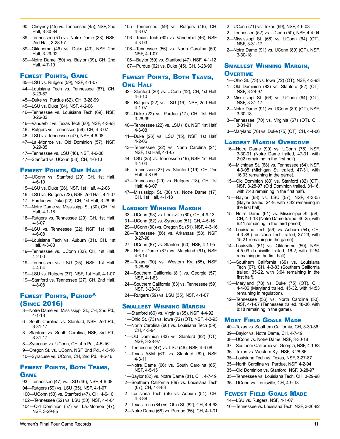- 90—Cheyney (45) vs. Tennessee (45), NSF, 2nd Half, 3-30-84
- 89—Tennessee (51) vs. Notre Dame (38), NSF, 2nd Half, 3-28-97
- 89—Oklahoma (46) vs. Duke (43), NSF, 2nd Half, 3-29-02
- 89—Notre Dame (50) vs. Baylor (39), CH, 2nd Half, 4-7-19

#### Fewest Points, Game

- 35—LSU vs. Rutgers (59), NSF, 4-1-07
- 44—Louisiana Tech vs. Tennessee (67), CH, 3-29-87
- 45—Duke vs. Purdue (62), CH, 3-28-99
- 45—LSU vs. Duke (64), NSF, 4-2-06
- 46—Tennessee vs. Louisiana Tech (69), NSF, 3-26-82
- 46—Vanderbilt vs. Texas Tech (60), NSF, 4-3-93
- 46—Rutgers vs. Tennessee (59), CH, 4-3-07
- 46—LSU vs. Tennessee (47), NSF, 4-6-08 47—La.-Monroe vs. Old Dominion (57), NSF, 3-29-85
- 47—Tennessee vs. LSU (46), NSF, 4-6-08
- 47—Stanford vs. UConn (53), CH, 4-6-10
- 

#### Fewest Points, One Half

- 12—UConn vs. Stanford (20), CH, 1st Half, 4-6-10
- 15—LSU vs. Duke (26), NSF, 1st Half, 4-2-06
- 16—LSU vs. Rutgers (22), NSF, 2nd Half, 4-1-07
- 17—Purdue vs. Duke (22), CH, 1st Half, 3-28-99
- 17—Notre Dame vs. Mississippi St. (30), CH, 1st Half, 4-1-18
- 18—Rutgers vs. Tennessee (29), CH, 1st Half, 4-3-07
- 18—LSU vs. Tennessee (22), NSF, 1st Half, 4-6-08
- 19—Louisiana Tech vs. Auburn (31), CH, 1st Half, 4-3-88
- 19—Tennessee vs. UConn (32), CH, 1st Half, 4-2-00
- 19—Tennessee vs. LSU (25), NSF, 1st Half, 4-4-04
- 19—LSU vs. Rutgers (37), NSF, 1st Half, 4-1-07
- 19—Stanford vs. Tennessee (27), CH, 2nd Half, 4-8-08

### FEWEST POINTS, PERIOD<sup>^</sup> (Since 2016)

- 3—Notre Dame vs. Mississippi St., CH, 2nd Pd., 4-1-18
- 6—South Carolina vs. Stanford, NSF, 2nd Pd., 3-31-17
- 8—Stanford vs. South Carolina, NSF, 3rd Pd., 3-31-17
- 8—Syracuse vs. UConn, CH, 4th Pd., 4-5-16
- 9—Oregon St. vs. UConn, NSF, 2nd Pd., 4-3-16 10—Syracuse vs. UConn, CH, 2nd Pd., 4-5-16

### Fewest Points, Both Teams, **GAME**

- 93—Tennessee (47) vs. LSU (46), NSF, 4-6-08 94—Rutgers (59) vs. LSU (35), NSF, 4-1-07
- 100—UConn (53) vs. Stanford (47), CH, 4-6-10
- 102—Tennessee (52) vs. LSU (50), NSF, 4-4-04
- 104—Old Dominion (57) vs. La.-Monroe (47), NSF, 3-29-85
- 105—Tennessee (59) vs. Rutgers (46), CH, 4-3-07
- 106—Texas Tech (60) vs. Vanderbilt (46), NSF, 4-3-93
- 106—Tennessee (56) vs. North Carolina (50), NSF, 4-1-07

106—Baylor (59) vs. Stanford (47), NSF, 4-1-12 107—Purdue (62) vs. Duke (45), CH, 3-28-99

### Fewest Points, Both Teams, **ONE HALF**

- 32—Stanford (20) vs. UConn (12), CH, 1st Half, 4-6-10
- 38—Rutgers (22) vs. LSU (16), NSF, 2nd Half, 4-1-07
- 39—Duke (22) vs. Purdue (17), CH, 1st Half, 3-28-99
- 40—Tennessee (22) vs. LSU (18), NSF, 1st Half, 4-6-08
- 41—Duke (26) vs. LSU (15), NSF, 1st Half, 4-2-06
- 43—Tennessee (22) vs. North Carolina (21), NSF, 1st Half, 4-1-07
- 44—LSU (25) vs. Tennessee (19), NSF, 1st Half, 4-4-04
- 46—Tennessee (27) vs. Stanford (19), CH, 2nd Half, 4-8-08
- 47—Tennessee (29) vs. Rutgers (18), CH, 1st Half, 4-3-07
- 47—Mississippi St. (30) vs. Notre Dame (17), CH, 1st Half, 4-1-18

#### Largest Winning Margin

- 33—UConn (93) vs. Louisville (60), CH, 4-9-13
- 31—UConn (82) vs. Syracuse (51), CH, 4-5-16
- 29—UConn (80) vs. Oregon St. (51), NSF, 4-3-16
- 28—Tennessee (86) vs. Arkansas (58), NSF, 3-27-98
- 27—UConn (87) vs. Stanford (60), NSF, 4-1-95
- 26—Notre Dame (87) vs. Maryland (61), NSF, 4-6-14
- 25—Texas (90) vs. Western Ky. (65), NSF, 3-28-86
- 24—Southern California (81) vs. Georgia (57), NSF, 4-1-83
- 24—Southern California (83) vs. Tennessee (59), NSF, 3-28-86
- 24—Rutgers (59) vs. LSU (35), NSF, 4-1-07

#### Smallest Winning Margin

- 1—Stanford (66) vs. Virginia (65), NSF, 4-4-92
- 1—Ohio St. (73) vs. Iowa (72) (OT), NSF, 4-3-93
- 1—North Carolina (60) vs. Louisiana Tech (59), CH, 4-3-94
- 1—Old Dominion (83) vs. Stanford (82) (OT), NSF, 3-28-97
- 1—Tennessee (47) vs. LSU (46), NSF, 4-6-08
- 1—Texas A&M (63) vs. Stanford (62), NSF, 4-3-11
- 1—Notre Dame (66) vs. South Carolina (65), NSF, 4-5-15
- 1—Baylor (82) vs. Notre Dame (81), CH, 4-7-19
- 2—Southern California (69) vs. Louisiana Tech (67), CH, 4-3-83
- 2—Louisiana Tech (56) vs. Auburn (54), CH, 4-3-88
- 2—Texas Tech (84) vs. Ohio St. (82), CH, 4-4-93 2—Notre Dame (68) vs. Purdue (66), CH, 4-1-01

Women's Final Four Game Records 11

- 2—UConn (71) vs. Texas (69), NSF, 4-6-03
- 2—Tennessee (52) vs. UConn (50), NSF, 4-4-04
- 2—Mississippi St. (66) vs. UConn (64) (OT), NSF, 3-31-17
- 2—Notre Dame (91) vs. UConn (89) (OT), NSF, 3-30-18

### Smallest Winning Margin, **OVERTIME**

- 1—Ohio St. (73) vs. Iowa (72) (OT), NSF, 4-3-93 1—Old Dominion (83) vs. Stanford (82) (OT), NSF, 3-28-97
- 2—Mississippi St. (66) vs. UConn (64) (OT), NSF, 3-31-17
- 2—Notre Dame (91) vs. UConn (89) (OT), NSF, 3-30-18
- 3—Tennessee (70) vs. Virginia (67) (OT), CH, 3-31-91
- 3—Maryland (78) vs. Duke (75) (OT), CH, 4-4-06

#### Largest Margin Overcome

- 16—Notre Dame (90) vs. UConn (75), NSF, 3-30-01 (Notre Dame trailed, 47-31, with 2:02 remaining in the first half).
- 16—Michigan St. (68) vs. Tennessee (64), NSF, 4-3-05 (Michigan St. trailed, 47-31, with 16:03 remaining in the game).
- 15—Old Dominion (83) vs. Stanford (82) (OT), NSF, 3-28-97 (Old Dominion trailed, 31-16, with 7:48 remaining in the first half).
- 15—Baylor (68) vs. LSU (57), NSF, 4-3-05 (Baylor trailed, 24-9, with 7:42 remaining in the first half).
- 15—Notre Dame (61) vs. Mississippi St. (58), CH, 4-1-18 (Notre Dame trailed, 40-25, with 6:41 remaining in the third period).
- 14—Louisiana Tech (56) vs. Auburn (54), CH, 4-3-88 (Louisiana Tech trailed, 37-23, with 15:21 remaining in the game).
- 14—Louisville (61) vs. Oklahoma (59), NSF, 4-5-09 (Louisville trailed, 16-2, with 12:54 remaining in the first half).
- 13—Southern California (69) vs. Louisiana Tech (67), CH, 4-3-83 (Southern California trailed, 35-22, with 3:04 remaining in the first half).
- 13—Maryland (78) vs. Duke (75) (OT), CH, 4-4-06 (Maryland trailed, 45-32, with 14:53 remaining in regulation).
- 12—Tennessee (56) vs. North Carolina (50), NSF, 4-1-07 (Tennessee trailed, 48-36, with 8:18 remaining in the game).

40—Texas vs. Southern California, CH, 3-30-86 39—Baylor vs. Notre Dame, CH, 4-7-19 38—UConn vs. Notre Dame, NSF, 3-30-18 37—Southern California vs. Georgia, NSF, 4-1-83 36—Texas vs. Western Ky., NSF, 3-28-86 35—Louisiana Tech vs. Texas, NSF, 3-27-87 35—North Carolina vs. Purdue, NSF, 4-2-94 35—Old Dominion vs. Stanford, NSF, 3-28-97 35—Tennessee vs. Louisiana Tech, CH, 3-29-98

#### **MOST FIELD GOALS MADE**

35—UConn vs. Louisville, CH, 4-9-13

**FEWEST FIELD GOALS MADE** 14—LSU vs. Rutgers, NSF, 4-1-07

16—Tennessee vs. Louisiana Tech, NSF, 3-26-82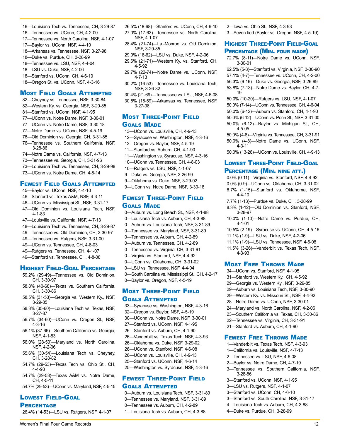Women's Final Four Game Records 2008 12

- 16—Louisiana Tech vs. Tennessee, CH, 3-29-87
- 16—Tennessee vs. UConn, CH, 4-2-00
- 17—Tennessee vs. North Carolina, NSF, 4-1-07
- 17—Baylor vs. UConn, NSF, 4-4-10
- 18—Arkansas vs. Tennessee, NSF, 3-27-98
- 18—Duke vs. Purdue, CH, 3-28-99
- 18—Tennessee vs. LSU, NSF, 4-4-04
- 18—LSU vs. Duke, NSF, 4-2-06
- 18—Stanford vs. UConn, CH, 4-6-10
- 18—Oregon St. vs. UConn, NSF, 4-3-16

### Most Field Goals Attempted

- 82—Cheyney vs. Tennessee, NSF, 3-30-84 82—Western Ky. vs. Georgia, NSF, 3-29-85 81—Stanford vs. UConn, NSF, 4-1-95 77—UConn vs. Notre Dame, NSF, 3-30-01 77—UConn vs. Notre Dame, NSF, 3-30-18 77—Notre Dame vs. UConn, NSF, 4-5-19
- 76—Old Dominion vs. Georgia, CH, 3-31-85
- 76—Tennessee vs. Southern California, NSF,
- 3-28-86
- 74—Notre Dame vs. California, NSF, 4-7-13
- 73—Tennessee vs. Georgia, CH, 3-31-96
- 73—Louisiana Tech vs. Tennessee, CH, 3-29-98
- 73—UConn vs. Notre Dame, CH, 4-8-14

### Fewest Field Goals Attempted

- 45—Baylor vs. UConn, NSF, 4-4-10
- 46—Stanford vs. Texas A&M, NSF, 4-3-11
- 46—UConn vs. Mississippi St., NSF, 3-31-17
- 47—Old Dominion vs. Louisiana Tech, NSF, 4-1-83
- 47—Louisville vs. California, NSF, 4-7-13
- 48—Louisiana Tech vs. Tennessee, CH, 3-29-87
- 49—Tennessee vs. Old Dominion, CH, 3-30-97
- 49—Tennessee vs. Rutgers, NSF, 3-31-00
- 49—UConn vs. Tennessee, CH, 4-8-03
- 49—Rutgers vs. Tennessee, CH, 4-1-07
- 49—Stanford vs. Tennessee, CH, 4-8-08

#### Highest Field-Goal Percentage

- 59.2% (29-49)—Tennessee vs. Old Dominion, CH, 3-30-97
- 58.8% (40-68)—Texas vs. Southern California, CH, 3-30-86
- 58.5% (31-53)—Georgia vs. Western Ky., NSF, 3-29-85
- 58.3% (35-60)—Louisiana Tech vs. Texas, NSF, 3-27-87
- 56.7% (34-60)—UConn vs. Oregon St., NSF, 4-3-16
- 56.1% (37-66)—Southern California vs. Georgia, NSF, 4-1-83
- 56.0% (28-50)—Maryland vs. North Carolina, NSF, 4-2-06
- 55.6% (30-54)—Louisiana Tech vs. Cheyney, CH, 3-28-82
- 54.7% (29-53)—Texas Tech vs. Ohio St., CH, 4-4-93
- 54.7% (29-53)—Texas A&M vs. Notre Dame, CH, 4-5-11
- 54.7% (29-53)—UConn vs. Maryland, NSF, 4-5-15

# Lowest Field-Goal

### **PERCENTAGE**

26.4% (14-53)—LSU vs. Rutgers, NSF, 4-1-07

- 26.5% (18-68)—Stanford vs. UConn, CH, 4-6-10 27.0% (17-63)—Tennessee vs. North Carolina, NSF, 4-1-07
- 28.4% (21-74)—La.-Monroe vs. Old Dominion, NSF, 3-29-85
- 29.0% (18-62)—LSU vs. Duke, NSF, 4-2-06
- 29.6% (21-71)—Western Ky. vs. Stanford, CH, 4-5-92
- 29.7% (22-74)—Notre Dame vs. UConn, NSF, 4-7-13
- 30.2% (16-53)—Tennessee vs. Louisiana Tech, NSF, 3-26-82
- 30.4% (21-69)—Tennessee vs. LSU, NSF, 4-6-08 30.5% (18-59)—Arkansas vs. Tennessee, NSF,  $3-27-98$

### Most Three-Point Field Goals Made

- 13—UConn vs. Louisville, CH, 4-9-13
- 12—Syracuse vs. Washington, NSF, 4-3-16
- 12—Oregon vs. Baylor, NSF, 4-5-19
- 11—Stanford vs. Auburn, CH, 4-1-90
- 11—Washington vs. Syracuse, NSF, 4-3-16
- 10—UConn vs. Tennessee, CH, 4-8-03
- 10—Rutgers vs. LSU, NSF, 4-1-07
- 9—Duke vs. Georgia, NSF, 3-26-99
- 9—Oklahoma vs. Duke, NSF, 3-29-02
- 9—UConn vs. Notre Dame, NSF, 3-30-18

### Fewest Three-Point Field Goals Made

- 0—Auburn vs. Long Beach St., NSF, 4-1-88
- 0—Louisiana Tech vs. Auburn, CH, 4-3-88
- 0—Auburn vs. Louisiana Tech, NSF, 3-31-89
- 0—Tennessee vs. Maryland, NSF, 3-31-89
- 0—Tennessee vs. Auburn, CH, 4-2-89
- 0—Auburn vs. Tennessee, CH, 4-2-89
- 0—Tennessee vs. Virginia, CH, 3-31-91
- 0—Virginia vs. Stanford, NSF, 4-4-92
- 0—UConn vs. Oklahoma, CH, 3-31-02
- 0—LSU vs. Tennessee, NSF, 4-4-04
- 0—South Carolina vs. Mississippi St., CH, 4-2-17 0—Baylor vs. Oregon, NSF, 4-5-19

### Most Three-Point Field Goals Attempted

33—Syracuse vs. Washington, NSF, 4-3-16 32—Oregon vs. Baylor, NSF, 4-5-19 30—UConn vs. Notre Dame, NSF, 3-30-01 27—Stanford vs. UConn, NSF, 4-1-95 26—Stanford vs. Auburn, CH, 4-1-90 26—Vanderbilt vs. Texas Tech, NSF, 4-3-93 26—Oklahoma vs. Duke, NSF, 3-29-02 26—UConn vs. Stanford, NSF, 4-6-08 26—UConn vs. Louisville, CH, 4-9-13 25—Stanford vs. UConn, NSF, 4-6-14 25—Washington vs. Syracuse, NSF, 4-3-16

### Fewest Three-Point Field Goals Attempted

- 0—Auburn vs. Louisiana Tech, NSF, 3-31-89 0—Tennessee vs. Maryland, NSF, 3-31-89
- 0—Tennessee vs. Auburn, CH, 4-2-89
- 1—Louisiana Tech vs. Auburn, CH, 4-3-88

2—Iowa vs. Ohio St., NSF, 4-3-93 3—Seven tied (Baylor vs. Oregon, NSF, 4-5-19)

### **HIGHEST THREE-POINT FIELD-GOAL** PERCENTAGE (MIN. FOUR MADE)

72.7% (8-11)—Notre Dame vs. UConn, NSF, 3-30-01

62.5% (5-8)—Stanford vs. Virginia, NSF, 3-30-90 57.1% (4-7)—Tennessee vs. UConn, CH, 4-2-00 56.3% (9-16)—Duke vs. Georgia, NSF, 3-26-99 53.8% (7-13)—Notre Dame vs. Baylor, CH, 4-7- 19

50.0% (10-20)—Rutgers vs. LSU, NSF, 4-1-07 50.0% (7-14)—UConn vs. Tennessee, CH, 4-6-04 50.0% (6-12)—Auburn vs. Stanford, CH, 4-1-90 50.0% (6-12)—UConn vs. Penn St., NSF, 3-31-00 50.0% (6-12)—Baylor vs. Michigan St., CH, 4-5-05

50.0% (4-8)—Virginia vs. Tennessee, CH, 3-31-91 50.0% (4-8)—Notre Dame vs. UConn, NSF, 4-3-11

50.0% (13-26)—UConn vs. Louisville, CH, 4-9-13

### Lowest Three-Point Field-Goal PERCENTAGE (MIN. NINE ATT.)

- 0.0% (0-11)—Virginia vs. Stanford, NSF, 4-4-92
- 0.0% (0-9)—UConn vs. Oklahoma, CH, 3-31-02 6.7% (1-15)—Stanford vs. Oklahoma, NSF, 4-4-10
- 7.7% (1-13)—Purdue vs. Duke, CH, 3-28-99
- 8.3% (1-12)—Old Dominion vs. Stanford, NSF, 3-28-97
- 10.0% (1-10)—Notre Dame vs. Purdue, CH, 4-1-01
- 10.5% (2-19)—Syracuse vs. UConn, CH, 4-5-16
- 11.1% (1-9)—LSU vs. Duke, NSF, 4-2-06
- 11.1% (1-9)—LSU vs. Tennessee, NSF, 4-6-08

**MOST FREE THROWS MADE** 34—UConn vs. Stanford, NSF, 4-1-95 31—Stanford vs. Western Ky., CH, 4-5-92 29—Georgia vs. Western Ky., NSF, 3-29-85 29—Auburn vs. Louisiana Tech, NSF, 3-30-90 29—Western Ky. vs. Missouri St., NSF, 4-4-92 28—Notre Dame vs. UConn, NSF, 3-30-01 24—Maryland vs. North Carolina, NSF, 4-2-06 23—Southern California vs. Texas, CH, 3-30-86 22—Tennessee vs. Virginia, CH, 3-31-91 21—Stanford vs. Auburn, CH, 4-1-90

**FEWEST FREE THROWS MADE** 1—Vanderbilt vs. Texas Tech, NSF, 4-3-93 1—California vs. Louisville, NSF, 4-7-13 2—Tennessee vs. LSU, NSF, 4-6-08 2—Baylor vs. Notre Dame, CH, 4-7-19

3—Stanford vs. UConn, NSF, 4-1-95 3—LSU vs. Rutgers, NSF, 4-1-07 3—Stanford vs. UConn, CH, 4-6-10

3-28-86

3—Tennessee vs. Southern California, NSF,

3—Stanford vs. South Carolina, NSF, 3-31-17 4—Louisiana Tech vs. Auburn, CH, 4-3-88 4—Duke vs. Purdue, CH, 3-28-99

11.5% (3-26)—Vanderbilt vs. Texas Tech, NSF, 4-3-93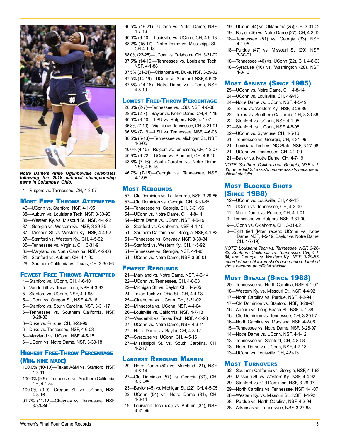

*Notre Dame's Arike Ogunbowale celebrates following the 2018 national championship game in Columbus, Ohio.*

4—Rutgers vs. Tennessee, CH, 4-3-07

#### Most Free Throws Attempted

- 46—UConn vs. Stanford, NSF, 4-1-95
- 38—Auburn vs. Louisiana Tech, NSF, 3-30-90
- 38—Western Ky. vs. Missouri St., NSF, 4-4-92
- 37—Georgia vs. Western Ky., NSF, 3-29-85
- 37—Missouri St. vs. Western Ky., NSF, 4-4-92
- 37—Stanford vs. Western Ky., CH, 4-5-92
- 35—Tennessee vs. Virginia, CH, 3-31-91
- 32—Maryland vs. North Carolina, NSF, 4-2-06
- 31—Stanford vs. Auburn, CH, 4-1-90
- 29—Southern California vs. Texas, CH, 3-30-86

#### **FEWEST FREE THROWS ATTEMPTED**

- 4—Stanford vs. UConn, CH, 4-6-10
- 5—Vanderbilt vs. Texas Tech, NSF, 4-3-93
- 5—Stanford vs. UConn, NSF, 4-1-95
- 5—UConn vs. Oregon St., NSF, 4-3-16
- 5—Stanford vs. South Carolina, NSF, 3-31-17
- 6—Tennessee vs. Southern California, NSF, 3-28-86
- 6—Duke vs. Purdue, CH, 3-28-99
- 6—Duke vs. Tennessee, NSF, 4-6-03
- 6—Maryland vs. UConn, NSF, 4-5-15
- 6—UConn vs. Notre Dame, NSF, 3-30-18

#### Highest Free-Throw Percentage (Min. nine made)

- 100.0% (10-10)—Texas A&M vs. Stanford, NSF, 4-3-11
- 100.0% (9-9)—Tennessee vs. Southern California, CH, 4-1-84
- 100.0% (9-9)—Oregon St. vs. UConn, NSF, 4-3-16
- 91.7% (11-12)—Cheyney vs. Tennessee, NSF, 3-30-84

90.5% (19-21)—UConn vs. Notre Dame, NSF, 4-7-13

- 90.0% (9-10)—Louisville vs. UConn, CH, 4-9-13 88.2% (15-17)—Notre Dame vs. Mississippi St.,  $CH-4-1-18$
- 88.0% (22-25)—UConn vs. Oklahoma, CH, 3-31-02

87.5% (14-16)—Tennessee vs. Louisiana Tech, NSF, 4-1-88

87.5% (21-24)—Oklahoma vs. Duke, NSF, 3-29-02 87.5% (14-16)—UConn vs. Stanford, NSF, 4-6-08 87.5% (14-16)—Notre Dame vs. UConn, NSF, 4-5-19

#### Lowest Free-Throw Percentage

28.6% (2-7)—Tennessee vs. LSU, NSF, 4-6-08 28.6% (2-7)—Baylor vs. Notre Dame, CH, 4-7-19 30.0% (3-10)—LSU vs. Rutgers, NSF, 4-1-07

36.8% (7-19)—Virginia vs. Tennessee, CH, 3-31-91 36.8% (7-19)—LSU vs. Tennessee, NSF, 4-6-08 38.5% (5-13)—Tennessee vs. Michigan St., NSF,

4-3-05 40.0% (4-10)—Rutgers vs. Tennessee, CH, 4-3-07

40.9% (9-22)—UConn vs. Stanford, CH, 4-6-10

- 43.8% (7-16)—South Carolina vs. Notre Dame,
- NSF, 4-5-15

46.7% (7-15)—Georgia vs. Tennessee, NSF, 4-1-95

#### **MOST REBOUNDS**

- 57—Old Dominion vs. La.-Monroe, NSF, 3-29-85 57—Old Dominion vs. Georgia, CH, 3-31-85 54—Tennessee vs. Georgia, CH, 3-31-96 54—UConn vs. Notre Dame, CH, 4-8-14 54—Notre Dame vs. UConn, NSF, 4-5-19 53—Stanford vs. Oklahoma, NSF, 4-4-10 51—Southern California vs. Georgia, NSF, 4-1-83 51—Tennessee vs. Cheyney, NSF, 3-30-84 51—Stanford vs. Western Ky., CH, 4-5-92
- 51—Tennessee vs. Georgia, NSF, 4-1-95
- 51—UConn vs. Notre Dame, NSF, 3-30-01

#### **FEWEST REBOUNDS**

- 21—Maryland vs. Notre Dame, NSF, 4-6-14 22—UConn vs. Tennessee, CH, 4-8-03
- 22—Michigan St. vs. Baylor, CH, 4-5-05
- 24—Texas Tech vs. Ohio St., CH, 4-4-93
- 25—Oklahoma vs. UConn, CH, 3-31-02
- 25—Minnesota vs. UConn, NSF, 4-4-04
- 26—Louisville vs. California, NSF, 4-7-13
- 27—Vanderbilt vs. Texas Tech, NSF, 4-3-93
- 27—UConn vs. Notre Dame, NSF, 4-3-11
- 27—Notre Dame vs. Baylor, CH, 4-3-12
- 27—Syracuse vs. UConn, CH, 4-5-16
- 27—Mississippi St. vs. South Carolina, CH, 4-2-17

#### Largest Rebound Margin

- 29—Notre Dame (50) vs. Maryland (21), NSF, 4-6-14
- 27—Old Dominion (57) vs. Georgia (30), CH, 3-31-85
- 23—Baylor (45) vs. Michigan St. (22), CH, 4-5-05 23—UConn (54) vs. Notre Dame (31), CH,
- 4-8-14
- 19—Louisiana Tech (50) vs. Auburn (31), NSF, 3-31-89

Women's Final Four Game Records 13

- 19—UConn (44) vs. Oklahoma (25), CH, 3-31-02
- 19—Baylor (46) vs. Notre Dame (27), CH, 4-3-12
- 18—Tennessee (51) vs. Georgia (33), NSF, 4-1-95
- 18—Purdue (47) vs. Missouri St. (29), NSF, 3-30-01
- 18—Tennessee (40) vs. UConn (22), CH, 4-8-03
- 18—Syracuse (46) vs. Washington (28), NSF, 4-3-16

#### Most Assists (Since 1985)

- 25—UConn vs. Notre Dame, CH, 4-8-14
- 24—UConn vs. Louisville, CH, 4-9-13
- 24—Notre Dame vs. UConn, NSF, 4-5-19
- 23—Texas vs. Western Ky., NSF, 3-28-86
- 22—Texas vs. Southern California, CH, 3-30-86
- 22—Stanford vs. UConn, NSF, 4-1-95
- 22—Stanford vs. UConn, NSF, 4-6-08
- 22—UConn vs. Syracuse, CH, 4-5-16
- 21—Tennessee vs. Georgia, CH, 3-31-96
- 21—Louisiana Tech vs. NC State, NSF, 3-27-98
- 21—UConn vs. Tennessee, CH, 4-2-00
- 21—Baylor vs. Notre Dame, CH, 4-7-19

*NOTE: Southern California vs. Georgia, NSF, 4-1- 83, recorded 23 assists before assists became an official statistic.*

#### **MOST BLOCKED SHOTS** (Since 1988)

- 12—UConn vs. Louisville, CH, 4-9-13
- 11—UConn vs. Tennessee, CH, 4-2-00
- 11—Notre Dame vs. Purdue, CH, 4-1-01
- 9—Tennessee vs. Rutgers, NSF, 3-31-00
- 9—UConn vs. Oklahoma, CH, 3-31-02
- 8—Eight tied (Most recent: UConn vs. Notre Dame, NSF, 4-5-19; Baylor vs. Notre Dame, CH, 4-7-19)

*NOTE: Louisiana Tech vs. Tennessee, NSF, 3-26- 82, Southern California vs. Tennessee, CH, 4-1- 84, and Georgia vs. Western Ky., NSF, 3-29-85, recorded nine blocked shots each before blocked shots became an official statistic.*

#### Most Steals (Since 1988)

- 20—Tennessee vs. North Carolina, NSF, 4-1-07 18—Western Ky. vs. Missouri St., NSF, 4-4-92 17—North Carolina vs. Purdue, NSF, 4-2-94 17—Old Dominion vs. Stanford, NSF, 3-28-97 16—Auburn vs. Long Beach St., NSF, 4-1-88 16—Old Dominion vs. Tennessee, CH, 3-30-97 16—North Carolina vs. Maryland, NSF, 4-2-06 15—Tennessee vs. Notre Dame, NSF, 3-28-97
- 14—Notre Dame vs. UConn, NSF, 4-1-12
- 13—Tennessee vs. Stanford, CH, 4-8-08
- 13—Notre Dame vs. UConn, NSF, 4-7-13

32—Southern California vs. Georgia, NSF, 4-1-83 29—Missouri St. vs. Western Ky., NSF, 4-4-92 29—Stanford vs. Old Dominion, NSF, 3-28-97 29—North Carolina vs. Tennessee, NSF, 4-1-07 28—Western Ky. vs. Missouri St., NSF, 4-4-92 28—Purdue vs. North Carolina, NSF, 4-2-94 28—Arkansas vs. Tennessee, NSF, 3-27-98

13—UConn vs. Louisville, CH, 4-9-13

#### **MOST TURNOVERS**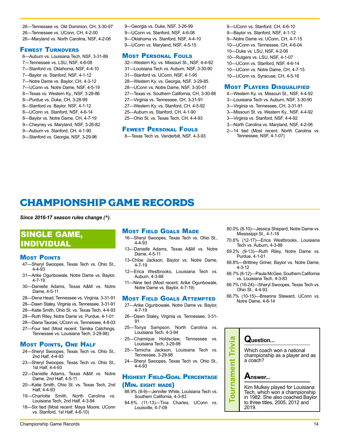<span id="page-9-0"></span>26—Tennessee vs. Old Dominion, CH, 3-30-97 26—Tennessee vs. UConn, CH, 4-2-00 26—Maryland vs. North Carolina, NSF, 4-2-06

#### Fewest Turnovers

- 6—Auburn vs. Louisiana Tech, NSF, 3-31-89 7—Tennessee vs. LSU, NSF, 4-6-08 7—Stanford vs. Oklahoma, NSF, 4-4-10 7—Baylor vs. Stanford, NSF, 4-1-12 7—Notre Dame vs. Baylor, CH, 4-3-12 7—UConn vs. Notre Dame, NSF, 4-5-19 8—Texas vs. Western Ky., NSF, 3-28-86 8—Purdue vs. Duke, CH, 3-28-99 8—Stanford vs. Baylor, NSF, 4-1-12 8—UConn vs. Stanford, NSF, 4-6-14 8—Baylor vs. Notre Dame, CH, 4-7-19 9—Cheyney vs. Maryland, NSF, 3-26-82
- 9—Auburn vs. Stanford, CH, 4-1-90 9—Stanford vs. Georgia, NSF, 3-29-96

9—Georgia vs. Duke, NSF, 3-26-99 9—UConn vs. Stanford, NSF, 4-6-08 9—Oklahoma vs. Stanford, NSF, 4-4-10 9—UConn vs. Maryland, NSF, 4-5-15

#### Most Personal Fouls

32—Western Ky. vs. Missouri St., NSF, 4-4-92 31—Louisiana Tech vs. Auburn, NSF, 3-30-90 31—Stanford vs. UConn, NSF, 4-1-95 28—Western Ky. vs. Georgia, NSF, 3-29-85 28—UConn vs. Notre Dame, NSF, 3-30-01 27—Texas vs. Southern California, CH, 3-30-86 27—Virginia vs. Tennessee, CH, 3-31-91 27—Western Ky. vs. Stanford, CH, 4-5-92 25—Auburn vs. Stanford, CH, 4-1-90 25—Ohio St. vs. Texas Tech, CH, 4-4-93

#### Fewest Personal Fouls

8—Texas Tech vs. Vanderbilt, NSF, 4-3-93

9—UConn vs. Stanford, CH, 4-6-10 9—Baylor vs. Stanford, NSF, 4-1-12 9—Notre Dame vs. UConn, CH, 4-7-15 10—UConn vs. Tennessee, CH, 4-6-04 10—Duke vs. LSU, NSF, 4-2-06 10—Rutgers vs. LSU, NSF, 4-1-07 10—UConn vs. Stanford, NSF, 4-6-14 10—UConn vs. Notre Dame, CH, 4-7-15 10—UConn vs. Syracuse, CH, 4-5-16

#### **MOST PLAYERS DISQUALIFIED**

- 4—Western Ky. vs. Missouri St., NSF, 4-4-92
- 3—Louisiana Tech vs. Auburn, NSF, 3-30-90
- 3—Virginia vs. Tennessee, CH, 3-31-91
- 3—Missouri St. vs. Western Ky., NSF, 4-4-92
- 3—Virginia vs. Stanford, NSF, 4-4-92

Tennessee, NSF, 4-1-07)

- 3—North Carolina vs. Maryland, NSF, 4-2-06 2—14 tied (Most recent: North Carolina vs.
- 

# CHAMPIONSHIP GAME RECORDS

*Since 2016-17 season rules change (^).* 

# SINGLE GAME, INDIVIDUAL

#### **MOST POINTS**

- 47—Sheryl Swoopes, Texas Tech vs. Ohio St., 4-4-93
- 31—Arike Ogunbowale, Notre Dame vs. Baylor, 4-7-19
- 30—Danielle Adams, Texas A&M vs. Notre Dame, 4-5-11
- 28—Dena Head, Tennessee vs. Virginia, 3-31-91
- 28—Dawn Staley, Virginia vs. Tennessee, 3-31-91
- 28—Katie Smith, Ohio St. vs. Texas Tech, 4-4-93
- 28—Ruth Riley, Notre Dame vs. Purdue, 4-1-01
- 28—Diana Taurasi, UConn vs. Tennessee, 4-8-03
- 27—Four tied (Most recent: Tamika Catchings, Tennessee vs. Louisiana Tech, 3-29-98)

### **MOST POINTS, ONE HALF**

- 24—Sheryl Swoopes, Texas Tech vs. Ohio St., 2nd Half, 4-4-93
- 23—Sheryl Swoopes, Texas Tech vs. Ohio St., 1st Half, 4-4-93
- 22—Danielle Adams, Texas A&M vs. Notre Dame, 2nd Half, 4-5-11
- 20—Katie Smith, Ohio St. vs. Texas Tech, 2nd Half, 4-4-93
- 19—Charlotte Smith, North Carolina vs. Louisiana Tech, 2nd Half, 4-3-94
- 18—Six tied (Most recent: Maya Moore, UConn vs. Stanford, 1st Half, 4-6-10)

### **MOST FIELD GOALS MADE**

- 16—Sheryl Swoopes, Texas Tech vs. Ohio St., 4-4-93
- 13—Danielle Adams, Texas A&M vs. Notre Dame, 4-5-11
- 13–Chloe Jackson, Baylor vs. Notre Dame, 4-7-19
- 12—Erica Westbrooks, Louisiana Tech vs. Auburn, 4-3-88
- 11—Nine tied (Most recent: Arike Ogunbowale, Notre Dame vs. Baylor, 4-7-19)

#### Most Field Goals Attempted

- 27—Arike Ogunbowale, Notre Dame vs. Baylor, 4-7-19
- 26—Dawn Staley, Virginia vs. Tennessee, 3-31- 91
- 25—Tonya Sampson, North Carolina vs. Louisiana Tech, 4-3-94
- 25—Chamique Holdsclaw, Tennessee vs. Louisiana Tech, 3-29-98
- 25—Tamicha Jackson, Louisiana Tech vs. Tennessee, 3-29-98
- 24—Sheryl Swoopes, Texas Tech vs. Ohio St., 4-4-93

### Highest Field-Goal Percentage (Min. eight made)

- 88.9% (8-9)—Jennifer White, Louisiana Tech vs. Southern California, 4-3-83
- 84.6% (11-13)—Tina Charles, UConn vs. Louisville, 4-7-09
- 80.0% (8-10)—Jessica Shepard, Notre Dame vs. Mississippi St., 4-1-18
- 70.6% (12-17)—Erica Westbrooks, Louisiana Tech vs. Auburn, 4-3-88
- 69.2% (9-13)—Ruth Riley, Notre Dame vs. Purdue, 4-1-01
- 68.8%—Brittney Griner, Baylor vs. Notre Dame, 4-3-12
- 66.7% (8-12)—Paula McGee, Southern California vs. Louisiana Tech, 4-3-83
- 66.7% (16-24)—Sheryl Swoopes, Texas Tech vs. Ohio St., 4-4-93
- 66.7% (10-15)—Breanna Steward, UConn vs. Notre Dame, 4-8-14



**Question...**



**Tournament Trivia**

Tournament

 $\boldsymbol{\sigma}$ Trivi

> Kim Mulkey played for Louisiana Tech, which won a championship in 1982. She also coached Baylor to three titles, 2005, 2012 and 2019.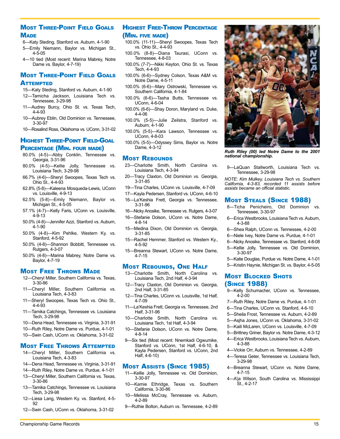### **MOST THREE-POINT FIELD GOALS MADE**

- 6—Katy Steding, Stanford vs. Auburn, 4-1-90
- 5—Emily Niemann, Baylor vs. Michigan St., 4-5-05
- 4—10 tied (Most recent: Marina Mabrey, Notre Dame vs. Baylor, 4-7-19)

### Most Three-Point Field Goals **ATTEMPTED**

- 15—Katy Steding, Stanford vs. Auburn, 4-1-90
- 12—Tamicha Jackson, Louisiana Tech vs.
- Tennessee, 3-29-98 11—Audrey Burcy, Ohio St. vs. Texas Tech, 4-4-93
- 10—Aubrey Eblin, Old Dominion vs. Tennessee, 3-30-97
- 10—Rosalind Ross, Oklahoma vs. UConn, 3-31-02

### **HIGHEST THREE-POINT FIELD-GOAL** Percentage (Min. four made)

- 80.0% (4-5)—Abby Conklin, Tennessee vs. Georgia, 3-31-96
- 80.0% (4-5)—Kellie Jolly, Tennessee vs. Louisiana Tech, 3-29-98
- 66.7% (4-6)—Sheryl Swoopes, Texas Tech vs. Ohio St., 4-4-93
- 62.8% (5-8)—Kaleena Mosqueda-Lewis, UConn vs. Louisville, 4-9-13
- 62.5% (5-8)—Emily Niemann, Baylor vs. Michigan St., 4-5-05
- 57.1% (4-7)—Kelly Faris, UConn vs. Louisville, 4-9-13
- 50.0% (4-8)—Jennifer Azzi, Stanford vs. Auburn, 4-1-90
- 50.0% (4-8)—Kim Pehlke, Western Ky. vs. Stanford, 4-5-92
- 50.0% (4-8)—Shannon Bobbitt, Tennessee vs. Rutgers, 4-3-07
- 50.0% (4-8)—Marina Mabrey, Notre Dame vs. Baylor, 4-7-19

### **MOST FREE THROWS MADE**

- 12—Cheryl Miller, Southern California vs. Texas, 3-30-86
- 11—Cheryl Miller, Southern California vs. Louisiana Tech, 4-3-83
- 11—Sheryl Swoopes, Texas Tech vs. Ohio St., 4-4-93
- 11—Tamika Catchings, Tennessee vs. Louisiana Tech, 3-29-98
- 10—Dena Head, Tennessee vs. Virginia, 3-31-91
- 10—Ruth Riley, Notre Dame vs. Purdue, 4-1-01
- 10—Swin Cash, UConn vs. Oklahoma, 3-31-02

#### Most Free Throws Attempted

- 14—Cheryl Miller, Southern California vs. Louisiana Tech, 4-3-83
- 14—Dena Head, Tennessee vs. Virginia, 3-31-91
- 14—Ruth Riley, Notre Dame vs. Purdue, 4-1-01
- 13—Cheryl Miller, Southern California vs. Texas, 3-30-86
- 13—Tamika Catchings, Tennessee vs. Louisiana Tech, 3-29-98
- 12—Liesa Lang, Western Ky. vs. Stanford, 4-5- 92
- 12—Swin Cash, UConn vs. Oklahoma, 3-31-02

### Highest Free-Throw Percentage (Min. five made)

- 100.0% (11-11)—Sheryl Swoopes, Texas Tech vs. Ohio St., 4-4-93
- 100.0% (8-8)—Diana Taurasi, UConn vs. Tennessee, 4-8-03
- 100.0% (7-7)—Nikki Keyton, Ohio St. vs. Texas Tech, 4-4-93
- 100.0% (6-6)—Sydney Colson, Texas A&M vs. Notre Dame, 4-5-11
- 100.0% (6-6)—Mary Ostrowski, Tennessee vs. Southern California, 4-1-84
- 100.0% (6-6)—Tasha Butts, Tennessee vs. UConn, 4-6-04
- 100.0% (6-6)—Shay Doron, Maryland vs. Duke, 4-4-06
- 100.0% (5-5)—Julie Zeilstra, Stanford vs. Auburn, 4-1-90
- 100.0% (5-5)—Kara Lawson, Tennessee vs. UConn, 4-8-03
- 100.0% (5-5)—Odyssey Sims, Baylor vs. Notre Dame, 4-3-12

#### **MOST REBOUNDS**

- 23—Charlotte Smith, North Carolina vs. Louisiana Tech, 4-3-94
- 20—Tracy Claxton, Old Dominion vs. Georgia, 3-31-85
- 19—Tina Charles, UConn vs. Louisville, 4-7-09
- 17—Kayla Pedersen, Stanford vs. UConn, 4-6-10
- 16—La'Keshia Frett, Georgia vs. Tennessee, 3-31-96
- 16—Nicky Anosike, Tennessee vs. Rutgers, 4-3-07
- 16—Stefanie Dolson, UConn vs. Notre Dame, 4-8-14
- 15—Medina Dixon, Old Dominion vs. Georgia, 3-31-85
- 15—Rachel Hemmer, Stanford vs. Western Ky., 4-5-92
- 15—Breanna Stewart, UConn vs. Notre Dame, 4-7-15

#### Most Rebounds, One Half

- 13—Charlotte Smith, North Carolina vs. Louisiana Tech, 2nd Half, 4-3-94
- 12—Tracy Claxton, Old Dominion vs. Georgia, 2nd Half, 3-31-85
- 12—Tina Charles, UConn vs. Louisville, 1st Half, 4-7-09
- 11—La'Keshia Frett, Georgia vs. Tennessee, 2nd Half, 3-31-96
- 10—Charlotte Smith, North Carolina vs. Louisiana Tech, 1st Half, 4-3-94
- 10—Stefanie Dolson, UConn vs. Notre Dame, 4-8-14
- 9—Six tied (Most recent: Nnemkadi Ogwumike, Stanford vs. UConn, 1st Half, 4-6-10, & Kayla Pedersen, Stanford vs. UConn, 2nd Half, 4-6-10)

#### Most Assists (Since 1985)

- 11—Kellie Jolly, Tennessee vs. Old Dominion, 3-30-97
- 10—Kamie Ethridge, Texas vs. Southern California, 3-30-86
- 10—Melissa McCray, Tennessee vs. Auburn, 4-2-89
- 9—Ruthie Bolton, Auburn vs. Tennessee, 4-2-89



*Ruth Riley (00) led Notre Dame to the 2001 national championship.*

9—LaQuan Stallworth, Louisiana Tech vs. Tennessee, 3-29-98

*NOTE: Kim Mulkey, Louisiana Tech vs. Southern California, 4-3-83, recorded 11 assists before assists became an official statistic.*

#### Most Steals (Since 1988)

- 8—Ticha Penicheiro, Old Dominion vs. Tennessee, 3-30-97
- 6—Erica Westbrooks, Louisiana Tech vs. Auburn, 4-3-88
- 6—Shea Ralph, UConn vs. Tennessee, 4-2-00
- 6—Niele Ivey, Notre Dame vs. Purdue, 4-1-01
- 6—Nicky Anosike, Tennessee vs. Stanford, 4-8-08
- 5—Kellie Jolly, Tennessee vs. Old Dominion, 3-30-97
- 5—Katie Douglas, Purdue vs. Notre Dame, 4-1-01
- 5—Kristin Haynie, Michigan St. vs. Baylor, 4-5-05

#### **MOST BLOCKED SHOTS** (Since 1988)

- 9—Kelly Schumacher, UConn vs. Tennessee, 4-2-00
- 7—Ruth Riley, Notre Dame vs. Purdue, 4-1-01
- 6—Tina Charles, UConn vs. Stanford, 4-6-10
- 5—Sheila Frost, Tennessee vs. Auburn, 4-2-89
- 5—Asjha Jones, UConn vs. Oklahoma, 3-31-02
- 5—Kaili McLaren, UConn vs. Louisville, 4-7-09
- 5—Brittney Griner, Baylor vs. Notre Dame, 4-3-12
- 4—Erica Westbrooks, Louisiana Tech vs. Auburn, 4-3-88
- 4—Vickie Orr, Auburn vs. Tennessee, 4-2-89
- 4—Teresa Geter, Tennessee vs. Louisiana Tech, 3-29-98
- 4—Breanna Stewart, UConn vs. Notre Dame, 4-7-15
- 4—A'ja Wilson, South Carolina vs. Mississippi St., 4-2-17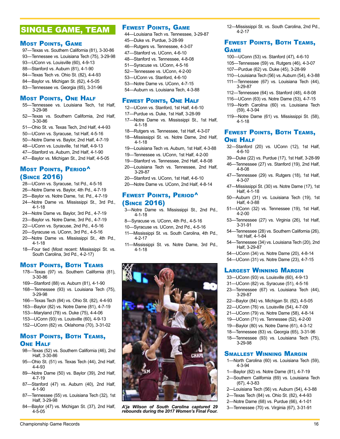# SINGLE GAME, TEAM

#### **MOST POINTS, GAME**

- 97—Texas vs. Southern California (81), 3-30-86
- 93—Tennessee vs. Louisiana Tech (75), 3-29-98
- 93—UConn vs. Louisville (60), 4-9-13
- 88—Stanford vs. Auburn (81), 4-1-90
- 84—Texas Tech vs. Ohio St. (82), 4-4-93
- 84—Baylor vs. Michigan St. (62), 4-5-05
- 83—Tennessee vs. Georgia (65), 3-31-96

### Most Points, One Half

- 55—Tennessee vs. Louisiana Tech, 1st Half, 3-29-98
- 52—Texas vs. Southern California, 2nd Half, 3-30-86
- 51—Ohio St. vs. Texas Tech, 2nd Half, 4-4-93
- 50—UConn vs. Syracuse, 1st Half, 4-5-16
- 50—Notre Dame vs. Baylor, 2nd Half, 4-7-19
- 48—UConn vs. Louisville, 1st Half, 4-9-13
- 47—Stanford vs. Auburn, 2nd Half, 4-1-90
- 47—Baylor vs. Michigan St., 2nd Half, 4-5-05

### **MOST POINTS, PERIOD^** (Since 2016)

- 28—UConn vs. Syracuse, 1st Pd., 4-5-16
- 26—Notre Dame vs. Baylor, 4th Pd., 4-7-19
- 25—Baylor vs. Notre Dame, 1st. Pd., 4-7-19
- 24—Notre Dame vs. Mississippi St., 3rd Pd., 4-1-18
- 24—Notre Dame vs. Baylor, 3rd Pd., 4-7-19
- 23—Baylor vs. Notre Dame, 3rd Pd., 4-7-19
- 22—UConn vs. Syracuse, 2nd Pd., 4-5-16
- 20—Syracuse vs. UConn, 3rd Pd., 4-5-16
- 20—Notre Dame vs. Mississippi St., 4th Pd., 4-1-18
- 18—Four tied (Most recent: Mississippi St. vs. South Carolina, 3rd Pd., 4-2-17)

#### **MOST POINTS, BOTH TEAMS**

- 178—Texas (97) vs. Southern California (81), 3-30-86
- 169—Stanford (88) vs. Auburn (81), 4-1-90
- 168—Tennessee (93) vs. Louisiana Tech (75), 3-29-98
- 166—Texas Tech (84) vs. Ohio St. (82), 4-4-93
- 163—Baylor (82) vs. Notre Dame (81), 4-7-19
- 153—Maryland (78) vs. Duke (75), 4-4-06
- 153—UConn (93) vs. Louisville (60), 4-9-13
- 152—UConn (82) vs. Oklahoma (70), 3-31-02

### Most Points, Both Teams, **ONE HALF**

- 98—Texas (52) vs. Southern California (46), 2nd Half, 3-30-86
- 95—Ohio St. (51) vs. Texas Tech (44), 2nd Half, 4-4-93
- 89—Notre Dame (50) vs. Baylor (39), 2nd Half, 4-7-19
- 87—Stanford (47) vs. Auburn (40), 2nd Half, 4-1-90
- 87—Tennessee (55) vs. Louisiana Tech (32), 1st Half, 3-29-98
- 84—Baylor (47) vs. Michigan St. (37), 2nd Half, 4-5-05

### **FEWEST POINTS, GAME**

- 44—Louisiana Tech vs. Tennessee, 3-29-87 45—Duke vs. Purdue, 3-28-99 46—Rutgers vs. Tennessee, 4-3-07 47—Stanford vs. UConn, 4-6-10 48—Stanford vs. Tennessee, 4-8-08 51—Syracuse vs. UConn, 4-5-16 52—Tennessee vs. UConn, 4-2-00 53—UConn vs. Stanford, 4-6-10 53—Notre Dame vs. UConn, 4-7-15
- 54—Auburn vs. Louisiana Tech, 4-3-88

#### **FEWEST POINTS, ONE HALF**

- 12—UConn vs. Stanford, 1st Half, 4-6-10
- 17—Purdue vs. Duke, 1st Half, 3-28-99 17—Notre Dame vs. Mississippi St., 1st Half,
- 4-1-18 18—Rutgers vs. Tennessee, 1st Half, 4-3-07
- 18—Mississippi St. vs. Notre Dame, 2nd Half, 4-1-18
- 19—Louisiana Tech vs. Auburn, 1st Half, 4-3-88
- 19—Tennessee vs. UConn, 1st Half, 4-2-00
- 19—Stanford vs. Tennessee, 2nd Half, 4-8-08
- 20—Louisiana Tech vs. Tennessee, 2nd Half, 3-29-87
- 20—Stanford vs. UConn, 1st Half, 4-6-10
- 20—Notre Dame vs. UConn, 2nd Half, 4-8-14

### FEWEST POINTS, PERIOD<sup>^</sup> (Since 2016)

- 3—Notre Dame vs. Mississippi St., 2nd Pd., 4-1-18
- 8—Syracuse vs. UConn, 4th Pd., 4-5-16
- 10—Syracuse vs. UConn, 2nd Pd., 4-5-16
- 11—Mississippi St. vs. South Carolina, 4th Pd., 4-2-17
- 11—Mississippi St. vs. Notre Dame, 3rd Pd., 4-1-18



*A'ja Wilson of South Carolina captured 29* 3—Tennessee (70) vs. Virginia (67), 3-31-91 *rebounds during the 2017 Women's Final Four.*

Championship Game Records 2008 2009 12:00 12:00 12:00 12:00 12:00 12:00 12:00 12:00 12:00 12:00 12:00 12:00 12:00 12:00 12:00 12:00 12:00 12:00 12:00 12:00 12:00 12:00 12:00 12:00 12:00 12:00 12:00 12:00 12:00 12:00 12:00

12—Mississippi St. vs. South Carolina, 2nd Pd., 4-2-17

### Fewest Points, Both Teams, **GAME**

- 100—UConn (53) vs. Stanford (47), 4-6-10
- 105—Tennessee (59) vs. Rutgers (46), 4-3-07
- 107—Purdue (62) vs. Duke (45), 3-28-99
- 110—Louisiana Tech (56) vs. Auburn (54), 4-3-88
- 111—Tennessee (67) vs. Louisiana Tech (44), 3-29-87
- 112—Tennessee (64) vs. Stanford (48), 4-8-08
- 116—UConn (63) vs. Notre Dame (53), 4-7-15 119—North Carolina (60) vs. Louisiana Tech
- (59), 4-3-94
- 119—Notre Dame (61) vs. Mississippi St. (58), 4-1-18

### Fewest Points, Both Teams, **ONE HALF**

- 32—Stanford (20) vs. UConn (12), 1st Half, 4-6-10
- 39—Duke (22) vs. Purdue (17), 1st Half, 3-28-99
- 46—Tennessee (27) vs. Stanford (19), 2nd Half, 4-8-08
- 47—Tennessee (29) vs. Rutgers (18), 1st Half, 4-3-07
- 47—Mississippi St. (30) vs. Notre Dame (17), 1st Half, 4-1-18
- 50—Auburn (31) vs. Louisiana Tech (19), 1st Half, 4-3-88
- 51—UConn (32) vs. Tennessee (19), 1st Half, 4-2-00
- 53—Tennessee (27) vs. Virginia (26), 1st Half, 3-31-91
- 54—Tennessee (28) vs. Southern California (26), 1st Half, 4-1-84
- 54—Tennessee (34) vs. Louisiana Tech (20), 2nd Half, 3-29-87
- 54—UConn (34) vs. Notre Dame (20), 4-8-14
- 54—UConn (31) vs. Notre Dame (23), 4-7-15

#### Largest Winning Margin

- 33—UConn (93) vs. Louisville (60), 4-9-13
- 31—UConn (82) vs. Syracuse (51), 4-5-16
- 23—Tennessee (67) vs. Louisiana Tech (44), 3-29-87
- 22—Baylor (84) vs. Michigan St. (62), 4-5-05
- 22—UConn (76) vs. Louisville (54), 4-7-09
- 21—UConn (79) vs. Notre Dame (58), 4-8-14
- 19—UConn (71) vs. Tennessee (52), 4-2-00
- 19—Baylor (80) vs. Notre Dame (61), 4-3-12 18—Tennessee (83) vs. Georgia (65), 3-31-96

**SMALLEST WINNING MARGIN** 1—North Carolina (60) vs. Louisiana Tech (59),

1—Baylor (82) vs. Notre Dame (81), 4-7-19 2—Southern California (69) vs. Louisiana Tech

2—Louisiana Tech (56) vs. Auburn (54), 4-3-88 2—Texas Tech (84) vs. Ohio St. (82), 4-4-93 2—Notre Dame (68) vs. Purdue (66), 4-1-01

3-29-98

4-3-94

(67), 4-3-83

18—Tennessee (93) vs. Louisiana Tech (75),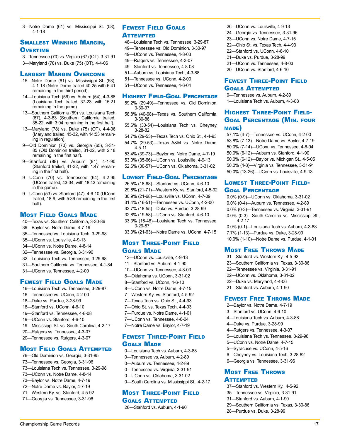3—Notre Dame (61) vs. Mississippi St. (58), 4-1-18

### Smallest Winning Margin, **OVERTIME**

3—Tennessee (70) vs. Virginia (67) (OT), 3-31-91 3—Maryland (78) vs. Duke (75) (OT), 4-4-06

#### Largest Margin Overcome

- 15—Notre Dame (61) vs. Mississippi St. (58), 4-1-18 (Notre Dame trailed 40-25 with 6:41 remaining in the third period).
- 14—Louisiana Tech (56) vs. Auburn (54), 4-3-88 (Louisiana Tech trailed, 37-23, with 15:21 remaining in the game).
- 13—Southern California (69) vs. Louisiana Tech (67), 4-3-83 (Southern California trailed, 35-22, with 3:04 remaining in the first half).
- 13—Maryland (78) vs. Duke (75) (OT), 4-4-06 (Maryland trailed, 45-32, with 14:53 remaining in regulation).
- 9—Old Dominion (70) vs. Georgia (65), 3-31- 85 (Old Dominion trailed, 31-22, with 2:18 remaining in the first half).
- 9—Stanford (88) vs. Auburn (81), 4-1-90 (Stanford trailed, 41-32, with 1:47 remaining in the first half).
- 9—UConn (70) vs. Tennessee (64), 4-2-95 (UConn trailed, 43-34, with 18:43 remaining in the game).
- 9—UConn (53) vs. Stanford (47), 4-6-10 (UConn trailed, 18-9, with 5:36 remaining in the first half).

### **MOST FIELD GOALS MADE**

- 40—Texas vs. Southern California, 3-30-86
- 39—Baylor vs. Notre Dame, 4-7-19
- 35—Tennessee vs. Louisiana Tech, 3-29-98
- 35—UConn vs. Louisville, 4-9-13
- 34—UConn vs. Notre Dame, 4-8-14
- 32—Tennessee vs. Georgia, 3-31-96
- 32—Louisiana Tech vs. Tennessee, 3-29-98
- 31—Southern California vs. Tennessee, 4-1-84
- 31—UConn vs. Tennessee, 4-2-00

### **FEWEST FIELD GOALS MADE**

16—Louisiana Tech vs. Tennessee, 3-29-87 16—Tennessee vs. UConn, 4-2-00 18—Duke vs. Purdue, 3-28-99 18—Stanford vs. UConn, 4-6-10 19—Stanford vs. Tennessee, 4-8-08 19—UConn vs. Stanford, 4-6-10 19—Mississippi St. vs. South Carolina, 4-2-17 20—Rutgers vs. Tennessee, 4-3-07 20—Tennessee vs. Rutgers, 4-3-07

#### Most Field Goals Attempted

- 76—Old Dominion vs. Georgia, 3-31-85 73—Tennessee vs. Georgia, 3-31-96 73—Louisiana Tech vs. Tennessee, 3-29-98
- 73—UConn vs. Notre Dame, 4-8-14
- 73—Baylor vs. Notre Dame, 4-7-19
- 72—Notre Dame vs. Baylor, 4-7-19
- 71—Western Ky. vs. Stanford, 4-5-92
- 71—Georgia vs. Tennessee, 3-31-96

### Fewest Field Goals **ATTEMPTED**

- 48—Louisiana Tech vs. Tennessee, 3-29-87
- 49—Tennessee vs. Old Dominion, 3-30-97
- 49—UConn vs. Tennessee, 4-8-03
- 49—Rutgers vs. Tennessee, 4-3-07
- 49—Stanford vs. Tennessee, 4-8-08
- 51—Auburn vs. Louisiana Tech, 4-3-88
- 51—Tennessee vs. UConn, 4-2-00
- 51—UConn vs. Tennessee, 4-6-04

#### Highest Field-Goal Percentage

- 59.2% (29-49)—Tennessee vs. Old Dominion, 3-30-97
- 58.8% (40-68)—Texas vs. Southern California, 3-30-86
- 55.6% (30-54)—Louisiana Tech vs. Cheyney, 3-28-82 54.7% (29-53)—Texas Tech vs. Ohio St., 4-4-93
- 54.7% (29-53)—Texas A&M vs. Notre Dame, 4-5-11

53.4% (39-73)—Baylor vs. Notre Dame, 4-7-19

53.0% (35-66)—UConn vs. Louisville, 4-9-13

52.6% (30-57)—UConn vs. Oklahoma, 3-31-02

#### Lowest Field-Goal Percentage

26.5% (18-68)—Stanford vs. UConn, 4-6-10 29.6% (21-71)—Western Ky. vs. Stanford, 4-5-92 30.9% (21-68)—Louisville vs. UConn, 4-7-09 31.4% (16-51)—Tennessee vs. UConn, 4-2-00 32.7% (18-55)—Duke vs. Purdue, 3-28-99

32.8% (19-58)—UConn vs. Stanford, 4-6-10

33.3% (16-48)—Louisiana Tech vs. Tennessee, 3-29-87

33.3% (21-63)—Notre Dame vs. UConn, 4-7-15

### Most Three-Point Field Goals Made

13—UConn vs. Louisville, 4-9-13 11—Stanford vs. Auburn, 4-1-90 10—UConn vs. Tennessee, 4-8-03 8—Oklahoma vs. UConn, 3-31-02 8—Stanford vs. UConn, 4-6-10 8—UConn vs. Notre Dame, 4-7-15 7—Western Ky. vs. Stanford, 4-5-92 7—Texas Tech vs. Ohio St., 4-4-93 7—Ohio St. vs. Texas Tech, 4-4-93 7—Purdue vs. Notre Dame, 4-1-01 7—UConn vs. Tennessee, 4-6-04 7—Notre Dame vs. Baylor, 4-7-19

### Fewest Three-Point Field Goals Made

- 0—Louisiana Tech vs. Auburn, 4-3-88 0—Tennessee vs. Auburn, 4-2-89 0—Auburn vs. Tennessee, 4-2-89 0—Tennessee vs. Virginia, 3-31-91 0—UConn vs. Oklahoma, 3-31-02
- 0—South Carolina vs. Mississippi St., 4-2-17

### Most Three-Point Field Goals Attempted

26—Stanford vs. Auburn, 4-1-90

26—UConn vs. Louisville, 4-9-13 24—Georgia vs. Tennessee, 3-31-96 23—UConn vs. Notre Dame, 4-7-15 22—Ohio St. vs. Texas Tech, 4-4-93 22—Stanford vs. UConn, 4-6-10 21—Duke vs. Purdue, 3-28-99 21—UConn vs. Tennessee, 4-8-03 20—UConn vs. Stanford, 4-6-10

### Fewest Three-Point Field Goals Attempted

0—Tennessee vs. Auburn, 4-2-89 1—Louisiana Tech vs. Auburn, 4-3-88

### Highest Three-Point Field-Goal Percentage (Min. four made)

57.1% (4-7)—Tennessee vs. UConn, 4-2-00 53.8% (7-13)—Notre Dame vs. Baylor, 4-7-19 50.0% (7-14)—UConn vs. Tennessee, 4-6-04 50.0% (6-12)—Auburn vs. Stanford, 4-1-90 50.0% (6-12)—Baylor vs. Michigan St., 4-5-05 50.0% (4-8)—Virginia vs. Tennessee, 3-31-91 50.0% (13-26)—UConn vs. Louisville, 4-9-13

### Lowest Three-Point Field-Goal Percentage

0.0% (0-9)—UConn vs. Oklahoma, 3-31-02 0.0% (0-4)—Auburn vs. Tennessee, 4-2-89 0.0% (0-3)—Tennessee vs. Virginia, 3-31-91 0.0% (0-3)—South Carolina vs. Mississippi St., 4-2-17

0.0% (0-1)—Louisiana Tech vs. Auburn, 4-3-88 7.7% (1-13)—Purdue vs. Duke, 3-28-99 10.0% (1-10)—Notre Dame vs. Purdue, 4-1-01

### **MOST FREE THROWS MADE**

- 31—Stanford vs. Western Ky., 4-5-92 23—Southern California vs. Texas, 3-30-86 22—Tennessee vs. Virginia, 3-31-91 22—UConn vs. Oklahoma, 3-31-02 22—Duke vs. Maryland, 4-4-06
- 21—Stanford vs. Auburn, 4-1-90

### **FEWEST FREE THROWS MADE**

- 2—Baylor vs. Notre Dame, 4-7-19
- 3—Stanford vs. UConn, 4-6-10
- 4—Louisiana Tech vs. Auburn, 4-3-88
- 4—Duke vs. Purdue, 3-28-99
- 4—Rutgers vs. Tennessee, 4-3-07
- 5—Louisiana Tech vs. Tennessee, 3-29-98
- 5—UConn vs. Notre Dame, 4-7-15
- 5—Syracuse vs. UConn, 4-5-16
- 6—Cheyney vs. Louisiana Tech, 3-28-82
- 6—Georgia vs. Tennessee, 3-31-96

### Most Free Throws **ATTEMPTED**

- 37—Stanford vs. Western Ky., 4-5-92
- 35—Tennessee vs. Virginia, 3-31-91
- 31—Stanford vs. Auburn, 4-1-90
- 29—Southern California vs. Texas, 3-30-86
- 28—Purdue vs. Duke, 3-28-99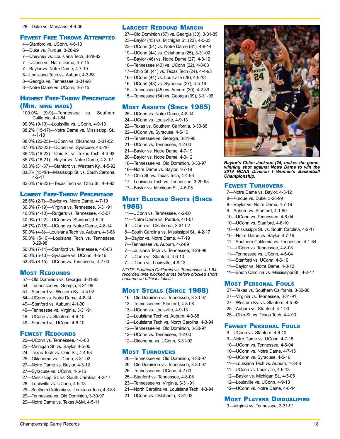#### 28—Duke vs. Maryland, 4-4-06

#### **FEWEST FREE THROWS ATTEMPTED**

- 4—Stanford vs. UConn, 4-6-10
- 6—Duke vs. Purdue, 3-28-99
- 7—Cheyney vs. Louisiana Tech, 3-28-82
- 7—UConn vs. Notre Dame, 4-7-15
- 7—Baylor vs. Notre Dame, 4-7-19
- 8—Louisiana Tech vs. Auburn, 4-3-88
- 8—Georgia vs. Tennessee, 3-31-96
- 8—Notre Dame vs. UConn, 4-7-15

#### Highest Free-Throw Percentage (Min. nine made)

- 100.0% (9-9)—Tennessee vs. Southern California, 4-1-84
- 90.0% (9-10)—Louisville vs. UConn, 4-9-13
- 88.2% (15-17)—Notre Dame vs. Mississippi St., 4-1-18
- 88.0% (22-25)—UConn vs. Oklahoma, 3-31-02
- 87.0% (20-23)—UConn vs. Syracuse, 4-5-16
- 86.4% (19-22)—Ohio St. vs. Texas Tech, 4-4-93
- 85.7% (18-21)—Baylor vs. Notre Dame, 4-3-12
- 83.8% (31-37)—Stanford vs. Western Ky., 4-5-92
- 83.3% (15-18)—Mississippi St. vs. South Carolina, 4-2-17

82.6% (19-23)—Texas Tech vs. Ohio St., 4-4-93

#### Lowest Free-Throw Percentage

- 28.6% (2-7)—Baylor vs. Notre Dame, 4-7-19 36.8% (7-19)—Virginia vs. Tennessee, 3-31-91 40.0% (4-10)—Rutgers vs. Tennessee, 4-3-07 40.9% (9-22)—UConn vs. Stanford, 4-6-10 46.7% (7-15)—UConn vs. Notre Dame, 4-8-14 50.0% (4-8)—Louisiana Tech vs. Auburn, 4-3-88 50.0% (5-10)—Louisiana Tech vs. Tennessee, 3-29-98 50.0% (7-14)—Stanford vs. Tennessee, 4-8-08 50.0% (5-10)—Syracuse vs. UConn, 4-5-16
- 53.3% (8-15)—UConn vs. Tennessee, 4-2-00

#### **MOST REBOUNDS**

57—Old Dominion vs. Georgia, 3-31-85 54—Tennessee vs. Georgia, 3-31-96 51—Stanford vs. Western Ky., 4-5-92 54—UConn vs. Notre Dame, 4-8-14 49—Stanford vs. Auburn, 4-1-90 49—Tennessee vs. Virginia, 3-31-91 49—UConn vs. Stanford, 4-6-10 49—Stanford vs. UConn, 4-6-10

### Fewest Rebounds

- 22—UConn vs. Tennessee, 4-8-03
- 22—Michigan St. vs. Baylor, 4-5-05
- 24—Texas Tech vs. Ohio St., 4-4-93
- 25—Oklahoma vs. UConn, 3-31-02
- 27—Notre Dame vs. Baylor, 4-3-12
- 27—Syracuse vs. UConn, 4-5-16
- 27—Mississippi St. vs. South Carolina, 4-2-17
- 28—Louisville vs. UConn, 4-9-13
- 29—Southern California vs. Louisiana Tech, 4-3-83
- 29—Tennessee vs. Old Dominion, 3-30-97
- 29—Notre Dame vs. Texas A&M, 4-5-11

### **LARGEST REBOUND MARGIN**

27—Old Dominion (57) vs. Georgia (30), 3-31-85 23—Baylor (45) vs. Michigan St. (22), 4-5-05 23—UConn (54) vs. Notre Dame (31), 4-8-14 19—UConn (44) vs. Oklahoma (25), 3-31-02 19—Baylor (46) vs. Notre Dame (27), 4-3-12 18—Tennessee (40) vs. UConn (22), 4-8-03 17—Ohio St. (41) vs. Texas Tech (24), 4-4-93 16—UConn (44) vs. Louisville (28), 4-9-13 16—UConn (43) vs. Syracuse (27), 4-5-16 15—Tennessee (45) vs. Auburn (30), 4-2-89 15—Tennessee (54) vs. Georgia (39), 3-31-96

### Most Assists (Since 1985)

25—UConn vs. Notre Dame, 4-8-14 24—UConn vs. Louisville, 4-9-13 22—Texas vs. Southern California, 3-30-86 22—UConn vs. Syracuse, 4-5-16 21—Tennessee vs. Georgia, 3-31-96 21—UConn vs. Tennessee, 4-2-00 21—Baylor vs. Notre Dame, 4-7-19 20—Baylor vs. Notre Dame, 4-3-12 18—Tennessee vs. Old Dominion, 3-30-97 18—Notre Dame vs. Baylor, 4-7-19 17—Ohio St. vs. Texas Tech, 4-4-93 17—Louisiana Tech vs. Tennessee, 3-29-98 17—Baylor vs. Michigan St., 4-5-05

### **Most BLOCKED SHOTS (SINCE** 1988)

- 11—UConn vs. Tennessee, 4-2-00
- 11—Notre Dame vs. Purdue, 4-1-01
- 9—UConn vs. Oklahoma, 3-31-02
- 8—South Carolina vs. Mississippi St., 4-2-17
- 8—Baylor vs. Notre Dame, 4-7-19
- 7—Tennessee vs. Auburn, 4-2-89
- 7—Louisiana Tech vs. Tennessee, 3-29-98
- 7—UConn vs. Stanford, 4-6-10
- 7—UConn vs. Louisville, 4-9-13

*NOTE: Southern California vs. Tennessee, 4-1-84, recorded nine blocked shots before blocked shots became an official statistic.*

### Most Steals (Since 1988)

- 16—Old Dominion vs. Tennessee, 3-30-97
- 13—Tennessee vs. Stanford, 4-8-08
- 13—UConn vs. Louisville, 4-9-13
- 12—Louisiana Tech vs. Auburn, 4-3-88
- 12—Louisiana Tech vs. North Carolina, 4-3-94
- 12—Tennessee vs. Old Dominion, 3-30-97
- 12—UConn vs. Tennessee, 4-2-00
- 12—Oklahoma vs. UConn, 3-31-02

#### Most Turnovers

- 26—Tennessee vs. Old Dominion, 3-30-97
- 26—Old Dominion vs. Tennessee, 3-30-97
- 26—Tennessee vs. UConn, 4-2-00
- 25—Stanford vs. Tennessee, 4-8-08
- 23—Tennessee vs. Virginia, 3-31-91
- 21—North Carolina vs. Louisiana Tech, 4-3-94
- 21—UConn vs. Oklahoma, 3-31-02



*Baylor's Chloe Jackson (24) makes the gamewinning shot against Notre Dame to win the 2019 NCAA Division I Women's Basketball Championship.*

#### Fewest Turnovers

- 7—Notre Dame vs. Baylor, 4-3-12 8—Purdue vs. Duke, 3-28-99 8—Baylor vs. Notre Dame, 4-7-19
- 9—Auburn vs. Stanford, 4-1-90
- 10—UConn vs. Tennessee, 4-6-04
- 10—UConn vs. Stanford, 4-6-10
- 10—Mississippi St. vs. South Carolina, 4-2-17
- 10—Notre Dame vs. Baylor, 4-7-19
- 11—Southern California vs. Tennessee, 4-1-84
- 11—UConn vs. Tennessee, 4-8-03
- 11—Tennessee vs. UConn, 4-6-04
- 11—Stanford vs. UConn, 4-6-10
- 11—Baylor vs. Notre Dame, 4-3-12
- 11—South Carolina vs. Mississippi St., 4-2-17

#### **MOST PERSONAL FOULS**

27—Texas vs. Southern California, 3-30-86 27—Virginia vs. Tennessee, 3-31-91 27—Western Ky. vs. Stanford, 4-5-92 25—Auburn vs. Stanford, 4-1-90 25—Ohio St. vs. Texas Tech, 4-4-93

#### Fewest Personal Fouls

9—UConn vs. Stanford, 4-6-10 9—Notre Dame vs. UConn, 4-7-15 10—UConn vs. Tennessee, 4-6-04 10—UConn vs. Notre Dame, 4-7-15 10—UConn vs. Syracuse, 4-5-16 11—Louisiana Tech vs. Auburn, 4-3-88 11—UConn vs. Louisville, 4-9-13 12—Baylor vs. Michigan St., 4-5-05 12—Louisville vs. UConn, 4-9-13 12—UConn vs. Notre Dame, 4-8-14

#### **MOST PLAYERS DISQUALIFIED**

3—Virginia vs. Tennessee, 3-31-91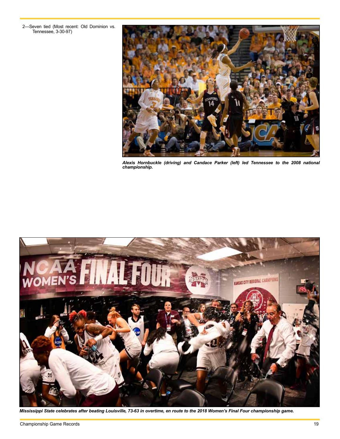2—Seven tied (Most recent: Old Dominion vs. Tennessee, 3-30-97)



*Alexis Hornbuckle (driving) and Candace Parker (left) led Tennessee to the 2008 national championship.* 



*Mississippi State celebrates after beating Louisville, 73-63 in overtime, en route to the 2018 Women's Final Four championship game.*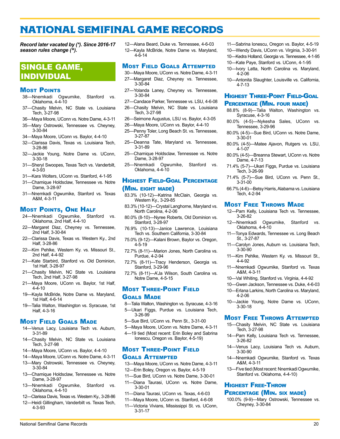# <span id="page-15-0"></span>NATIONAL SEMIFINAL GAME RECORDS

*Record later vacated by (\*). Since 2016-17 season rules change (^).*

# SINGLE GAME, INDIVIDUAL

#### **MOST POINTS**

- 38—Nnemkadi Ogwumike, Stanford vs. Oklahoma, 4-4-10
- 37—Chasity Melvin, NC State vs. Louisiana Tech, 3-27-98
- 36—Maya Moore, UConn vs. Notre Dame, 4-3-11
- 35—Mary Ostrowski, Tennessee vs. Cheyney, 3-30-84
- 34—Maya Moore, UConn vs. Baylor, 4-4-10
- 32—Clarissa Davis, Texas vs. Louisiana Tech, 3-28-86
- 32—Jackie Young, Notre Dame vs. UConn, 3-30-18
- 31—Sheryl Swoopes, Texas Tech vs. Vanderbilt, 4-3-93
- 31—Kara Wolters, UConn vs. Stanford, 4-1-95
- 31—Chamique Holdsclaw, Tennessee vs. Notre Dame, 3-28-97
- 31—Nnemkadi Ogwumike, Stanford vs. Texas A&M, 4-3-11

### **MOST POINTS, ONE HALF**

- 24—Nnemkadi Ogwumike, Stanford vs. Oklahoma, 2nd Half, 4-4-10
- 22—Margaret Diaz, Cheyney vs. Tennessee, 2nd Half, 3-30-84
- 22—Clarissa Davis, Texas vs. Western Ky., 2nd Half, 3-28-86
- 22—Kim Pehlke, Western Ky. vs. Missouri St., 2nd Half, 4-4-92
- 21—Kate Starbird, Stanford vs. Old Dominion, 1st Half, 3-28-97
- 21—Chasity Melvin, NC State vs. Louisiana Tech, 2nd Half, 3-27-98
- 21—Maya Moore, UConn vs. Baylor, 1st Half, 4-4-10
- 19—Kayla McBride, Notre Dame vs. Maryland, 1st Half, 4-6-14
- 19—Talia Walton, Washington vs. Syracuse, 1st Half, 4-3-16

#### **MOST FIELD GOALS MADE**

- 14—Venus Lacy, Louisiana Tech vs. Auburn, 3-31-89
- 14—Chasity Melvin, NC State vs. Louisiana Tech, 3-27-98
- 14—Maya Moore, UConn vs. Baylor, 4-4-10
- 14—Maya Moore, UConn vs. Notre Dame, 4-3-11
- 13—Mary Ostrowski, Tennessee vs. Cheyney, 3-30-84
- 13—Chamique Holdsclaw, Tennessee vs. Notre Dame, 3-28-97
- 13—Nnemkadi Ogwumike, Stanford vs. Oklahoma, 4-4-10
- 12—Clarissa Davis, Texas vs. Western Ky., 3-28-86
- 12—Heidi Gillingham, Vanderbilt vs. Texas Tech, 4-3-93

12—Alana Beard, Duke vs. Tennessee, 4-6-03 12—Kayla McBride, Notre Dame vs. Maryland, 4-6-14

#### Most Field Goals Attempted

- 30—Maya Moore, UConn vs. Notre Dame, 4-3-11
- 27—Margaret Diaz, Cheyney vs. Tennessee, 3-30-84
- 27—Yolanda Laney, Cheyney vs. Tennessee, 3-30-84
- 27—Candace Parker, Tennessee vs. LSU, 4-6-08
- 26—Chasity Melvin, NC State vs. Louisiana Tech, 3-27-98
- 26—Seimone Augustus, LSU vs. Baylor, 4-3-05
- 26—Maya Moore, UConn vs. Baylor, 4-4-10
- 25—Penny Toler, Long Beach St. vs. Tennessee, 3-27-87
- 25—Deanna Tate, Maryland vs. Tennessee, 3-31-89
- 25—Chamique Holdsclaw, Tennessee vs. Notre Dame, 3-28-97
- 25—Nnemkadi Ogwumike, Stanford vs. Oklahoma, 4-4-10

### Highest Field-Goal Percentage (Min. eight made)

- 83.3% (10-12)—Katrina McClain, Georgia vs. Western Ky., 3-29-85
- 83.3% (10-12)—Crystal Langhorne, Maryland vs. North Carolina, 4-2-06
- 80.0% (8-10)—Nyree Roberts, Old Dominion vs. Stanford, 3-28-97
- 76.9% (10-13)—Janice Lawrence, Louisiana Tech vs. Southern California, 3-30-84
- 75.0% (9-12)—Kalani Brown, Baylor vs. Oregon, 4-5-19
- 72.7% (8-11)—Marion Jones, North Carolina vs. Purdue, 4-2-94
- 72.7% (8-11)—Tracy Henderson, Georgia vs. Stanford, 3-29-96
- 72.7% (8-11)—A'Ja Wilson, South Carolina vs. Notre Dame, 4-5-15

#### Most Three-Point Field Goals Made

- 8—Talia Walton, Washington vs. Syracuse, 4-3-16
- 5—Ukari Figgs, Purdue vs. Louisiana Tech, 3-26-99
- 5—Sue Bird, UConn vs. Penn St., 3-31-00
- 5—Maya Moore, UConn vs. Notre Dame, 4-3-11
- 4—19 tied (Most recent: Erin Boley and Sabrina Ionescu, Oregon vs. Baylor, 4-5-19)

### Most Three-Point Field Goals Attempted

- 13—Maya Moore, UConn vs. Notre Dame, 4-3-11 12—Erin Boley, Oregon vs. Baylor, 4-5-19
- 11—Sue Bird, UConn vs. Notre Dame, 3-30-01
- 11—Diana Taurasi, UConn vs. Notre Dame, 3-30-01
- 11—Diana Taurasi, UConn vs. Texas, 4-6-03
- 11—Maya Moore, UConn vs. Stanford, 4-6-08
- 11—Victoria Vivians, Mississippi St. vs. UConn, 3-31-17

National Semifinal Game Records 20

- 11—Sabrina Ionescu, Oregon vs. Baylor, 4-5-19
- 10—Wendy Davis, UConn vs. Virginia, 3-30-91
- 10—Kedra Holland, Georgia vs. Tennessee, 4-1-95
- 10—Kate Paye, Stanford vs. UConn, 4-1-95
- 10—Ivory Latta, North Carolina vs. Maryland, 4-2-06
- 10—Antonita Slaughter, Louisville vs. California, 4-7-13

# Highest Three-Point Field-Goal

#### Percentage (Min. four made)

- 88.8% (8-9)—Talia Walton, Washington vs. Syracuse, 4-3-16
- 80.0% (4-5)—Nykesha Sales, UConn vs. Tennessee, 3-29-96
- 80.0% (4-5)—Sue Bird, UConn vs. Notre Dame, 3-30-01
- 80.0% (4-5)—Matee Ajavon, Rutgers vs. LSU, 4-1-07
- 80.0% (4-5)—Breanna Stewart, UConn vs. Notre Dame, 4-7-13
- 71.4% (5-7)—Ukari Figgs, Purdue vs. Louisiana Tech, 3-26-99
- 71.4% (5-7)—Sue Bird, UConn vs. Penn St., 3-31-00
- 66.7% (4-6)—Betsy Harris, Alabama vs. Louisiana Tech, 4-2-94

#### **MOST FREE THROWS MADE**

- 12—Pam Kelly, Louisiana Tech vs. Tennessee, 3-26-82
- 12—Nnemkadi Ogwumike, Stanford vs. Oklahoma, 4-4-10
- 11—Tonya Edwards, Tennessee vs. Long Beach St., 3-27-87
- 11—Carolyn Jones, Auburn vs. Louisiana Tech, 3-30-90
- 11—Kim Pehlke, Western Ky. vs. Missouri St., 4-4-92
- 11—Nnemkadi Ogwumike, Stanford vs. Texas A&M, 4-3-11
- 10—Val Whiting, Stanford vs. Virginia, 4-4-92
- 10—Gwen Jackson, Tennessee vs. Duke, 4-6-03
- 10—Erlana Larkins, North Carolina vs. Maryland, 4-2-06
- 10—Jackie Young, Notre Dame vs. UConn, 3-30-18

#### Most Free Throws Attempted

- 15—Chasity Melvin, NC State vs. Louisiana Tech, 3-27-98
- 14—Pam Kelly, Louisiana Tech vs. Tennessee, 3-26-82 14—Venus Lacy, Louisiana Tech vs. Auburn,

14—Nnemkadi Ogwumike, Stanford vs. Texas

13—Five tied (Most recent: Nnemkadi Ogwumike, Stanford vs. Oklahoma, 4-4-10)

3-30-90

A&M, 4-3-11

Highest Free-Throw

Cheyney, 3-30-84

Percentage (Min. six made) 100.0% (9-9)—Mary Ostrowski, Tennessee vs.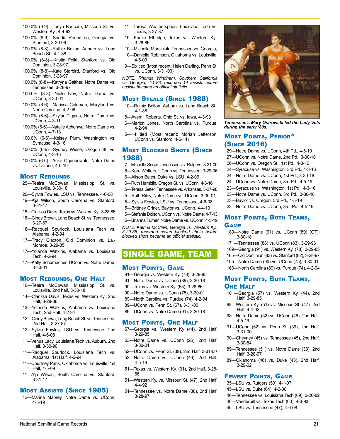- 100.0% (9-9)—Tonya Baucom, Missouri St. vs. Western Ky., 4-4-92
- 100.0% (9-9)—Saudia Roundtree, Georgia vs. Stanford, 3-29-96
- 100.0% (8-8)—Ruthie Bolton, Auburn vs. Long Beach St., 4-1-88
- 100.0% (8-8)—Kristin Folkl, Stanford vs. Old Dominion, 3-28-97
- 100.0% (8-8)—Kate Starbird, Stanford vs. Old Dominion, 3-28-97
- 100.0% (8-8)—Katryna Gaither, Notre Dame vs. Tennessee, 3-28-97
- 100.0% (8-8)—Niele Ivey, Notre Dame vs. UConn, 3-30-01
- 100.0% (6-6)—Marissa Coleman, Maryland vs. North Carolina, 4-2-06
- 100.0% (6-6)—Skylar Diggins, Notre Dame vs. UConn, 4-3-11
- 100.0% (6-6)—Natalie Achonwa, Notre Dame vs. UConn, 4-7-13
- 100.0% (6-6)—Kelsey Plum, Washington vs. Syracuse, 4-3-16
- 100.0% (6-6)—Sydney Wiese, Oregon St. vs. UConn, 4-3-16
- 100.0% (6-6)—Arike Ogunbowale, Notre Dame vs. UConn, 4-5-19

#### **MOST REBOUNDS**

- 25—Teaira McCowan, Mississippi St. vs. Louisville, 3-30-18
- 20—Sylvia Fowles, LSU vs. Tennessee, 4-6-08
- 19—A'ja Wilson, South Carolina vs. Stanford, 3-31-17
- 18—Clarissa Davis, Texas vs. Western Ky., 3-28-86
- 18—Cindy Brown, Long Beach St. vs. Tennessee, 3-27-87
- 18—Racquel Spurlock, Louisiana Tech vs. Alabama, 4-2-94
- 17—Tracy Claxton, Old Dominion vs. La.- Monroe, 3-29-85
- 17—Yolanda Watkins, Alabama vs. Louisiana Tech, 4-2-94
- 17—Kelly Schumacher, UConn vs. Notre Dame, 3-30-01

### Most Rebounds, One Half

- 16—Teaira McCowan, Mississippi St. vs. Louisville, 2nd half, 3-30-18
- 14—Clarissa Davis, Texas vs. Western Ky., 2nd Half, 3-28-86
- 13—Yolanda Watkins, Alabama vs. Louisiana Tech, 2nd Half, 4-2-94
- 12—Cindy Brown, Long Beach St. vs. Tennessee, 2nd Half, 3-27-87
- 12—Sylvia Fowles, LSU vs. Tennessee, 2nd Half, 4-6-08
- 11—Venus Lacy, Louisiana Tech vs. Auburn, 2nd Half, 3-30-90
- 11—Racquel Spurlock, Louisiana Tech vs. Alabama, 1st Half, 4-2-94
- 11—Courtney Paris, Oklahoma vs. Louisville, 1st Half, 4-5-09
- 11—A'ja Wilson, South Carolina vs. Stanford, 3-31-17

### Most Assists (Since 1985)

12—Marina Mabrey, Notre Dame vs. UConn, 4-5-19

- 11—Teresa Weatherspoon, Louisiana Tech vs. Texas, 3-27-87
- 10—Kamie Ethridge, Texas vs. Western Ky., 3-28-86
- 10—Michelle Marciniak, Tennessee vs. Georgia,
- 10—Danielle Robinson, Oklahoma vs. Louisville, 4-5-09
- 9—Six tied (Most recent: Helen Darling, Penn St. vs. UConn, 3-31-00)

*NOTE: Rhonda Windham, Southern California vs. Georgia, 4-1-83, recorded 14 assists before assists became an official statistic.*

### Most Steals (Since 1988)

- 10—Ruthie Bolton, Auburn vs. Long Beach St., 4-1-88
- 8—Averrill Roberts, Ohio St. vs. Iowa, 4-3-93
- 6—Marion Jones, North Carolina vs. Purdue, 4-2-94
- 5—14 tied (Most recent: Moriah Jefferson, UConn vs. Stanford, 4-6-14)

### **Most BLOCKED SHOTS (SINCE** 1988)

- 7—Michelle Snow, Tennessee vs. Rutgers, 3-31-00
- 6—Kara Wolters, UConn vs. Tennessee, 3-29-96
- 6—Alison Bales, Duke vs. LSU, 4-2-06
- 6—Ruth Hamblin, Oregon St. vs. UConn, 4-3-16
- 5—Teresa Geter, Tennessee vs. Arkansas, 3-27-98
- 5—Ruth Riley, Notre Dame vs. UConn, 3-30-01
- 5—Sylvia Fowles, LSU vs. Tennessee, 4-6-08
- 5—Brittney Griner, Baylor vs. UConn, 4-4-10
- 5—Stefanie Dolson, UConn vs. Notre Dame, 4-7-13
- 5—Brianna Turner, Notre Dame vs. UConn, 4-5-19

*NOTE: Katrina McClain, Georgia vs. Western Ky., 3-29-85, recorded seven blocked shots before blocked shots became an official statistic.*

# SINGLE GAME, TEAM

#### **MOST POINTS, GAME**

- 91—Georgia vs. Western Ky. (78), 3-29-85
- 91—Notre Dame vs. UConn (89), 3-30-18
- 90—Texas vs. Western Ky. (65), 3-28-86
- 90—Notre Dame vs. UConn (75), 3-30-01
- 89—North Carolina vs. Purdue (74), 4-2-94
- 89—UConn vs. Penn St. (67), 3-31-00
- 89—UConn vs. Notre Dame (91), 3-30-18

### **MOST POINTS, ONE HALF**

- 57—Georgia vs. Western Ky (44), 2nd Half, 3-29-85
- 53—Notre Dame vs. UConn (26), 2nd Half, 3-30-01
- 52—UConn vs. Penn St. (39), 2nd Half, 3-31-00 52—Notre Dame vs. UConn (46), 2nd Half, 4-5-19
- 51—Texas vs. Western Ky. (31), 2nd Half, 3-28- 86
- 51—Western Ky. vs. Missouri St. (47), 2nd Half, 4-4-92
- 51—Tennessee vs. Notre Dame (38), 2nd Half, 3-28-97

National Semifinal Game Records 21



*Tennessee's Mary Ostrowski led the Lady Vols during the early '80s.*

### **MOST POINTS, PERIOD^** (Since 2016)

- 29—Notre Dame vs. UConn, 4th Pd., 4-5-19
- 27—UConn vs. Notre Dame, 2nd Pd., 3-30-18
- 26—UConn vs. Oregon St., 1st Pd., 4-3-16
- 24—Syracuse vs. Washington, 3rd Pd., 4-3-16
- 24—Notre Dame vs. UConn, 1st Pd., 3-30-18
- 24—UConn vs. Notre Dame, 3rd Pd., 4-5-19
- 23—Syracuse vs. Washington, 1st Pd., 4-3-16
- 23—Notre Dame vs. UConn, 3rd Pd., 3-30-18
- 23—Baylor vs. Oregon, 3rd Pd., 4-5-19
- 23—Notre Dame vs. UConn, 3rd. Pd., 4-5-19

### Most Points, Both Teams, **GAME**

180—Notre Dame (91) vs. UConn (89) (OT), 3-30-18

171—Tennessee (88) vs. UConn (83), 3-29-96 169—Georgia (91) vs. Western Ky. (78), 3-29-85 165—Old Dominion (83) vs. Stanford (82), 3-28-97 165—Notre Dame (90) vs. UConn (75), 3-30-01 163—North Carolina (89) vs. Purdue (74), 4-2-94

### **Most Points, Both Teams, ONE HALF**

- 101—Georgia (57) vs. Western Ky. (44), 2nd Half, 3-29-85
- 98—Western Ky. (51) vs. Missouri St. (47), 2nd Half, 4-4-92
- 98—Notre Dame (52) vs. UConn (46), 2nd Half, 4-5-19
- 91—UConn (52) vs. Penn St. (39), 2nd Half, 3-31-00
- 90—Cheyney (45) vs. Tennessee (45), 2nd Half, 3-30-84
- 89—Tennessee (51) vs. Notre Dame (38), 2nd Half, 3-28-97
- 89—Oklahoma (46) vs. Duke (43), 2nd Half, 3-29-02

46—Tennessee vs. Louisiana Tech (69), 3-26-82 46—Vanderbilt vs. Texas Tech (60), 4-3-93 46—LSU vs. Tennessee (47), 4-6-08

### **FEWEST POINTS, GAME**

35—LSU vs. Rutgers (59), 4-1-07 45—LSU vs. Duke (64), 4-2-06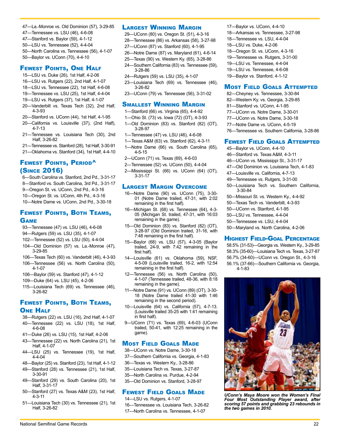- 47—La.-Monroe vs. Old Dominion (57), 3-29-85
- 47—Tennessee vs. LSU (46), 4-6-08 47—Stanford vs. Baylor (59), 4-1-12
- 50—LSU vs. Tennessee (52), 4-4-04

50—North Carolina vs. Tennessee (56), 4-1-07

50—Baylor vs. UConn (70), 4-4-10

### Fewest Points, One Half

- 15—LSU vs. Duke (26), 1st Half, 4-2-06
- 16—LSU vs. Rutgers (22), 2nd Half, 4-1-07
- 18—LSU vs. Tennessee (22), 1st Half, 4-6-08
- 19—Tennessee vs. LSU (25), 1st Half, 4-4-04
- 19—LSU vs. Rutgers (37), 1st Half, 4-1-07
- 20—Vanderbilt vs. Texas Tech (32), 2nd Half, 4-3-93
- 20—Stanford vs. UConn (44), 1st Half, 4-1-95
- 20—California vs. Louisville (37), (2nd Half), 4-7-13
- 21—Tennessee vs. Louisiana Tech (30), 2nd Half, 3-26-82
- 21—Tennessee vs. Stanford (28), 1st Half, 3-30-91
- 21—Oklahoma vs. Stanford (34), 1st Half, 4-4-10

### Fewest Points, Period^ (Since 2016)

6—South Carolina vs. Stanford, 2nd Pd., 3-31-17

- 8—Stanford vs. South Carolina, 3rd Pd., 3-31-17
- 9—Oregon St. vs. UConn, 2nd Pd., 4-3-16
- 10—Oregon St. vs. UConn, 4th Pd., 4-3-16
- 10—Notre Dame vs. UConn, 2nd Pd., 3-30-18

### Fewest Points, Both Teams, Game

- 93—Tennessee (47) vs. LSU (46), 4-6-08
- 94—Rutgers (59) vs. LSU (35), 4-1-07
- 102—Tennessee (52) vs. LSU (50), 4-4-04
- 104—Old Dominion (57) vs. La.-Monroe (47), 3-29-85
- 106—Texas Tech (60) vs. Vanderbilt (46), 4-3-93
- 106—Tennessee (56) vs. North Carolina (50), 4-1-07
- 106—Baylor (59) vs. Stanford (47), 4-1-12
- 109—Duke (64) vs. LSU (45), 4-2-06
- 115—Louisiana Tech (69) vs. Tennessee (46), 3-26-82

### Fewest Points, Both Teams, **ONE HALF**

38—Rutgers (22) vs. LSU (16), 2nd Half, 4-1-07

- 40—Tennessee (22) vs. LSU (18), 1st Half, 4-6-08
- 41—Duke (26) vs. LSU (15), 1st Half, 4-2-06
- 43—Tennessee (22) vs. North Carolina (21), 1st Half, 4-1-07
- 44—LSU (25) vs. Tennessee (19), 1st Half, 4-4-04
- 48—Baylor (25) vs. Stanford (23), 1st Half, 4-1-12
- 49—Stanford (28) vs. Tennessee (21), 1st Half, 3-30-91
- 49—Stanford (29) vs. South Carolina (20), 1st Half, 3-31-17
- 50—Stanford (27) vs. Texas A&M (23), 1st Half, 4-3-11
- 51—Louisiana Tech (30) vs. Tennessee (21), 1st Half, 3-26-82

### Largest Winning Margin

- 29—UConn (80) vs. Oregon St. (51), 4-3-16
- 28—Tennessee (86) vs. Arkansas (58), 3-27-98
- 27—UConn (87) vs. Stanford (60), 4-1-95
- 26—Notre Dame (87) vs. Maryland (61), 4-6-14
- 25—Texas (90) vs. Western Ky. (65), 3-28-86
- 24—Southern California (83) vs. Tennessee (59), 3-28-86
- 24—Rutgers (59) vs. LSU (35), 4-1-07
- 23—Louisiana Tech (69) vs. Tennessee (46), 3-26-82
- 23—UConn (79) vs. Tennessee (56), 3-31-02

### **SMALLEST WINNING MARGIN**

- 1—Stanford (66) vs. Virginia (65), 4-4-92
- 1—Ohio St. (73) vs. Iowa (72) (OT), 4-3-93
- 1—Old Dominion (83) vs. Stanford (82) (OT), 3-28-97
- 1—Tennessee (47) vs. LSU (46), 4-6-08
- 1—Texas A&M (63) vs. Stanford (62), 4-3-11
- 1—Notre Dame (66) vs. South Carolina (65), 4-5-15
- 2—UConn (71) vs. Texas (69), 4-6-03
- 2—Tennessee (52) vs. UConn (50), 4-4-04
- 2—Mississippi St. (66) vs. UConn (64) (OT), 3-31-17

### Largest Margin Overcome

16—Notre Dame (90) vs. UConn (75), 3-30- 01 (Notre Dame trailed, 47-31, with 2:02 remaining in the first half).

16—Michigan St. (68) vs. Tennessee (64), 4-3- 05 (Michigan St. trailed, 47-31, with 16:03 remaining in the game).

- 15—Old Dominion (83) vs. Stanford (82) (OT), 3-28-97 (Old Dominion trailed, 31-16, with 7:48 remaining in the first half).
- 15—Baylor (68) vs. LSU (57), 4-3-05 (Baylor trailed, 24-9, with 7:42 remaining in the first half).
- 14—Louisville (61) vs. Oklahoma (59), NSF, 4-5-09 (Louisville trailed, 16-2, with 12:54 remaining in the first half).
- 12—Tennessee (56) vs. North Carolina (50), 4-1-07 (Tennessee trailed, 48-36, with 8:18 remaining in the game).
- 11—Notre Dame (91) vs. UConn (89) (OT), 3-30- 18 (Notre Dame trailed 41-30 with 1:46 remaining in the second period).

10—Louisville (64) vs. California (57), 4-7-13. (Louisville trailed 35-25 with 1:41 remaining in first half).

9—UConn (71) vs. Texas (69), 4-6-03 (UConn trailed, 50-41, with 12:25 remaining in the game).

### **MOST FIELD GOALS MADE**

- 38—UConn vs. Notre Dame, 3-30-18
- 37—Southern California vs. Georgia, 4-1-83
- 36—Texas vs. Western Ky., 3-28-86
- 35—Louisiana Tech vs. Texas, 3-27-87
- 35—North Carolina vs. Purdue, 4-2-94
- 35—Old Dominion vs. Stanford, 3-28-97

### Fewest Field Goals Made

#### 14—LSU vs. Rutgers, 4-1-07

16—Tennessee vs. Louisiana Tech, 3-26-82 17—North Carolina vs. Tennessee, 4-1-07

National Semifinal Game Records 22

- 17—Baylor vs. UConn, 4-4-10 18—Arkansas vs. Tennessee, 3-27-98 18—Tennessee vs. LSU, 4-4-04 18—LSU vs. Duke, 4-2-06 18—Oregon St. vs. UConn, 4-3-16 19—Tennessee vs. Rutgers, 3-31-00 19—LSU vs. Tennessee, 4-4-04
- 19—LSU vs. Tennessee, 4-6-08
- 19—Baylor vs. Stanford, 4-1-12

### Most Field Goals Attempted

- 82—Cheyney vs. Tennessee, 3-30-84 82—Western Ky. vs. Georgia, 3-29-85
- 81—Stanford vs. UConn, 4-1-95
- 77—UConn vs. Notre Dame, 3-30-01
- 77—UConn vs. Notre Dame, 3-30-18
- 77—Notre Dame vs. UConn, 4-5-19
- 76—Tennessee vs. Southern California, 3-28-86

### Fewest Field Goals Attempted

- 45—Baylor vs. UConn, 4-4-10
- 46—Stanford vs. Texas A&M, 4-3-11
- 46—UConn vs. Mississippi St., 3-31-17
- 47—Old Dominion vs. Louisiana Tech, 4-1-83

50—Louisiana Tech vs. Southern California,

Highest Field-Goal Percentage 58.5% (31-53)—Georgia vs. Western Ky., 3-29-85 58.3% (35-60)—Louisiana Tech vs. Texas, 3-27-87 56.7% (34-60)—UConn vs. Oregon St., 4-3-16 56.1% (37-66)—Southern California vs. Georgia,

50—Missouri St. vs. Western Ky., 4-4-92 50—Texas Tech vs. Vanderbilt, 4-3-93 50—UConn vs. Stanford, 4-1-95 50—LSU vs. Tennessee, 4-4-04 50—Tennessee vs. LSU, 4-4-04 50—Maryland vs. North Carolina, 4-2-06

*UConn's Maya Moore won the Women's Final Four Most Outstanding Player award, after scoring 57 points and grabbing 23 rebounds in* 

*the two games in 2010.*

47—Louisville vs. California, 4-7-13 49—Tennessee vs. Rutgers, 3-31-00

3-30-84

4-1-83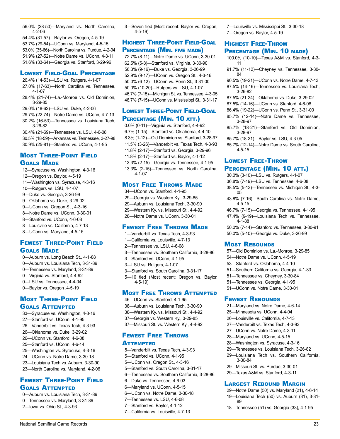56.0% (28-50)—Maryland vs. North Carolina, 4-2-06

54.4% (31-57)—Baylor vs. Oregon, 4-5-19 53.7% (29-54)—UConn vs. Maryland, 4-5-15 53.0% (35-66)—North Carolina vs. Purdue, 4-2-94 51.9% (27-52)—Notre Dame vs. UConn, 4-3-11 51.6% (33-64)—Georgia vs. Stanford, 3-29-96

### Lowest Field-Goal Percentage

- 26.4% (14-53)—LSU vs. Rutgers, 4-1-07 27.0% (17-63)—North Carolina vs. Tennessee,  $4 - 1 - 07$
- 28.4% (21-74)—La.-Monroe vs. Old Dominion, 3-29-85
- 29.0% (18-62)—LSU vs. Duke, 4-2-06
- 29.7% (22-74)—Notre Dame vs. UConn, 4-7-13 30.2% (16-53)—Tennessee vs. Louisiana Tech, 3-26-82
- 30.4% (21-69)—Tennessee vs. LSU, 4-6-08
- 30.5% (18-59)—Arkansas vs. Tennessee, 3-27-98 30.9% (25-81)—Stanford vs. UConn, 4-1-95

### Most Three-Point Field Goals Made

12—Syracuse vs. Washington, 4-3-16 12—Oregon vs. Baylor, 4-5-19 11—Washington vs. Syracuse, 4-3-16 10—Rutgers vs. LSU, 4-1-07 9—Duke vs. Georgia, 3-26-99 9—Oklahoma vs. Duke, 3-29-02 9—UConn vs. Oregon St., 4-3-16 8—Notre Dame vs. UConn, 3-30-01 8—Stanford vs. UConn, 4-6-08 8—Louisville vs. California, 4-7-13 8—UConn vs. Maryland, 4-5-15

### Fewest Three-Point Field Goals Made

0—Auburn vs. Long Beach St., 4-1-88 0—Auburn vs. Louisiana Tech, 3-31-89 0—Tennessee vs. Maryland, 3-31-89 0—Virginia vs. Stanford, 4-4-92 0—LSU vs. Tennessee, 4-4-04 0—Baylor vs. Oregon ,4-5-19

### Most Three-Point Field Goals Attempted

- 33—Syracuse vs. Washington, 4-3-16 27—Stanford vs. UConn, 4-1-95 26—Vanderbilt vs. Texas Tech, 4-3-93 26—Oklahoma vs. Duke, 3-29-02 26—UConn vs. Stanford, 4-6-08
- 25—Stanford vs. UConn, 4-6-14
- 25—Washington vs. Syracuse, 4-3-16
- 24—UConn vs. Notre Dame, 3-30-18
- 23—Louisiana Tech vs. Auburn, 3-30-90 23—North Carolina vs. Maryland, 4-2-06

### Fewest Three-Point Field Goals Attempted

0—Auburn vs. Louisiana Tech, 3-31-89 0—Tennessee vs. Maryland, 3-31-89 2—Iowa vs. Ohio St., 4-3-93

3—Seven tied (Most recent: Baylor vs. Oregon, 4-5-19)

### Highest Three-Point Field-Goal PERCENTAGE (MIN. FIVE MADE)

72.7% (8-11)—Notre Dame vs. UConn, 3-30-01 62.5% (5-8)—Stanford vs. Virginia, 3-30-90 56.3% (9-16)—Duke vs. Georgia, 3-26-99 52.9% (9-17)—UConn vs. Oregon St., 4-3-16 50.0% (6-12)—UConn vs. Penn St., 3-31-00 50.0% (10-20)—Rutgers vs. LSU, 4-1-07 46.7% (7-15)—Michigan St. vs. Tennessee, 4-3-05 46.7% (7-15)—UConn vs. Mississippi St., 3-31-17

### Lowest Three-Point Field-Goal PERCENTAGE (MIN. 10 ATT.)

0.0% (0-11)—Virginia vs. Stanford, 4-4-92 6.7% (1-15)—Stanford vs. Oklahoma, 4-4-10 8.3% (1-12)—Old Dominion vs. Stanford, 3-28-97 11.5% (3-26)—Vanderbilt vs. Texas Tech, 4-3-93 11.8% (2-17)—Stanford vs. Georgia, 3-29-96 11.8% (2-17)—Stanford vs. Baylor, 4-1-12 13.3% (2-15)—Georgia vs. Tennessee, 4-1-95 13.3% (2-15)—Tennessee vs. North Carolina, 4-1-07

### Most Free Throws Made

34—UConn vs. Stanford, 4-1-95 29—Georgia vs. Western Ky., 3-29-85 29—Auburn vs. Louisiana Tech, 3-30-90 29—Western Ky. vs. Missouri St., 4-4-92 28—Notre Dame vs. UConn, 3-30-01

### Fewest Free Throws Made

- 1—Vanderbilt vs. Texas Tech, 4-3-93
- 1—California vs. Louisville, 4-7-13
- 2—Tennessee vs. LSU, 4-6-08
- 3—Tennessee vs. Southern California, 3-28-86
- 3—Stanford vs. UConn, 4-1-95
- 3—LSU vs. Rutgers, 4-1-07
- 3—Stanford vs. South Carolina, 3-31-17
- 5—10 tied (Most recent: Oregon vs. Baylor, 4-5-19)

### Most Free Throws Attempted

- 46—UConn vs. Stanford, 4-1-95 38—Auburn vs. Louisiana Tech, 3-30-90 38—Western Ky. vs. Missouri St., 4-4-92 37—Georgia vs. Western Ky., 3-29-85
- 37—Missouri St. vs. Western Ky., 4-4-92

### Fewest Free Throws **ATTEMPTED**

- 5—Vanderbilt vs. Texas Tech, 4-3-93
- 5—Stanford vs. UConn, 4-1-95
- 5—UConn vs. Oregon St., 4-3-16
- 5—Stanford vs. South Carolina, 3-31-17
- 6—Tennessee vs. Southern California, 3-28-86
- 6—Duke vs. Tennessee, 4-6-03
- 6—Maryland vs. UConn, 4-5-15
- 6—UConn vs. Notre Dame, 3-30-18
- 7—Tennessee vs. LSU, 4-6-08
- 7—Stanford vs. Baylor, 4-1-12
- 7—California vs. Louisville, 4-7-13

7—Louisville vs. Mississippi St., 3-30-18 7—Oregon vs. Baylor, 4-5-19

### Highest Free-Throw PERCENTAGE (MIN. 10 MADE)

- 100.0% (10-10)—Texas A&M vs. Stanford, 4-3- 11
- 91.7% (11-12)—Cheyney vs. Tennessee, 3-30- 84
- 90.5% (19-21)—UConn vs. Notre Dame, 4-7-13
- 87.5% (14-16)—Tennessee vs. Louisiana Tech, 3-26-82
- 87.5% (21-24)—Oklahoma vs. Duke, 3-29-02
- 87.5% (14-16)—UConn vs. Stanford, 4-6-08
- 86.4% (19-22)—UConn vs. Penn St., 3-31-00
- 85.7% (12-14)—Notre Dame vs. Tennessee, 3-28-97
- 85.7% (18-21)—Stanford vs. Old Dominion, 3-28-97
- 85.7% (18-21)—Baylor vs. LSU, 4-3-05
- 85.7% (12-14)—Notre Dame vs. South Carolina, 4-5-15

### Lowest Free-Throw PERCENTAGE (MIN. 10 ATT.)

- 30.0% (3-10)—LSU vs. Rutgers, 4-1-07
- 36.8% (7-19)—LSU vs. Tennessee, 4-6-08 38.5% (5-13)—Tennessee vs. Michigan St., 4-3-
- 05 43.8% (7-16)—South Carolina vs. Notre Dame,
- 4-5-15
- 46.7% (7-15)—Georgia vs. Tennessee, 4-1-95
- 47.4% (9-19)—Louisiana Tech vs. Tennessee, 4-1-88

50.0% (7-14)—Stanford vs. Tennessee, 3-30-91 50.0% (5-10)—Georgia vs. Duke, 3-26-99

### **MOST REBOUNDS**

- 57—Old Dominion vs. La.-Monroe, 3-29-85
- 54—Notre Dame vs. UConn, 4-5-19
- 53—Stanford vs. Oklahoma, 4-4-10
- 51—Southern California vs. Georgia, 4-1-83
- 51—Tennessee vs. Cheyney, 3-30-84
- 51—Tennessee vs. Georgia, 4-1-95
- 51—UConn vs. Notre Dame, 3-30-01

### **FEWEST REBOUNDS**

- 21—Maryland vs. Notre Dame, 4-6-14
- 25—Minnesota vs. UConn, 4-4-04
- 26—Louisville vs. California, 4-7-13
- 27—Vanderbilt vs. Texas Tech, 4-3-93
- 27—UConn vs. Notre Dame, 4-3-11
- 28—Maryland vs. UConn, 4-5-15
- 28—Washington vs. Syracuse, 4-3-16
- 29—Tennessee vs. Louisiana Tech, 3-26-82
- 29—Louisiana Tech vs. Southern California, 3-30-84
- 29—Missouri St. vs. Purdue, 3-30-01
- 29—Texas A&M vs. Stanford, 4-3-11

### Largest Rebound Margin

- 29—Notre Dame (50) vs. Maryland (21), 4-6-14 19—Louisiana Tech (50) vs. Auburn (31), 3-31- 89
- 18—Tennessee (51) vs. Georgia (33), 4-1-95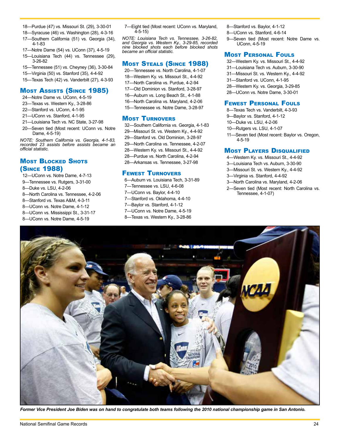- 18—Purdue (47) vs. Missouri St. (29), 3-30-01
- 18—Syracuse (46) vs. Washington (28), 4-3-16
- 17—Southern California (51) vs. Georgia (34), 4-1-83
- 17—Notre Dame (54) vs. UConn (37), 4-5-19
- 15—Louisiana Tech (44) vs. Tennessee (29), 3-26-82
- 15—Tennessee (51) vs. Cheyney (36), 3-30-84
- 15—Virginia (50) vs. Stanford (35), 4-4-92
- 15—Texas Tech (42) vs. Vanderbilt (27), 4-3-93

### Most Assists (Since 1985)

- 24—Notre Dame vs. UConn, 4-5-19
- 23—Texas vs. Western Ky., 3-28-86
- 22—Stanford vs. UConn, 4-1-95
- 21—UConn vs. Stanford, 4-1-95
- 21—Louisiana Tech vs. NC State, 3-27-98
- 20—Seven tied (Most recent: UConn vs. Notre Dame, 4-5-19)

*NOTE: Southern California vs. Georgia, 4-1-83, recorded 23 assists before assists became an official statistic.*

### **MOST BLOCKED SHOTS** (Since 1988)

- 12—UConn vs. Notre Dame, 4-7-13
- 9—Tennessee vs. Rutgers, 3-31-00
- 8—Duke vs. LSU, 4-2-06
- 8—North Carolina vs. Tennessee, 4-2-06
- 8—Stanford vs. Texas A&M, 4-3-11
- 8—UConn vs. Notre Dame, 4-1-12
- 8—UConn vs. Mississippi St., 3-31-17
- 8—UConn vs. Notre Dame, 4-5-19

7—Eight tied (Most recent: UConn vs. Maryland, 4-5-15)

*NOTE: Louisiana Tech vs. Tennessee, 3-26-82, and Georgia vs. Western Ky., 3-29-85, recorded nine blocked shots each before blocked shots became an official statistic.*

### Most Steals (Since 1988)

- 20—Tennessee vs. North Carolina, 4-1-07
- 18—Western Ky. vs. Missouri St., 4-4-92
- 17—North Carolina vs. Purdue, 4-2-94
- 17—Old Dominion vs. Stanford, 3-28-97
- 16—Auburn vs. Long Beach St., 4-1-88
- 16—North Carolina vs. Maryland, 4-2-06
- 15—Tennessee vs. Notre Dame, 3-28-97

### Most Turnovers

32—Southern California vs. Georgia, 4-1-83 29—Missouri St. vs. Western Ky., 4-4-92 29—Stanford vs. Old Dominion, 3-28-97 29—North Carolina vs. Tennessee, 4-2-07 28—Western Ky. vs. Missouri St., 4-4-92 28—Purdue vs. North Carolina, 4-2-94 28—Arkansas vs. Tennessee, 3-27-98

#### Fewest Turnovers

6—Auburn vs. Louisiana Tech, 3-31-89 7—Tennessee vs. LSU, 4-6-08 7—UConn vs. Baylor, 4-4-10 7—Stanford vs. Oklahoma, 4-4-10 7—Baylor vs. Stanford, 4-1-12 7—UConn vs. Notre Dame, 4-5-19

8—Texas vs. Western Ky., 3-28-86

- 8—Stanford vs. Baylor, 4-1-12
- 8—UConn vs. Stanford, 4-6-14
- 9—Seven tied (Most recent: Notre Dame vs. UConn, 4-5-19

### **MOST PERSONAL FOULS**

32—Western Ky. vs. Missouri St., 4-4-92 31—Louisiana Tech vs. Auburn, 3-30-90 31—Missouri St. vs. Western Ky., 4-4-92 31—Stanford vs. UConn, 4-1-95 28—Western Ky. vs. Georgia, 3-29-85 28—UConn vs. Notre Dame, 3-30-01

#### Fewest Personal Fouls

8—Texas Tech vs. Vanderbilt, 4-3-93

- 9—Baylor vs. Stanford, 4-1-12
- 10—Duke vs. LSU, 4-2-06
- 10—Rutgers vs. LSU, 4-1-07
- 11—Seven tied (Most recent: Baylor vs. Oregon, 4-5-19

### **MOST PLAYERS DISQUALIFIED**

- 4—Western Ky. vs. Missouri St., 4-4-92
- 3—Louisiana Tech vs. Auburn, 3-30-90
- 3—Missouri St. vs. Western Ky., 4-4-92
- 3—Virginia vs. Stanford, 4-4-92
- 3—North Carolina vs. Maryland, 4-2-06
- 2—Seven tied (Most recent: North Carolina vs. Tennessee, 4-1-07)



*Former Vice President Joe Biden was on hand to congratulate both teams following the 2010 national championship game in San Antonio.*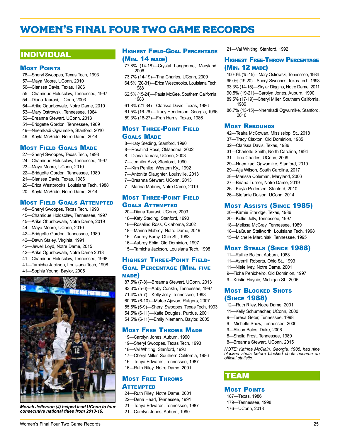# <span id="page-20-0"></span>WOMEN'S FINAL FOUR TWO GAME RECORDS

# INDIVIDUAL

#### **MOST POINTS**

78—Sheryl Swoopes, Texas Tech, 1993 57—Maya Moore, UConn, 2010 56—Clarissa Davis, Texas, 1986 55—Chamique Holdsclaw, Tennessee, 1997 54—Diana Taurasi, UConn, 2003 54—Arike Ogunbowale, Notre Dame, 2019 53—Mary Ostrowski, Tennessee, 1984 52—Breanna Stewart, UConn, 2013 51—Bridgette Gordon, Tennessee, 1989 49—Nnemkadi Ogwumike, Stanford, 2010 49—Kayla McBride, Notre Dame, 2014

#### Most Field Goals Made

- 27—Sheryl Swoopes, Texas Tech, 1993
- 24—Chamique Holdsclaw, Tennessee, 1997
- 23—Maya Moore, UConn, 2010
- 22—Bridgette Gordon, Tennessee, 1989
- 21—Clarissa Davis, Texas, 1986
- 20—Erica Westbrooks, Louisiana Tech, 1988
- 20—Kayla McBride, Notre Dame, 2014

### Most Field Goals Attempted

- 48—Sheryl Swoopes, Texas Tech, 1993
- 45—Chamique Holdsclaw, Tennessee, 1997
- 45—Arike Obunbowale, Notre Dame, 2019
- 44—Maya Moore, UConn, 2010
- 42—Bridgette Gordon, Tennessee, 1989
- 42—Dawn Staley, Virginia, 1991
- 42—Jewell Loyd, Notre Dame, 2015
- 42—Arike Ogunbowale, Notre Dame 2018
- 41—Chamique Holdsclaw, Tennessee, 1998
- 41—Tamicha Jackson, Louisiana Tech, 1998
- 41—Sophia Young, Baylor, 2005



*Moriah Jefferson (4) helped lead UConn to four consecutive national titles from 2013-16.* 

### Highest Field-Goal Percentage (Min. 14 made)

- 77.8% (14-18)—Crystal Langhorne, Maryland, 2006
- 73.7% (14-19)—Tina Charles, UConn, 2009 64.5% (20-31)—Erica Westbrooks, Louisiana Tech, 1988
- 62.5% (15-24)—Paula McGee, Southern California, 1983
- 61.8% (21-34)—Clarissa Davis, Texas, 1986

61.5% (16-26)—Tracy Henderson, Georgia, 1996 59.3% (16-27)—Fran Harris, Texas, 1986

### Most Three-Point Field Goals Made

- 8—Katy Steding, Stanford, 1990
- 8—Rosalind Ross, Oklahoma, 2002
- 8—Diana Taurasi, UConn, 2003
- 7—Jennifer Azzi, Stanford, 1990
- 7—Kim Pehlke, Western Ky., 1992
- 7—Antonita Slaughter, Louisville, 2013
- 7—Breanna Stewart, UConn, 2013 7—Marina Mabrey, Notre Dame, 2019

### Most Three-Point Field Goals Attempted

- 20—Diana Taurasi, UConn, 2003
- 18—Katy Steding, Stanford, 1990
- 18—Rosalind Ross, Oklahoma, 2002
- 18—Marina Mabrey, Notre Dame, 2019
- 16—Audrey Burcy, Ohio St., 1993
- 16—Aubrey Eblin, Old Dominion, 1997
- 15—Tamicha Jackson, Louisiana Tech, 1998

### Highest Three-Point Field-Goal Percentage (Min. five made)

87.5% (7-8)—Breanna Stewart, UConn, 2013 83.3% (5-6)—Abby Conklin, Tennessee, 1997 71.4% (5-7)—Kelly Jolly, Tennessee, 1998 60.0% (6-10)—Matee Ajavon, Rutgers, 2007 55.6% (5-9)—Sheryl Swoopes, Texas Tech, 1993 54.5% (6-11)—Katie Douglas, Purdue, 2001 54.5% (6-11)—Emily Niemann, Baylor, 2005

### **MOST FREE THROWS MADE**

19—Carolyn Jones, Auburn, 1990 19—Sheryl Swoopes, Texas Tech, 1993 18—Val Whiting, Stanford, 1992 17—Cheryl Miller, Southern California, 1986 16—Tonya Edwards, Tennessee, 1987 16—Ruth Riley, Notre Dame, 2001

#### Most Free Throws **ATTEMPTED**

24—Ruth Riley, Notre Dame, 2001

- 22—Dena Head, Tennessee, 1991
- 21—Tonya Edwards, Tennessee, 1987
- 21—Carolyn Jones, Auburn, 1990

21—Val Whiting, Stanford, 1992

### **HIGHEST FREE-THROW PERCENTAGE** (Min. 12 made)

100.0% (15-15)—Mary Ostrowski, Tennessee, 1984 95.0% (19-20)—Sheryl Swoopes, Texas Tech, 1993 93.3% (14-15)—Skylar Diggins, Notre Dame, 2011 90.5% (19-21)—Carolyn Jones, Auburn, 1990

- 89.5% (17-19)—Cheryl Miller, Southern California, 1986
- 86.7% (13-15)—Nnemkadi Ogwumike, Stanford, 2010

#### **MOST REBOUNDS**

- 42—Teaira McCowan, Mississippi St., 2018
- 37—Tracy Claxton, Old Dominion, 1985
- 32—Clarissa Davis, Texas, 1986
- 31—Charlotte Smith, North Carolina, 1994
- 31—Tina Charles, UConn, 2009
- 29—Nnemkadi Ogwumike, Stanford, 2010
- 29—A'ja Wilson, South Carolina, 2017
- 28—Marissa Coleman, Maryland, 2006
- 27—Briana Turner, Notre Dame, 2019
- 26—Kayla Pedersen, Stanford, 2010
- 26—Stefanie Dolson, UConn, 2014

### Most Assists (Since 1985)

- 20—Kamie Ethridge, Texas, 1986
- 20—Kellie Jolly, Tennessee, 1997
- 18—Melissa McCray, Tennessee, 1989
- 18—LaQuan Stallworth, Louisiana Tech, 1998
- 15—Michelle Marciniak, Tennessee, 1995

### Most Steals (Since 1988)

11—Ruthie Bolton, Auburn, 1988 11—Averrill Roberts, Ohio St., 1993 11—Niele Ivey, Notre Dame, 2001 9—Ticha Penicheiro, Old Dominion, 1997 9—Kristin Haynie, Michigan St., 2005

### **MOST BLOCKED SHOTS** (Since 1988)

- 12—Ruth Riley, Notre Dame, 2001
- 11—Kelly Schumacher, UConn, 2000
- 9—Teresa Geter, Tennessee, 1998
- 9—Michelle Snow, Tennessee, 2000
- 9—Alison Bales, Duke, 2006
- 8—Sheila Frost, Tennessee, 1989
- 8—Breanna Stewart, UConn, 2015

*NOTE: Katrina McClain, Georgia, 1985, had nine blocked shots before blocked shots became an official statistic.* 

# **TEAM**

#### **MOST POINTS**

187—Texas, 1986 179—Tennessee, 1998 176—UConn, 2013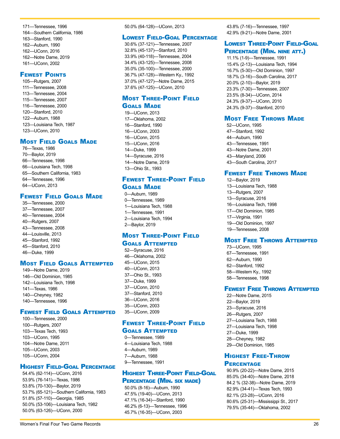171—Tennessee, 1996 164—Southern California, 1986 163—Stanford, 1990 162—Auburn, 1990 162—UConn, 2016 162—Notre Dame, 2019 161—UConn, 2002

#### Fewest Points

105—Rutgers, 2007 111—Tennessee, 2008 113—Tennessee, 2004 115—Tennessee, 2007 116—Tennessee, 2000 120—Stanford, 2010 122—Auburn, 1988 123—Louisiana Tech, 1987 123—UConn, 2010

#### **MOST FIELD GOALS MADE**

76—Texas, 1986 70—Baylor, 2019 66—Tennessee, 1998 66—Louisiana Tech, 1998 65—Southern California, 1983 64—Tennessee, 1996 64—UConn, 2013

#### **FEWEST FIELD GOALS MADE**

35—Tennessee, 2000 37—Tennessee, 2007 40—Tennessee, 2004 40—Rutgers, 2007 43—Tennessee, 2008 44—Louisville, 2013 45—Stanford, 1992 45—Stanford, 2010 46—Duke, 1999

### Most Field Goals Attempted

149—Notre Dame, 2019 146—Old Dominion, 1985 142—Louisiana Tech, 1998 141—Texas, 1986 140—Cheyney, 1982 140—Tennessee, 1996

### Fewest Field Goals Attempted

100—Tennessee, 2000 100—Rutgers, 2007 103—Texas Tech, 1993 103—UConn, 1995 104—Notre Dame, 2011 105—UConn, 2003 105—UConn, 2004

### Highest Field-Goal Percentage

54.4% (62-114)—UConn, 2016 53.9% (76-141)—Texas, 1986 53.8% (70-130)—Baylor, 2019 53.7% (65-121)—Southern California, 1983 51.8% (57-110)—Georgia, 1985 50.0% (53-106)—Louisiana Tech, 1982 50.0% (63-126)—UConn, 2000

#### 50.0% (64-128)—UConn, 2013

#### Lowest Field-Goal Percentage

30.6% (37-121)—Tennessee, 2007 32.8% (45-137)—Stanford, 2010 33.9% (40-118)—Tennessee, 2004 34.4% (43-125)—Tennessee, 2008 35.0% (35-100)—Tennessee, 2000 36.7% (47-128)—Western Ky., 1992 37.0% (47-127)—Notre Dame, 2015 37.6% (47-125)—UConn, 2010

### Most Three-Point Field **GOALS MADE**

19—UConn, 2013 17—Oklahoma, 2002 16—Stanford, 1990 16—UConn, 2003 16—UConn, 2015 15—UConn, 2016 14—Duke, 1999 14—Syracuse, 2016 14—Notre Dame, 2019 13—Ohio St., 1993

### Fewest Three-Point Field **GOALS MADE**

0—Auburn, 1989 0—Tennessee, 1989 1—Louisiana Tech, 1988 1—Tennessee, 1991 2—Louisiana Tech, 1994 2—Baylor, 2019

### Most Three-Point Field Goals Attempted

52—Syracuse, 2016 46—Oklahoma, 2002 45—UConn, 2015 40—UConn, 2013 37—Ohio St., 1993 37—Duke, 1999 37—UConn, 2010 37—Stanford, 2010 36—UConn, 2016 35—UConn, 2003 35—UConn, 2009

### Fewest Three-Point Field Goals Attempted

# 0—Tennessee, 1989

4—Louisiana Tech, 1988 4—Auburn, 1989 7—Auburn, 1988 9—Tennessee, 1991

#### Highest Three-Point Field-Goal Percentage (Min. six made)

50.0% (8-16)—Auburn, 1990 47.5% (19-40)—UConn, 2013 47.1% (16-34)—Stanford, 1990 46.2% (6-13)—Tennessee, 1996 45.7% (16-35)—UConn, 2003

43.8% (7-16)—Tennessee, 1997 42.9% (9-21)—Notre Dame, 2001

### Lowest Three-Point Field-Goal PERCENTAGE (MIN. NINE ATT.)

11.1% (1-9)—Tennessee, 1991 15.4% (2-13)—Louisiana Tech, 1994 16.7% (5-30)—Old Dominion, 1997 18.7% (3-16)—South Carolina, 2017 20.0% (2-10)—Baylor, 2019 23.3% (7-30)—Tennessee, 2007 23.5% (8-34)—UConn, 2014 24.3% (9-37)—UConn, 2010 24.3% (9-37)—Stanford, 2010

### **MOST FREE THROWS MADE**

52—UConn, 1995 47—Stanford, 1992 44—Auburn, 1990 43—Tennessee, 1991 43—Notre Dame, 2001 43—Maryland, 2006 43—South Carolina, 2017

### **FEWEST FREE THROWS MADE**

12—Baylor, 2019 13—Louisiana Tech, 1988 13—Rutgers, 2007 13—Syracuse, 2016 16—Louisiana Tech, 1998 17—Old Dominion, 1985 17—Virginia, 1991 19—Old Dominion, 1997 19—Tennessee, 2008

### Most Free Throws Attempted

73—UConn, 1995 67—Tennessee, 1991 62—Auburn, 1990 62—Stanford, 1992 58—Western Ky., 1992 58—Tennessee, 1998

### Fewest Free Throws Attempted

- 22—Notre Dame, 2015 22—Baylor, 2019 23—Syracuse, 2016 26—Rutgers, 2007 27—Louisiana Tech, 1988 27—Louisiana Tech, 1998 27—Duke, 1999 28—Cheyney, 1982
- 29—Old Dominion, 1985

### Highest Free-Throw **PERCENTAGE**

90.9% (20-22)—Notre Dame, 2015 85.0% (34-40)—Notre Dame, 2018 84.2 % (32-38)—Notre Dame, 2019 82.9% (34-41)—Texas Tech, 1993 82.1% (23-28)—UConn, 2016 80.6% (25-31)—Mississippi St., 2017 79.5% (35-44)—Oklahoma, 2002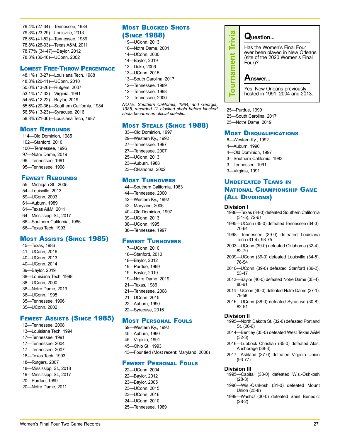79.4% (27-34)—Tennessee, 1984 79.3% (23-29)—Louisville, 2013 78.8% (41-52)—Tennessee, 1989 78.8% (26-33)—Texas A&M, 2011 78.77% (34-47)—Baylor, 2012 78.3% (36-46)—UConn, 2002

#### Lowest Free-Throw Percentage

48.1% (13-27)—Louisiana Tech, 1988 48.8% (20-41)—UConn, 2010 50.0% (13-26)—Rutgers, 2007 53.1% (17-32)—Virginia, 1991 54.5% (12-22)—Baylor, 2019 55.6% (20-36)—Southern California, 1984 56.5% (13-23)—Syracuse, 2016 58.3% (21-36)—Louisiana Tech, 1987

#### **MOST REBOUNDS**

114—Old Dominion, 1985 102—Stanford, 2010 100—Tennessee, 1996 97—Notre Dame, 2019 96—Tennessee, 1991 95—Tennessee, 1998

### **FEWEST REBOUNDS**

55—Michigan St., 2005 54—Louisville, 2013 59—UConn, 2003 61—Auburn, 1989 61—Texas A&M, 2011 64—Mississippi St., 2017 66—Southern California, 1986 66—Texas Tech, 1993

#### Most Assists (Since 1985)

45—Texas, 1986 41—UConn, 2016 40—UConn, 2013 40—UConn, 2014 39—Baylor, 2019 38—Louisiana Tech, 1998 38—UConn, 2000 38—Notre Dame, 2019 36—UConn, 1995 35—Tennessee, 1996 35—UConn, 2002

### Fewest Assists (Since 1985)

12—Tennessee, 2008 13—Louisiana Tech, 1994 17—Tennessee, 1991 17—Tennessee, 2004 17—Tennessee, 2007 18—Texas Tech, 1993 18—Rutgers, 2007 18—Mississippi St., 2018 19—Mississippi St., 2017 20—Purdue, 1999 20—Notre Dame, 2011

### **MOST BLOCKED SHOTS** (Since 1988)

19—UConn, 2013 16—Notre Dame, 2001 14—UConn, 2000 14—Baylor, 2019 13—Duke, 2006 13—UConn, 2015 13—South Carolina, 2017 12—Tennessee, 1989 12—Tennessee, 1998 12—Tennessee, 2000 *NOTE: Southern California, 1984, and Georgia, 1985, recorded 12 blocked shots before blocked* 

### Most Steals (Since 1988)

33—Old Dominion, 1997 29—Western Ky., 1992 27—Tennessee, 1997 27—Tennessee, 2007 25—UConn, 2013 23—Auburn, 1988 23—Oklahoma, 2002

*shots became an official statistic.*

#### Most Turnovers

44—Southern California, 1983 44—Tennessee, 2000 42—Western Ky., 1992 42—Maryland, 2006 40—Old Dominion, 1997 39—UConn, 2013 38—UConn, 1995 38—Tennessee, 1997

#### Fewest Turnovers

17—UConn, 2010 18—Stanford, 2010 18—Baylor, 2012 19—Purdue, 1999 19—Baylor, 2019 19—Notre Dame, 2019 21—Texas, 1986 21—Tennessee, 2008 21—UConn, 2015 22—Auburn, 1990 22—Syracuse, 2016

#### Most Personal Fouls

59—Western Ky., 1992 45—Auburn, 1990 45—Virginia, 1991 45—Ohio St., 1993 43—Four tied (Most recent: Maryland, 2006)

#### Fewest Personal Fouls

22—UConn, 2004 22—Baylor, 2012 23—Baylor, 2005 23—UConn, 2015 23—UConn, 2016 24—UConn, 2010 25—Tennessee, 1989



25—Purdue, 1999 25—South Carolina, 2017 25—Notre Dame, 2019

#### **MOST DISQUALIFICATIONS**

- 6—Western Ky., 1992
- 4—Auburn, 1990
- 4—Old Dominion, 1997
- 3—Southern California, 1983
- 3—Tennessee, 1991
- 3—Virginia, 1991

### Undefeated Teams in National Championship Game (All Divisions)

#### **Division I**

1986—Texas (34-0) defeated Southern California (31-5), 72-61

- 1995—UConn (35-0) defeated Tennessee (34-3), 70-64
- 1998—Tennessee (39-0) defeated Louisiana Tech (31-4), 93-75
- 2003—UConn (39-0) defeated Oklahoma (32-4), 82-70
- 2009—UConn (39-0) defeated Louisville (34-5), 76-54
- 2010—UConn (39-0) defeated Stanford (36-2), 53-47
- 2012—Baylor (40-0) defeated Notre Dame (35-4), 80-61
- 2014—UConn (40-0) defeated Notre Dame (37-1), 79-58
- 2016—UConn (38-0) defeated Syracuse (30-8), 82-51

#### **Division II**

1995—North Dakota St. (32-0) defeated Portland St. (26-6)

- 2014—Bentley (35-0) defeated West Texas A&M (32-3)
- 2016—Lubbock Christian (35-0) defeated Alas. Anchorage (38-3)
- 2017—Ashland (37-0) defeated Virginia Union (93-77)

#### **Division III**

- 1995—Capital (33-0) defeated Wis.-Oshkosh (28-3)
- 1996—Wis.-Oshkosh (31-0) defeated Mount Union (25-8)
- 1999—WashU (30-0) defeated Saint Benedict (28-2)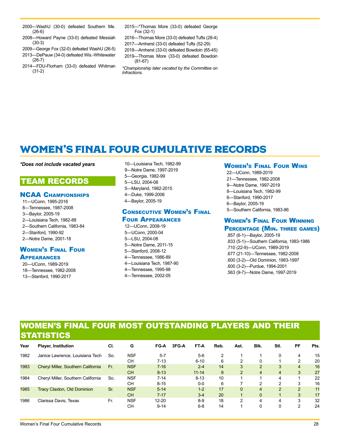- <span id="page-23-0"></span>2000—WashU (30-0) defeated Southern Me. (26-6)
- 2008—Howard Payne (33-0) defeated Messiah (30-3)
- 2009—George Fox (32-0) defeated WashU (26-5)
- 2013—DePauw (34-0) defeated Wis.-Whitewater (26-7)
- 2014—FDU-Florham (33-0) defeated Whitman (31-2)
- 2015—\*Thomas More (33-0) defeated George Fox (32-1)
- 2016—Thomas More (33-0) defeated Tufts (28-4)
- 2017—Amherst (33-0) defeated Tufts (52-29)
- 2018—Amherst (33-0) defeated Bowdoin (65-45)
- 2019—Thomas More (33-0) defeated Bowdoin (81-67)
- *\*Championship later vacated by the Committee on Infractions.*

# WOMEN'S FINAL FOUR CUMULATIVE RECORDS

#### *\*Does not include vacated years*

# TEAM RECORDS

#### NCAA Championships

11—UConn, 1995-2016 8—Tennessee, 1987-2008 3—Baylor, 2005-19 2—Louisiana Tech, 1982-88 2—Southern California, 1983-84 2—Stanford, 1990-92 2—Notre Dame, 2001-18 Women's Final Four

#### **APPEARANCES**

20—UConn, 1989-2019 18—Tennessee, 1982-2008 13—Stanford, 1990-2017

10—Louisiana Tech, 1982-99 9—Notre Dame, 1997-2019 5—Georgia, 1982-99 5—LSU, 2004-08 5—Maryland, 1982-2015 4—Duke, 1999-2006 4—Baylor, 2005-19

#### Consecutive Women's Final Four Appearances

### 12—UConn, 2008-19

5—UConn, 2000-04 5—LSU, 2004-08 5—Notre Dame, 2011-15 5—Stanford, 2008-12 4—Tennessee, 1986-89 4—Louisiana Tech, 1987-90 4—Tennessee, 1995-98 4—Tennessee, 2002-05

#### Women's Final Four Wins

22—UConn, 1989-2019 21—Tennessee, 1982-2008 9—Notre Dame, 1997-2019 8—Louisiana Tech, 1982-99 6—Stanford, 1990-2017 6—Baylor, 2005-19 5—Southern California, 1983-86

### Women's Final Four Winning Percentage (Min. three games)

.857 (6-1)—Baylor, 2005-19 .833 (5-1)—Southern California, 1983-1986 .710 (22-9)—UConn, 1989-2019 .677 (21-10)—Tennessee, 1982-2008 .600 (3-2)—Old Dominion, 1983-1997 .600 (3-2)—Purdue, 1994-2001 .563 (9-7)—Notre Dame, 1997-2019

### WOMEN'S FINAL FOUR MOST OUTSTANDING PLAYERS AND THEIR **STATISTICS**

| Year | <b>Player, Institution</b>         | CI. | G          | FG-A      | 3FG-A | FT-A      | Reb. | Ast.           | BIK.                    | Stl.           | РF             | Pts. |
|------|------------------------------------|-----|------------|-----------|-------|-----------|------|----------------|-------------------------|----------------|----------------|------|
| 1982 | Janice Lawrence, Louisiana Tech    | So. | <b>NSF</b> | $5 - 7$   |       | $5-6$     | 2    |                |                         | 0              | 4              | 15   |
|      |                                    |     | CН         | $7 - 13$  |       | $6 - 10$  | 6    | 2              | 0                       |                | $\mathcal{P}$  | 20   |
| 1983 | Cheryl Miller, Southern California | Fr. | <b>NSF</b> | $7 - 16$  |       | $2 - 4$   | 14   | 3              | $\overline{2}$          | 3              | $\overline{4}$ | 16   |
|      |                                    |     | <b>CH</b>  | $8 - 13$  |       | $11 - 14$ | 9    | $\overline{2}$ | $\overline{4}$          | $\overline{4}$ | 3              | 27   |
| 1984 | Cheryl Miller, Southern California | So. | <b>NSF</b> | $7 - 14$  |       | $8 - 13$  | 10   |                |                         | 4              |                | 22   |
|      |                                    |     | CН         | $8 - 15$  |       | $0-0$     | 6    |                | 2                       | $\mathcal{P}$  | 3              | 16   |
| 1985 | <b>Tracy Claxton, Old Dominion</b> | Sr. | <b>NSF</b> | $5 - 14$  |       | $1 - 2$   | 17   | $\Omega$       | $\overline{\mathbf{4}}$ | $\mathcal{P}$  | $\mathcal{P}$  | 11   |
|      |                                    |     | <b>CH</b>  | $7 - 17$  |       | $3 - 4$   | 20   |                | $\Omega$                |                | 3              | 17   |
| 1986 | Clarissa Davis, Texas              | Fr. | <b>NSF</b> | $12 - 20$ |       | $8-9$     | 18   | 2              | 4                       | 4              | 3              | 32   |
|      |                                    |     | CН         | $9 - 14$  |       | $6 - 8$   | 14   |                |                         | 0              | ົ              | 24   |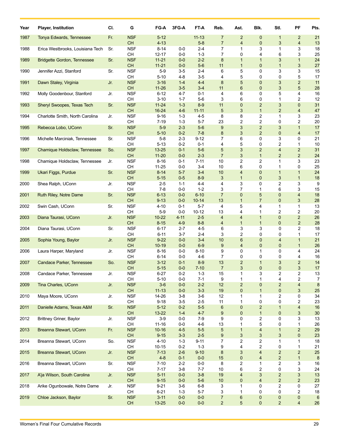| Year | Player, Institution                | CI. | G                       | FG-A                   | $3FG-A$            | FT-A                  | Reb.                    | Ast.                              | Blk.                           | Stl.                                      | PF                               | Pts.     |
|------|------------------------------------|-----|-------------------------|------------------------|--------------------|-----------------------|-------------------------|-----------------------------------|--------------------------------|-------------------------------------------|----------------------------------|----------|
| 1987 | Tonya Edwards, Tennessee           | Fr. | <b>NSF</b>              | $5 - 12$               |                    | $11 - 13$             | 7                       | $\overline{2}$                    | 0                              | $\mathbf{1}$                              | $\overline{2}$                   | 21       |
|      | Erica Westbrooks, Louisiana Tech   |     | <b>CH</b><br><b>NSF</b> | $4 - 13$<br>$8 - 14$   |                    | $5 - 8$<br>$2 - 4$    | $\overline{7}$<br>7     | $\overline{4}$<br>$\mathbf{1}$    | $\mathbf 0$<br>3               | 3<br>1                                    | 4<br>3                           | 13<br>18 |
| 1988 |                                    | Sr. | <b>CH</b>               | 12-17                  | 0-0<br>$0-0$       | $1 - 3$               | 7                       | 0                                 | 4                              | 6                                         | 3                                | 25       |
| 1989 | <b>Bridgette Gordon, Tennessee</b> | Sr. | <b>NSF</b>              | $11 - 21$              | $0-0$              | $2 - 2$               | 8                       | $\mathbf{1}$                      | 1                              | 3                                         | $\mathbf{1}$                     | 24       |
|      |                                    |     | <b>CH</b>               | $11 - 21$              | $0-0$              | $5-6$                 | 11                      | $\mathbf{1}$                      | $\mathbf 0$                    | $\mathbf{1}$                              | 3                                | 27       |
| 1990 | Jennifer Azzi, Stanford            | Sr. | <b>NSF</b>              | $5-9$                  | 3-5                | $2 - 4$               | 6                       | 5                                 | 0                              | 3                                         | 3                                | 15       |
|      |                                    |     | <b>CH</b>               | $5 - 10$               | 4-8                | $3-5$                 | 4                       | 5<br>5                            | 0                              | 0                                         | 5<br>$\overline{2}$              | 17       |
| 1991 | Dawn Staley, Virginia              | Jr. | <b>NSF</b><br><b>CH</b> | $3 - 16$<br>$11 - 26$  | $1 - 4$<br>$3-5$   | $4 - 4$<br>$3 - 4$    | 8<br>11                 | $6\phantom{1}$                    | $\mathbf{0}$<br>$\mathbf 0$    | 3<br>3                                    | 5                                | 11<br>28 |
| 1992 | Molly Goodenbour, Stanford         | Jr. | <b>NSF</b>              | $6 - 12$               | 4-7                | $0 - 1$               | 4                       | 6                                 | 0                              | 5                                         | 4                                | 16       |
|      |                                    |     | CН                      | $3 - 10$               | $1 - 7$            | $5-6$                 | 3                       | 6                                 | 0                              | $\mathbf{1}$                              | 2                                | 12       |
| 1993 | Sheryl Swoopes, Texas Tech         | Sr. | <b>NSF</b>              | $11 - 24$              | $1 - 3$            | $8-9$                 | 11                      | $\pmb{0}$                         | $\overline{c}$                 | 3                                         | $\mathbf 0$                      | 31       |
|      |                                    |     | CH                      | 16-24                  | $4 - 6$            | $11 - 11$             | 5                       | 3<br>8                            | $\mathbf{1}$                   | $\overline{2}$<br>1                       | $\overline{\mathbf{4}}$          | 47       |
| 1994 | Charlotte Smith, North Carolina    | Jr. | <b>NSF</b><br><b>CH</b> | $9 - 16$<br>7-19       | 1-3<br>$1 - 3$     | 4-5<br>$5 - 7$        | 8<br>23                 | $\overline{\mathbf{c}}$           | 2<br>2                         | 0                                         | 3<br>2                           | 23<br>20 |
| 1995 | Rebecca Lobo, UConn                | Sr. | <b>NSF</b>              | $5-9$                  | $2 - 3$            | $5-6$                 | 9                       | 3                                 | $\overline{c}$                 | 3                                         | $\mathbf{1}$                     | 17       |
|      |                                    |     | <b>CH</b>               | $5 - 10$               | $0 - 2$            | $7 - 8$               | 8                       | 3                                 | $\overline{2}$                 | 0                                         | 4                                | 17       |
| 1996 | Michelle Marciniak, Tennessee      | Sr. | <b>NSF</b>              | $5-8$                  | $2 - 3$            | 9-12                  | 7                       | 6                                 | 0                              | 3                                         | 0                                | 21       |
|      |                                    |     | <b>CH</b>               | $5 - 13$               | $0 - 2$            | $0 - 1$               | 4                       | 5                                 | 0                              | 2                                         | $\mathbf{1}$                     | 10       |
| 1997 | Chamique Holdsclaw, Tennessee      | So. | <b>NSF</b><br>CH        | $13 - 25$<br>$11 - 20$ | $0 - 1$<br>$0-0$   | $5-6$<br>$2 - 3$      | 5<br>$\overline{7}$     | 3<br>3                            | $\overline{c}$<br>$\mathbf{1}$ | $\overline{\mathbf{4}}$<br>$\overline{2}$ | $\overline{2}$<br>$\overline{2}$ | 31<br>24 |
| 1998 | Chamique Holdsclaw, Tennessee      | Jr. | <b>NSF</b>              | $8 - 16$               | $0 - 1$            | $7 - 11$              | 10                      | $\overline{c}$                    | 2                              | $\mathbf{1}$                              | 3                                | 23       |
|      |                                    |     | CН                      | $11 - 25$              | $0-0$              | $3 - 4$               | 10                      | 6                                 | 0                              | 1                                         | 0                                | 25       |
| 1999 | Ukari Figgs, Purdue                | Sr. | <b>NSF</b>              | $8 - 14$               | $5 - 7$            | $3 - 4$               | 10                      | $\overline{4}$                    | 0                              | $\mathbf{1}$                              | $\mathbf{1}$                     | 24       |
|      |                                    |     | <b>CH</b>               | $5 - 15$               | $0-5$              | $8-9$                 | 3                       | $\mathbf{1}$                      | 0                              | 3                                         | $\mathbf{1}$                     | 18       |
| 2000 | Shea Ralph, UConn                  | Jr. | <b>NSF</b>              | $2 - 5$                | $1 - 1$            | 4-4                   | 4                       | 3                                 | 0                              | 2                                         | 3                                | 9        |
|      |                                    |     | <b>CH</b>               | $7-8$                  | $0-0$              | $1 - 2$               | 3                       | $\overline{7}$                    | 1                              | 6                                         | 3<br>$\overline{\mathbf{4}}$     | 15       |
| 2001 | Ruth Riley, Notre Dame             | Sr. | <b>NSF</b><br><b>CH</b> | $6 - 13$<br>$9 - 13$   | $0-0$<br>$0-0$     | $6 - 10$<br>$10 - 14$ | $\overline{7}$<br>13    | 0<br>$\mathbf{1}$                 | 5<br>$\overline{7}$            | 0<br>$\mathbf 0$                          | 3                                | 18<br>28 |
| 2002 | Swin Cash, UConn                   | Sr. | <b>NSF</b>              | $4 - 10$               | 0-1                | $5 - 7$               | 4                       | 5                                 | 4                              | 1                                         | 1                                | 13       |
|      |                                    |     | CН                      | $5-9$                  | $0-0$              | $10 - 12$             | 13                      | 4                                 | 1                              | 2                                         | 2                                | 20       |
| 2003 | Diana Taurasi, UConn               | Jr. | <b>NSF</b>              | $10 - 22$              | $4 - 11$           | $2-5$                 | 4                       | 4                                 | $\mathbf{1}$                   | 0                                         | $\overline{2}$                   | 26       |
|      |                                    |     | <b>CH</b>               | $8 - 15$               | $4 - 9$            | $8 - 8$               | 4                       | $\mathbf{1}$                      | $\mathbf{1}$                   | 0                                         | $\overline{2}$                   | 28       |
| 2004 | Diana Taurasi, UConn               | Sr. | <b>NSF</b>              | $6 - 17$               | $2 - 7$            | $4 - 5$               | 6                       | 3                                 | 3                              | 0                                         | 2                                | 18       |
| 2005 | Sophia Young, Baylor               | Jr. | <b>CH</b><br><b>NSF</b> | $6 - 11$<br>$9 - 22$   | $3 - 7$<br>$0-0$   | $2 - 4$<br>$3 - 4$    | 3<br>10                 | $\overline{c}$<br>$6\phantom{1}6$ | 0<br>$\mathbf{0}$              | 0<br>4                                    | 1<br>$\mathbf{1}$                | 17<br>21 |
|      |                                    |     | <b>CH</b>               | $10 - 19$              | $0-0$              | $6-9$                 | 9                       | $\overline{\mathbf{4}}$           | $\mathbf 0$                    | $\mathbf 0$                               | $\mathbf{1}$                     | 26       |
| 2006 | Laura Harper, Maryland             | Jr. | <b>NSF</b>              | $8 - 16$               | $0-0$              | $8 - 10$              | 9                       | 0                                 | 1                              | 0                                         | 4                                | 24       |
|      |                                    |     | CН                      | $6 - 14$               | $0-0$              | $4-6$                 | $\overline{7}$          | 0                                 | 0                              | 0                                         | 4                                | 16       |
| 2007 | Candace Parker, Tennessee          | So. | <b>NSF</b>              | $3 - 12$               | $0 - 1$            | $8-9$                 | 13                      | $\overline{2}$                    | 1                              | 3                                         | $\overline{2}$                   | 14       |
| 2008 | Candace Parker, Tennessee          | Jr. | <b>CH</b><br><b>NSF</b> | $5 - 15$<br>$6 - 27$   | $0-0$<br>$0 - 2$   | $7 - 10$<br>$1 - 3$   | $\overline{7}$<br>15    | 3<br>1                            | $\mathbf{0}$<br>3              | $\mathbf{0}$<br>2                         | 3<br>2                           | 17<br>13 |
|      |                                    |     | CН                      | $5 - 10$               | $0-0$              | $7 - 1$               | 9                       | 1                                 | 1                              | 4                                         | 2                                | 7        |
| 2009 | Tina Charles, UConn                | Jr. | <b>NSF</b>              | $3-6$                  | $0-0$              | $2 - 2$               | 12                      | $\overline{c}$                    | $\pmb{0}$                      | $\overline{c}$                            | 4                                | 8        |
|      |                                    |     | CH                      | $11 - 13$              | $0-0$              | $3-3$                 | 19                      | $\pmb{0}$                         | $\mathbf{1}$                   | 0                                         | 3                                | 25       |
| 2010 | Maya Moore, UConn                  | Jr. | <b>NSF</b>              | 14-26                  | $3-8$              | $3-6$                 | 12                      | 1                                 | 1                              | 2                                         | 0                                | 34       |
|      |                                    |     | CH                      | $9 - 18$               | $3-5$              | $2 - 5$               | 11                      | 1                                 | 0                              | 0                                         | 2                                | 23       |
| 2011 | Danielle Adams, Texas A&M          | Sr. | <b>NSF</b><br>CH        | $5 - 12$<br>$13 - 22$  | $0 - 2$<br>$1 - 4$ | $5-5$<br>$4 - 7$      | 6<br>9                  | $\pmb{0}$<br>$\pmb{0}$            | $\overline{c}$<br>1            | $\mathbf{1}$<br>0                         | $\overline{\mathbf{4}}$<br>3     | 16<br>30 |
| 2012 | Brittney Griner, Baylor            | Jr. | <b>NSF</b>              | $3-9$                  | 0-0                | $7-9$                 | 9                       | 0                                 | 2                              | 0                                         | 3                                | 13       |
|      |                                    |     | CH                      | $11 - 16$              | $0-0$              | 4-6                   | 13                      | 1                                 | 5                              | 0                                         | 1                                | 26       |
| 2013 | Breanna Stewart, UConn             | Fr. | <b>NSF</b>              | $10 - 16$              | $4-5$              | $5-5$                 | 5                       | $\mathbf{1}$                      | $\overline{\mathbf{4}}$        | $\mathbf{1}$                              | $\overline{2}$                   | 29       |
|      |                                    |     | <b>CH</b>               | $9 - 15$               | $3 - 3$            | $2-5$                 | 9                       | 3                                 | 3                              | 3                                         | 0                                | 23       |
| 2014 | Breanna Stewart, UConn             | So. | <b>NSF</b>              | $4 - 10$               | $1 - 3$            | $9 - 11$              | 7                       | 2                                 | 2                              | 1                                         | $\mathbf{1}$                     | 18       |
| 2015 | Breanna Stewart, UConn             | Jr. | <b>CH</b><br><b>NSF</b> | $10 - 15$<br>$7 - 13$  | $0 - 2$<br>$2 - 6$ | $1 - 3$<br>$9 - 10$   | 9<br>8                  | 4<br>3                            | 2<br>4                         | 0<br>$\overline{\mathbf{c}}$              | $\mathbf{1}$<br>$\overline{c}$   | 21<br>25 |
|      |                                    |     | CH                      | $4 - 8$                | $0 - 1$            | $0-0$                 | 15                      | 0                                 | 4                              | $\overline{\mathbf{c}}$                   | $\mathbf{1}$                     | $\bf 8$  |
| 2016 | Breanna Stewart, UConn             | Sr. | <b>NSF</b>              | $7 - 10$               | $2 - 2$            | $0-0$                 | 8                       | 2                                 | $\mathbf{1}$                   | 2                                         | 3                                | 16       |
|      |                                    |     | <b>CH</b>               | $7 - 17$               | $3-8$              | $7 - 7$               | 10                      | 6                                 | 2                              | 0                                         | 3                                | 24       |
| 2017 | A'ja Wilson, South Carolina        | Jr. | <b>NSF</b>              | $5 - 11$               | $0-0$              | $3-8$                 | 19                      | $\overline{\mathbf{4}}$           | $\mathfrak{S}$                 | $\overline{a}$                            | 3                                | 13       |
|      |                                    |     | <b>CH</b>               | $9 - 15$               | $0-0$              | $5-6$                 | 10                      | 0                                 | 4                              | $\overline{a}$                            | $\overline{a}$                   | 23       |
| 2018 | Arike Ogunbowale, Notre Dame       | Jr. | <b>NSF</b><br><b>CH</b> | $9 - 21$<br>$6 - 21$   | 3-6<br>$1 - 3$     | $6 - 8$<br>$5 - 7$    | 3<br>3                  | 1<br>1                            | 0<br>0                         | 2<br>0                                    | 0<br>2                           | 27<br>18 |
| 2019 | Chloe Jackson, Baylor              | Sr. | <b>NSF</b>              | $3 - 11$               | $0-0$              | $0-0$                 | 7                       | 6                                 | 0                              | 0                                         | 0                                | 6        |
|      |                                    |     | <b>CH</b>               | $13 - 25$              | $0-0$              | $0-0$                 | $\overline{\mathbf{c}}$ | 5                                 | 0                              | $\overline{a}$                            | 4                                | 26       |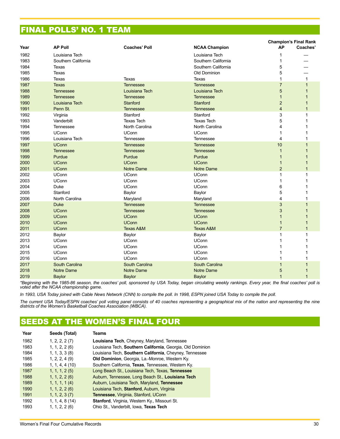# FINAL POLLS' NO. 1 TEAM

|      |                     |                      |                      | <b>Champion's Final Rank</b> |                |  |
|------|---------------------|----------------------|----------------------|------------------------------|----------------|--|
| Year | <b>AP Poll</b>      | <b>Coaches' Poll</b> | <b>NCAA Champion</b> | <b>AP</b>                    | Coaches'       |  |
| 1982 | Louisiana Tech      |                      | Louisiana Tech       | 1                            |                |  |
| 1983 | Southern California |                      | Southern California  | 1                            |                |  |
| 1984 | <b>Texas</b>        |                      | Southern California  | 5                            |                |  |
| 1985 | <b>Texas</b>        |                      | Old Dominion         | 5                            |                |  |
| 1986 | Texas               | <b>Texas</b>         | Texas                | 1                            | $\mathbf{1}$   |  |
| 1987 | <b>Texas</b>        | <b>Tennessee</b>     | <b>Tennessee</b>     | $\overline{7}$               | $\mathbf{1}$   |  |
| 1988 | <b>Tennessee</b>    | Louisiana Tech       | Louisiana Tech       | $\overline{5}$               | $\overline{1}$ |  |
| 1989 | Tennessee           | <b>Tennessee</b>     | <b>Tennessee</b>     | $\mathbf{1}$                 | $\overline{1}$ |  |
| 1990 | Louisiana Tech      | Stanford             | Stanford             | $\overline{2}$               | $\overline{1}$ |  |
| 1991 | Penn St.            | Tennessee            | <b>Tennessee</b>     | $\overline{4}$               | $\mathbf{1}$   |  |
| 1992 | Virginia            | Stanford             | Stanford             | 3                            | 1              |  |
| 1993 | Vanderbilt          | <b>Texas Tech</b>    | <b>Texas Tech</b>    | 5                            | 1              |  |
| 1994 | Tennessee           | North Carolina       | North Carolina       | 4                            |                |  |
| 1995 | UConn               | <b>UConn</b>         | <b>UConn</b>         | 1                            | 1              |  |
| 1996 | Louisiana Tech      | Tennessee            | Tennessee            | 4                            | 1              |  |
| 1997 | <b>UConn</b>        | <b>Tennessee</b>     | <b>Tennessee</b>     | 10                           | $\overline{1}$ |  |
| 1998 | <b>Tennessee</b>    | Tennessee            | <b>Tennessee</b>     | $\mathbf{1}$                 | 1              |  |
| 1999 | Purdue              | Purdue               | Purdue               | $\mathbf{1}$                 |                |  |
| 2000 | <b>UConn</b>        | <b>UConn</b>         | <b>UConn</b>         | $\mathbf{1}$                 |                |  |
| 2001 | <b>UConn</b>        | <b>Notre Dame</b>    | <b>Notre Dame</b>    | $\overline{2}$               | $\overline{1}$ |  |
| 2002 | UConn               | <b>UConn</b>         | <b>UConn</b>         | 1                            | 1              |  |
| 2003 | UConn               | <b>UConn</b>         | <b>UConn</b>         | 1                            | 1              |  |
| 2004 | Duke                | <b>UConn</b>         | <b>UConn</b>         | 6                            | 1              |  |
| 2005 | Stanford            | Baylor               | Baylor               | 5                            | 1              |  |
| 2006 | North Carolina      | Maryland             | Maryland             | 4                            | 1              |  |
| 2007 | <b>Duke</b>         | <b>Tennessee</b>     | <b>Tennessee</b>     | 3                            | $\overline{1}$ |  |
| 2008 | <b>UConn</b>        | <b>Tennessee</b>     | <b>Tennessee</b>     | 3                            |                |  |
| 2009 | <b>UConn</b>        | <b>UConn</b>         | <b>UConn</b>         | $\mathbf{1}$                 |                |  |
| 2010 | <b>UConn</b>        | <b>UConn</b>         | <b>UConn</b>         | $\mathbf{1}$                 | $\overline{1}$ |  |
| 2011 | <b>UConn</b>        | <b>Texas A&amp;M</b> | <b>Texas A&amp;M</b> | $\overline{7}$               | $\mathbf{1}$   |  |
| 2012 | Baylor              | Baylor               | Baylor               | 1                            | 1              |  |
| 2013 | <b>UConn</b>        | <b>UConn</b>         | <b>UConn</b>         | 1                            | 1              |  |
| 2014 | <b>UConn</b>        | <b>UConn</b>         | <b>UConn</b>         | 1                            |                |  |
| 2015 | UConn               | <b>UConn</b>         | <b>UConn</b>         | 1                            |                |  |
| 2016 | UConn               | <b>UConn</b>         | <b>UConn</b>         | 1                            | 1              |  |
| 2017 | South Carolina      | South Carolina       | South Carolina       | $\mathbf{1}$                 | $\overline{1}$ |  |
| 2018 | <b>Notre Dame</b>   | <b>Notre Dame</b>    | <b>Notre Dame</b>    | $\overline{5}$               | $\overline{1}$ |  |
| 2019 | <b>Baylor</b>       | Baylor               | <b>Baylor</b>        | $\overline{1}$               | $\overline{1}$ |  |
|      |                     |                      |                      |                              |                |  |

*\*Beginning with the 1985-86 season, the coaches' poll, sponsored by USA Today, began circulating weekly rankings. Every year, the final coaches' poll is voted after the NCAA championship game.*

*In 1993, USA Today joined with Cable News Network (CNN) to compile the poll. In 1998, ESPN joined USA Today to compile the poll.*

*The current USA Today/ESPN coaches' poll voting panel consists of 40 coaches representing a geographical mix of the nation and representing the nine districts of the Women's Basketball Coaches Association (WBCA).*

# SEEDS AT THE WOMEN'S FINAL FOUR

| Year | Seeds (Total)     | Teams                                                      |
|------|-------------------|------------------------------------------------------------|
| 1982 | 1, 2, 2, 2 (7)    | Louisiana Tech, Cheyney, Maryland, Tennessee               |
| 1983 | 1, 1, 2, 2 (6)    | Louisiana Tech, Southern California, Georgia, Old Dominion |
| 1984 | $1, 1, 3, 3$ (8)  | Louisiana Tech, Southern California, Cheyney, Tennessee    |
| 1985 | $1, 2, 2, 4$ (9)  | <b>Old Dominion, Georgia, La.-Monroe, Western Ky.</b>      |
| 1986 | $1, 1, 4, 4$ (10) | Southern California, Texas, Tennessee, Western Ky.         |
| 1987 | 1, 1, 1, 2(5)     | Long Beach St., Louisiana Tech, Texas, Tennessee           |
| 1988 | $1, 1, 2, 2$ (6)  | Auburn, Tennessee, Long Beach St., Louisiana Tech          |
| 1989 | 1, 1, 1, 1 (4)    | Auburn, Louisiana Tech, Maryland, Tennessee                |
| 1990 | $1, 1, 2, 2$ (6)  | Louisiana Tech, Stanford, Auburn, Virginia                 |
| 1991 | 1, 1, 2, 3 (7)    | <b>Tennessee, Virginia, Stanford, UConn.</b>               |
| 1992 | $1, 1, 4, 8$ (14) | Stanford, Virginia, Western Ky., Missouri St.              |
| 1993 | 1, 1, 2, 2 (6)    | Ohio St., Vanderbilt, Iowa, Texas Tech                     |
|      |                   |                                                            |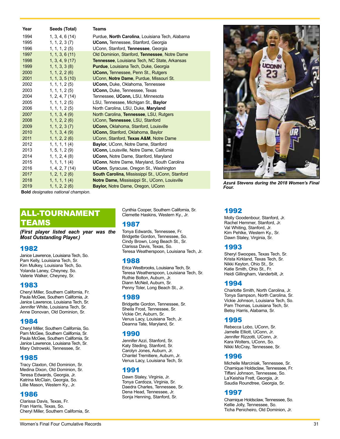| Year | Seeds (Total)     | <b>Teams</b>                                            |
|------|-------------------|---------------------------------------------------------|
| 1994 | 1, 3, 4, 6(14)    | Purdue, North Carolina, Louisiana Tech, Alabama         |
| 1995 | 1, 1, 2, 3 (7)    | <b>UConn, Tennessee, Stanford, Georgia</b>              |
| 1996 | 1, 1, 1, 2(5)     | UConn, Stanford, Tennessee, Georgia                     |
| 1997 | 1, 1, 3, 6(11)    | Old Dominion, Stanford, Tennessee, Notre Dame           |
| 1998 | 1, 3, 4, 9(17)    | Tennessee, Louisiana Tech, NC State, Arkansas           |
| 1999 | $1, 1, 3, 3$ (8)  | <b>Purdue, Louisiana Tech, Duke, Georgia</b>            |
| 2000 | $1, 1, 2, 2$ (6)  | <b>UConn, Tennessee, Penn St., Rutgers</b>              |
| 2001 | $1, 1, 3, 5$ (10) | UConn, Notre Dame, Purdue, Missouri St.                 |
| 2002 | 1, 1, 1, 2 (5)    | <b>UConn, Duke, Oklahoma, Tennessee</b>                 |
| 2003 | 1, 1, 1, 2(5)     | <b>UConn, Duke, Tennessee, Texas</b>                    |
| 2004 | 1, 2, 4, 7(14)    | Tennessee, UConn, LSU, Minnesota                        |
| 2005 | 1, 1, 1, 2(5)     | LSU, Tennessee, Michigan St., Baylor                    |
| 2006 | 1, 1, 1, 2 (5)    | North Carolina, LSU, Duke, Maryland                     |
| 2007 | 1, 1, 3, 4 (9)    | North Carolina, Tennessee, LSU, Rutgers                 |
| 2008 | 1, 1, 2, 2 (6)    | UConn, Tennessee, LSU, Stanford                         |
| 2009 | 1, 1, 2, 3 (7)    | <b>UConn, Oklahoma, Stanford, Louisville</b>            |
| 2010 | $1, 1, 3, 4$ (9)  | <b>UConn, Stanford, Oklahoma, Baylor</b>                |
| 2011 | 1, 1, 2, 2(6)     | UConn, Stanford, Texas A&M, Notre Dame                  |
| 2012 | 1, 1, 1, 1 (4)    | Baylor, UConn, Notre Dame, Stanford                     |
| 2013 | 1, 5, 1, 2(9)     | UConn, Louisville, Notre Dame, California               |
| 2014 | $1, 1, 2, 4$ (8)  | <b>UConn, Notre Dame, Stanford, Maryland</b>            |
| 2015 | 1, 1, 1, 1 (4)    | UConn, Notre Dame, Maryland, South Carolina             |
| 2016 | 1, 4, 2, 7(14)    | <b>UConn</b> , Syracuse, Oregon St., Washington         |
| 2017 | 1, 2, 1, 2 (6)    | <b>South Carolina, Mississippi St., UConn, Stanford</b> |
| 2018 | 1, 1, 1, 1 (4)    | Notre Dame, Mississippi St., UConn, Louisville          |
| 2019 | 1, 1, 2, 2 (6)    | <b>Baylor, Notre Dame, Oregon, UConn</b>                |
|      |                   |                                                         |

**Bold** *designates national champion.* 

### ALL-TOURNAMENT TEAMS

*(First player listed each year was the Most Outstanding Player.)*

#### 1982

Janice Lawrence, Louisiana Tech, So. Pam Kelly, Louisiana Tech, Sr. Kim Mulkey, Louisiana Tech, So. Yolanda Laney, Cheyney, So. Valerie Walker, Cheyney, Sr.

#### 1983

Cheryl Miller, Southern California, Fr. Paula McGee, Southern California, Jr. Janice Lawrence, Louisiana Tech. Sr. Jennifer White, Louisiana Tech, Sr. Anne Donovan, Old Dominion, Sr.

#### 1984

Cheryl Miller, Southern California, So. Pam McGee, Southern California, Sr. Paula McGee, Southern California, Sr. Janice Lawrence, Louisiana Tech, Sr. Mary Ostrowski, Tennessee, Sr.

#### 1985

Tracy Claxton, Old Dominion, Sr. Medina Dixon, Old Dominion, Sr. Teresa Edwards, Georgia, Jr. Katrina McClain, Georgia, So. Lillie Mason, Western Ky., Jr.

#### 1986

Clarissa Davis, Texas, Fr. Fran Harris, Texas, So. Cheryl Miller, Southern California, Sr. Cynthia Cooper, Southern California, Sr. Clemette Haskins, Western Ky., Jr.

#### 1987

Tonya Edwards, Tennessee, Fr. Bridgette Gordon, Tennessee, So. Cindy Brown, Long Beach St., Sr. Clarissa Davis, Texas, So. Teresa Weatherspoon, Louisiana Tech, Jr.

#### 1988

Erica Westbrooks, Louisiana Tech, Sr. Teresa Weatherspoon, Louisiana Tech, Sr. Ruthie Bolton, Auburn, Jr. Diann McNeil, Auburn, Sr. Penny Toler, Long Beach St., Jr.

#### 1989

Bridgette Gordon, Tennessee, Sr. Sheila Frost, Tennessee, Sr. Vickie Orr, Auburn, Sr. Venus Lacy, Louisiana Tech, Jr. Deanna Tate, Maryland, Sr.

#### 1990

Jennifer Azzi, Stanford, Sr. Katy Steding, Stanford, Sr. Carolyn Jones, Auburn, Jr. Chantel Tremitiere, Auburn, Jr. Venus Lacy, Louisiana Tech, Sr.

#### 1991

Dawn Staley, Virginia, Jr. Tonya Cardoza, Virginia, Sr. Daedra Charles, Tennessee, Sr. Dena Head, Tennessee, Jr. Sonja Henning, Stanford, Sr.



*Azurá Stevens during the 2018 Women's Final Four.* 

#### 1992

Molly Goodenbour, Stanford, Jr. Rachel Hemmer, Stanford, Jr. Val Whiting, Stanford, Jr. Kim Pehlke, Western Ky., Sr. Dawn Staley, Virginia, Sr.

### 1993

Sheryl Swoopes, Texas Tech, Sr. Krista Kirkland, Texas Tech, Sr. Nikki Keyton, Ohio St., Sr. Katie Smith, Ohio St., Fr. Heidi Gillingham, Vanderbilt, Jr.

#### 1994

Charlotte Smith, North Carolina, Jr. Tonya Sampson, North Carolina, Sr. Vickie Johnson, Louisiana Tech, So. Pam Thomas, Louisiana Tech, Sr. Betsy Harris, Alabama, Sr.

#### 1995

Rebecca Lobo, UConn, Sr. Jamelle Elliott, UConn, Jr. Jennifer Rizzotti, UConn, Jr. Kara Wolters, UConn, So. Nikki McCray, Tennessee, Sr.

#### 1996

Michelle Marciniak, Tennessee, Sr. Chamique Holdsclaw, Tennessee, Fr. Tiffani Johnson, Tennessee, So. La'Keishia Frett, Georgia, Jr. Saudia Roundtree, Georgia, Sr.

#### 1997

Chamique Holdsclaw, Tennessee, So. Kellie Jolly, Tennessee, So. Ticha Penicheiro, Old Dominion, Jr.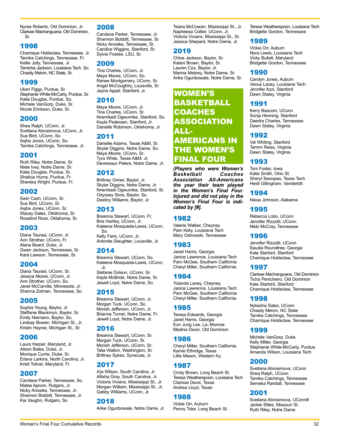Nyree Roberts, Old Dominion, Jr. Clarisse Machanguana, Old Dominion, Sr.

### 1998

Chamique Holdsclaw, Tennessee, Jr. Tamika Catchings, Tennessee, Fr. Kellie Jolly, Tennessee, Jr. Tamicha Jackson, Louisiana Tech, So. Chasity Melvin, NC State, Sr.

### 1999

Ukari Figgs, Purdue, Sr. Stephanie White-McCarty, Purdue, Sr. Katie Douglas, Purdue, So. Michele VanGorp, Duke, Sr. Nicole Erickson, Duke, Sr.

### 2000

Shea Ralph, UConn, Jr. Svetlana Abrosimova, UConn, Jr. Sue Bird, UConn, So. Asjha Jones, UConn, So. Tamika Catchings, Tennessee, Jr.

### 2001

Ruth Riley, Notre Dame, Sr. Niele Ivey, Notre Dame, Sr. Katie Douglas, Purdue, Sr. Shalicia Hurns, Purdue, Fr. Shereka Wright, Purdue, Fr.

### 2002

Swin Cash, UConn, Sr. Sue Bird, UConn, Sr. Asjha Jones, UConn, Sr. Stacey Dales, Oklahoma, Sr. Rosalind Ross, Oklahoma, Sr.

### 2003

Diana Taurasi, UConn, Jr. Ann Strother, UConn, Fr. Alana Beard, Duke, Jr. Gwen Jackson, Tennessee, Sr. Kara Lawson, Tennessee, Sr.

### 2004

Diana Taurasi, UConn, Sr. Jessica Moore, UConn, Jr. Ann Strother, UConn, So. Janel McCarville, Minnesota, Jr. Shanna Zolman, Tennessee, So.

### 2005

Sophia Young, Baylor, Jr. Steffanie Blackmon, Baylor, Sr. Emily Niemann, Baylor, So. Lindsay Bowen, Michigan St., Jr. Kristin Haynie, Michigan St., Sr.

### 2006

Laura Harper, Maryland, Jr. Alison Bales, Duke, Jr. Monique Currie, Duke, Sr. Erlana Larkins, North Carolina, Jr. Kristi Toliver, Maryland, Fr.

### 2007

Candace Parker, Tennessee, So. Matee Ajavon, Rutgers, Jr. Nicky Anosike, Tennessee, Jr. Shannon Bobbitt, Tennessee, Jr. Kia Vaughn, Rutgers, So

#### 2008

Candace Parker, Tennessee, Jr. Shannon Bobbitt, Tennessee, Sr. Nicky Anosike, Tennessee, Sr. Candice Wiggins, Stanford, Sr. Sylvia Fowles, LSU, Sr.

#### 2009

Tina Charles, UConn, Jr. Maya Moore, UConn, So. Renee Montgomery, UConn, Sr. Angel McCoughtry, Louisville, Sr. Jayne Appel, Stanford, Jr.

#### 2010

Maya Moore, UConn, Jr. Tina Charles, UConn, Sr. Nnemkadi Ogwumike, Stanford, So. Kayla Pedersen, Stanford, Jr. Danielle Robinson, Oklahoma, Jr.

#### 2011

Danielle Adams, Texas A&M, Sr. Skylar Diggins, Notre Dame, So. Maya Moore, UConn, Sr. Tyra White, Texas A&M, Jr. Devereaux Peters, Notre Dame, Jr.

#### 2012

Brittney Griner, Baylor, Jr. Skylar Diggins, Notre Dame, Jr. Nnemkadi Ogwumike, Stanford, Sr. Odyssey Sims, Baylor, So. Destiny Williams, Baylor, Jr.

#### 2013

Breanna Stewart, UConn, Fr. Bria Hartley, UConn, Jr. Kaleena Mosqueda-Lewis, UConn, So.

Kelly Faris, UConn, Jr. Antonita Slaughter, Louisville, Jr.

#### 2014

Breanna Stewart, UConn, So. Kaleena Mosqueda-Lewis, UConn, Jr.

Stefanie Dolson, UConn, Sr. Kayla McBride, Notre Dame, Sr. Jewell Loyd, Notre Dame, So.

#### 2015

Breanna Stewart, UConn, Jr. Morgan Tuck, UConn, So. Moriah Jefferson, UConn, Jr. Brianna Turner, Notre Dame, Fr. Jewell Loyd, Notre Dame, Jr.

#### 2016

Breanna Stewart, UConn, Sr. Morgan Tuck, UConn, Sr. Moriah Jefferson, UConn, Sr. Talia Walton, Washington, Sr. Brittney Sykes, Syracuse, Jr.

#### 2017

A'ja Wilson, South Carolina, Jr. Allisha Gray, South Carolina, Jr. Victoria Vivians, Mississippi St., Jr. Morgan William, Mississippi St., Jr. Gabby Williams, UConn, Jr.

### 2018

Arike Ogunbowale, Notre Dame, Jr.

Teaira McCowan, Mississippi St., Jr. Napheesa Collier, UConn, Jr. Victoria Vivians, Mississippi St., Sr. Jessica Shepard, Notre Dame, Jr.

#### 2019

Chloe Jackson, Baylor, Sr. Kalani Brown, Baylor, Sr. Lauren Cox, Baylor, Jr. Marina Mabrey, Notre Dame, Sr. Arike Ogunbowale, Notre Dame, Sr.

WOMEN'S BASKETBALL COACHES ASSOCIATION ALL-AMERICANS IN THE WOMEN'S FINAL FOUR

*(Players who were Women's Basketball*<br>Association *Association All-Americans the year their team played in the Women's Final Four. Injured and did not play in the Women's Final Four is indicated by [#].*

### 1982

Valerie Walker, Cheyney Pam Kelly, Louisiana Tech Mary Ostrowski, Tennessee

### 1983

Janet Harris, Georgia Janice Lawrence, Louisiana Tech Pam McGee, Southern California Cheryl Miller, Southern California

### 1984

Yolanda Laney, Cheyney Janice Lawrence, Louisiana Tech Pam McGee, Southern California Cheryl Miller, Southern California

### 1985

Teresa Edwards, Georgia Janet Harris, Georgia Eun Jung Lee, La.-Monroe Medina Dixon, Old Dominion

### 1986

Cheryl Miller, Southern California Kamie Ethridge, Texas Lillie Mason, Western Ky.

### 1987

Cindy Brown, Long Beach St. Teresa Weatherspoon, Louisiana Tech Clarissa Davis, Texas Andrea Lloyd, Texas

### 1988

Vickie Orr, Auburn Penny Toler, Long Beach St.

Teresa Weatherspoon, Louisiana Tech Bridgette Gordon, Tennessee

#### 1989

Vickie Orr, Auburn Nora Lewis, Louisiana Tech Vicky Bullett, Maryland Bridgette Gordon, Tennessee

#### 1990

Carolyn Jones, Auburn Venus Lacey, Louisiana Tech Jennifer Azzi, Stanford Dawn Staley, Virginia

#### 1991

Kerry Bascom, UConn Sonja Henning, Stanford Daedra Charles, Tennessee Dawn Staley, Virginia

#### 1992

Val Whiting, Stanford Tammi Reiss, Virginia Dawn Staley, Virginia

#### 1993

Toni Foster, Iowa Katie Smith, Ohio St. Sheryl Swoopes, Texas Tech Heidi Gillingham, Vanderbilt

#### 1994

Niesa Johnson, Alabama

### 1995

Rebecca Lobo, UConn Jennifer Rizzotti, UConn Nikki McCray, Tennessee

### 1996

Jennifer Rizzotti, UConn Saudia Roundtree, Georgia Kate Starbird, Stanford Chamique Holdsclaw, Tennessee

#### 1997

Clarisse Machanguana, Old Dominion Ticha Penicheiro, Old Dominion Kate Starbird, Stanford Chamique Holdsclaw, Tennessee

#### 1998

Nykesha Sales, UConn Chasity Melvin, NC State Tamika Catchings, Tennessee Chamique Holdsclaw, Tennessee

#### 1999

Michele VanGorp, Duke Kelly Miller, Georgia Stephanie White-McCarty, Purdue Amanda Wilson, Louisiana Tech

### 2000

Svetlana Abrosimova, UConn Shea Ralph, UConn Tamika Catchings, Tennessee Semeka Randall, Tennessee

### 2001

Svetlana Abrosimova, UConn# Jackie Stiles, Missouri St. Ruth Riley, Notre Dame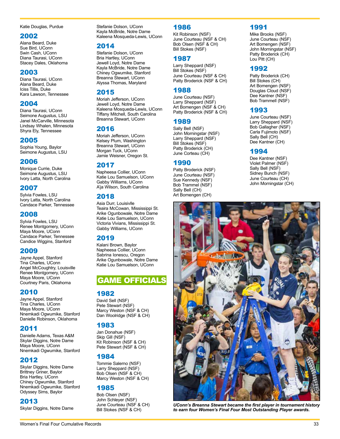Katie Douglas, Purdue

### 2002

Alana Beard, Duke Sue Bird, UConn Swin Cash, UConn Diana Taurasi, UConn Stacey Dales, Oklahoma

#### 2003

Diana Taurasi, UConn Alana Beard, Duke Iciss Tillis, Duke Kara Lawson, Tennessee

### 2004

Diana Taurasi, UConn Seimone Augustus, LSU Janel McCarville, Minnesota Lindsay Whalen, Minnesota Shyra Ely, Tennessee

### 2005

Sophia Young, Baylor Seimone Augustus, LSU

### 2006

Monique Currie, Duke Seimone Augustus, LSU Ivory Latta, North Carolina

### 2007

Sylvia Fowles, LSU Ivory Latta, North Carolina Candace Parker, Tennessee

### 2008

Sylvia Fowles, LSU Renee Montgomery, UConn Maya Moore, UConn Candace Parker, Tennessee Candice Wiggins, Stanford

### 2009

Jayne Appel, Stanford Tina Charles, UConn Angel McCoughtry, Louisville Renee Montgomery, UConn Maya Moore, UConn Courtney Paris, Oklahoma

### 2010

Jayne Appel, Stanford Tina Charles, UConn Maya Moore, UConn Nnemkadi Ogwumike, Stanford Danielle Robinson, Oklahoma

### 2011

Danielle Adams, Texas A&M Skylar Diggins, Notre Dame Maya Moore, UConn Nnemkadi Ogwumike, Stanford

### 2012

Skylar Diggins, Notre Dame Brittney Griner, Baylor Bria Hartley, UConn Chiney Ogwumike, Stanford Nnemkadi Ogwumike, Stanford Odyssey Sims, Baylor

### 2013

Skylar Diggins, Notre Dame

Stefanie Dolson, UConn Kayla McBride, Notre Dame Kaleena Mosqueda-Lewis, UConn

#### 2014

Stefanie Dolson, UConn Bria Hartley, UConn Jewell Loyd, Notre Dame Kayla McBride, Notre Dame Chiney Ogwumike, Stanford Breanna Stewart, UConn Alyssa Thomas, Maryland

#### 2015

Moriah Jefferson, UConn Jewell Loyd, Notre Dame Kaleena Mosqueda-Lewis, UConn Tiffany Mitchell, South Carolina Breanna Stewart, UConn

### 2016

Moriah Jefferson, UConn Kelsey Plum, Washington Breanna Stewart, UConn Morgan Tuck, UConn Jamie Weisner, Oregon St.

### 2017

Napheesa Collier, UConn Katie Lou Samuelson, UConn Gabby Williams, UConn A'ja Wilson, South Carolina

### 2018

Asia Durr, Louisivlle Teaira McCowan, Mississippi St. Arike Ogunbowale, Notre Dame Katie Lou Samuelson, UConn Victoria Vivians, Mississippi St. Gabby Williams, UConn

### 2019

Kalani Brown, Baylor Napheesa Collier, UConn Sabrina Ionescu, Oregon Arike Ogunbowale, Notre Dame Katie Lou Samuelson, UConn

### GAME OFFICIALS

### 1982

David Sell (NSF) Pete Stewart (NSF) Marcy Weston (NSF & CH) Dan Woolridge (NSF & CH)

### 1983

Jan Donahue (NSF) Skip Gill (NSF) Kit Robinson (NSF & CH) Pete Stewart (NSF & CH)

### 1984

Tommie Salerno (NSF) Larry Sheppard (NSF) Bob Olsen (NSF & CH) Marcy Weston (NSF & CH)

### 1985

Bob Olsen (NSF) John Schleyer (NSF) June Courteau (NSF & CH) Bill Stokes (NSF & CH)

### 1986

Kit Robinson (NSF) June Courteau (NSF & CH) Bob Olsen (NSF & CH) Bill Stokes (NSF)

### 1987

Larry Sheppard (NSF) Bill Stokes (NSF) June Courteau (NSF & CH) Patty Broderick (NSF & CH)

### 1988

June Courteau (NSF) Larry Sheppard (NSF) Art Bomengen (NSF & CH) Patty Broderick (NSF & CH)

### 1989

Sally Bell (NSF) John Morningstar (NSF) Larry Sheppard (NSF) Bill Stokes (NSF) Patty Broderick (CH) June Corteau (CH)

### 1990

Patty Broderick (NSF) June Courteau (NSF) Sue Kennedy (NSF) Bob Trammel (NSF) Sally Bell (CH) Art Bomengen (CH)

### 1991

Mike Brooks (NSF) June Courteau (NSF) Art Bomengen (NSF) John Morningstar (NSF) Patty Broderick (CH) Lou Pitt (CH)

### 1992

Patty Broderick (CH) Bill Stokes (CH) Art Bomengen (NSF) Douglas Cloud (NSF) Dee Kantner (NSF) Bob Trammell (NSF)

### 1993

June Courteau (NSF) Larry Sheppard (NSF) Bob Gallagher (NSF) Carla Fujimoto (NSF) Sally Bell (CH) Dee Kantner (CH)

### 1994

Dee Kantner (NSF) Violet Palmer (NSF) Sally Bell (NSF) Sidney Bunch (NSF) June Courteau (CH) John Morningstar (CH)



*UConn's Breanna Stewart became the first player in tournament history to earn four Women's Final Four Most Outstanding Player awards.*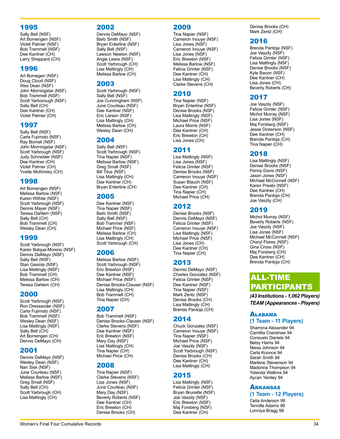### 1995

Sally Bell (NSF) Art Bomengen (NSF) Violet Palmer (NSF) Bob Trammell (NSF) Dee Kantner (CH) Larry Sheppard (CH)

### 1996

Art Bomegen (NSF) Doug Cloud (NSF) Wes Dean (NSF) John Morningstar (NSF) Bob Trammell (NSF) Scott Yarborough (NSF) Sally Bell (CH) Dee Kantner (CH) Violet Palmer (CH)

### 1997

Sally Bell (NSF) Carla Fujimoto (NSF) Ray Bomeli (NSF) John Morningstar (NSF) Scott Yarbrough (NSF) Judy Schneider (NSF) Dee Kantner (CH) Violet Palmer (CH) Yvette McKinney (CH)

### 1998

Art Bomengen (NSF) Melissa Barlow (NSF) Karen Wilhite (NSF) Scott Yarbrough (NSF) Dennis Mayer (NSF) Teresa Dahlem (NSF) Sally Bell (CH) Bob Trammell (CH) Wesley Dean (CH)

### 1999

Scott Yarbrough (NSF) Karen Balque-Moreno (NSF) Dennis DeMayo (NSF) Sally Bell (NSF) Stan Gaxiola (NSF) Lisa Mattingly (NSF) Bob Trammell (CH) Melissa Barlow (CH) Teresa Dahlem (CH)

### 2000

Scott Yarbrough (NSF) Ron Dressander (NSF) Carla Fujimoto (NSF) Bob Trammell (NSF) Wesley Dean (NSF) Lisa Mattingly (NSF) Sally Bell (CH) Art Bomengen (CH) Dennis DeMayo (CH)

### 2001

Dennis DeMayo (NSF) Wesley Dean (NSF) Nan Sisk (NSF) June Courteau (NSF) Melissa Barlow (NSF) Greg Small (NSF) Sally Bell (CH) Scott Yarbrough (CH) Lisa Mattingly (CH)

### 2002

Dennis DeMayo (NSF) Barb Smith (NSF) Bryan Enterline (NSF) Sally Bell (NSF) Lawson Newton (NSF) Angie Lewis (NSF) Scott Yarbrough (CH) Lisa Mattingly (CH) Melissa Barlow (CH)

### 2003

Scott Yarbrough (NSF) Sally Bell (NSF) Joe Cunningham (NSF) June Courteau (NSF) Dee Kantner (NSF) Eric Larson (NSF) Lisa Mattingly (CH) Melissa Barlow (CH) Wesley Dean (CH)

### 2004

Sally Bell (NSF) Scott Yarbrough (NSF) Tina Napier (NSF) Melissa Barlow (NSF) Greg Small (NSF) Bill Titus (NSF) Lisa Mattingly (CH) Dee Kantner (CH) Bryan Enterline (CH)

### 2005

Dee Kantner (NSF) Tina Napier (NSF) Barb Smith (NSF) Sally Bell (NSF) Bob Trammel (NSF) Michael Price (NSF) Melissa Barlow (CH) Lisa Mattingly (CH) Scott Yarbrough (CH)

### 2006

Melissa Barlow (NSF) Scott Yarbrough (NSF) Eric Brewton (NSF) Dee Kantner (NSF) Michael Price (NSF) Denise Brooks-Clauser (NSF) Lisa Mattingly (CH) Bob Trammell (CH) Tina Napier (CH)

### 2007

Bob Trammell (NSF) Denise Brooks-Clauser (NSF) Clarke Stevens (NSF) Dee Kantner (NSF) Eric Brewton (NSF) Mary Day (NSF) Lisa Mattingly (CH) Tina Napier (CH) Michael Price (CH)

### 2008

Tina Napier (NSF) Clarke Stevens (NSF) Lisa Jones (NSF) June Courteau (NSF) Mary Day (NSF) Beverly Roberts (NSF) Dee Kantner (CH) Eric Brewton (CH) Denise Brooks (CH)

### 2009

Tina Napier (NSF) Cameron Inouye (NSF) Lisa Jones (NSF) Cameron Inouye (NSF) Lisa Jones (NSF) Eric Brewton (NSF) Melissa Barlow (NSF) Felicia Grinter (NSF) Dee Kantner (CH) Lisa Mattingly (CH) Clarke Stevens (CH)

### 2010

Tina Napier (NSF) Bryan Enterline (NSF) Denise Brooks (NSF) Lisa Mattingly (NSF) Michael Price (NSF) Laura Morris (NSF) Dee Kantner (CH) Eric Brewton (CH) Lisa Jones (CH)

### 2011

Lisa Mattingly (NSF) Lisa Jones (NSF) Felicia Grinter (NSF) Denise Brooks (NSF) Cameron Inouye (NSF) Susan Blauch (NSF) Dee Kantner (CH) Tina Napier (CH) Michael Price (CH)

### 2012

Denise Brooks (NSF) Dennis DeMayo (NSF) Felicia Grinter (NSF) Cameron Inouye (NSF) Lisa Mattingly (NSF) Michael Price (NSF) Lisa Jones (CH) Dee Kantner (CH) Tina Napier (CH)

# 2013

Dennis DeMayo (NSF) Charles Gonzalez (NSF) Felicia Grinter (NSF) Dee Kantner (NSF) Tina Napier (NSF) Mark Zentz (NSF) Denise Brooks (CH) Lisa Mattingly (CH) Brenda Pantoja (CH)

### 2014

Chuck Gonzalez (NSF) Cameron Inouye (NSF) Tina Napier (NSF) Michael Price (NSF) Joe Vaszily (NSF) Scott Yarbrough (NSF) Denise Brooks (CH) Dee Kantner (CH) Lisa Mattingly (CH)

# 2015

Lisa Mattingly (NSF) Felicia Grinter (NSF) Bryan Brunette (NSF) Joe Vaszily (NSF) Eric Brewton (NSF) Maj Forsberg (NSF) Dee Kantner (CH)

Denise Brooks (CH) Mark Zentz (CH)

### 2016

Brenda Pantoja (NSF) Joe Vaszily (NSF) Felicia Grinter (NSF) Lisa Mattingly (NSF) Denise Brooks (NSF) Kyle Bacon (NSF) Dee Kantner (CH) Lisa Jones (CH) Beverly Roberts (CH)

### 2017

Joe Vaszily (NSF) Felicia Grinter (NSF) Michol Murray (NSF) Lisa Jones (NSF) Maj Forsberg (NSF) Jesse Dickerson (NSF) Dee Kantner (CH) Brenda Pantoja (CH) Tina Napier (CH)

### 2018

Lisa Mattingly (NSF) Denise Brooks (NSF) Penny Davis (NSF) Jason Jones (NSF) Michael McConnell (NSF) Karen Preato (NSF) Dee Kantner (CH) Brenda Pantoja (CH) Joe Vaszily (CH)

### 2019

Michol Murray (NSF) Beverly Roberts (NSF) Joe Vaszily (NSF) Lisa Jones (NSF) Michael McConnell (NSF) Cheryl Flores (NSF) Gina Cross (NSF) Maj Forsberg (CH) Dee Kantner (CH) Brenda Pantoja (CH)

# ALL-TIME PARTICIPANTS

*(43 Institutions - 1,062 Players) TEAM (Appearances - Players)*

#### **ALABAMA (1 Team - 11 Players)**

Sharrona Alexander 94 Camillia Crenshaw 94 Consuelo Daniels 94 Betsy Harris 94 Niesa Johnson 94 Carla Koonce 94 Sarah Smith 94 Marlene Stevenson 94 Madonna Thompson 94 Yolanda Watkins 94 Aycan Yeniley 94

# **ARKANSAS**

**(1 Team - 12 Players)**

Celia Anderson 98 Tennille Adams 98 Lonniya Bragg 98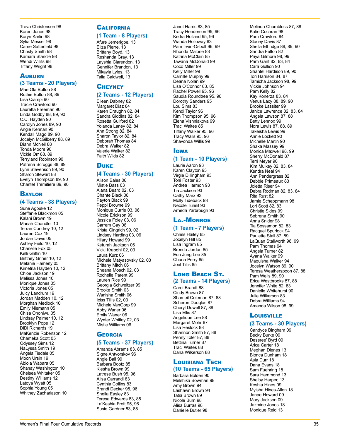Treva Christensen 98 Karen Jones 98 Karyn Karlin 98 Sytia Messer 98 Carrie Satterfield 98 Christy Smith 98 Kamara Stancle 98 Wendi Willits 98 Tiffany Wright 98

### **AUBURN (3 Teams - 20 Players)**

Mae Ola Bolton 88 Ruthie Bolton 88, 89 Lisa Ciampi 90 Tracie Crawford 90 Lauretta Freeman 90 Linda Godby 88, 89, 90 C.C. Hayden 90 Carolyn Jones 89, 90 Angie Kennan 90 Kendall Mago 89, 90 Jocelyn McGilberry 88, 89 Diann McNeil 88 Tonda Moore 90 Vickie Orr 88, 89 Terryland Robinson 90 Patrena Scruggs 88, 89 Lynn Stevenson 89, 90 Sharon Stewart 88 Evelyn Thompson 89, 90 Chantel Tremitiere 89, 90

#### **BAYLOR**

#### **(4 Teams - 38 Players)**

Sune Agbuke 12 Steffanie Blackmon 05 Kalani Brown 19 Mariah Chandler 10 Terran Condrey 10, 12 Lauren Cox 19 Jordan Davis 05 Ashley Field 10, 12 Chanelle Fox 05 Kelli Griffin 10 Brittney Griner 10, 12 Melanie Hamerly 05 Kimetria Hayden 10, 12 Chloe Jackson 19 Melissa Jones 10 Monique Jones 05 Victoria Jones 05 Juicy Landrum 19 Jordan Madden 10, 12 Morghan Medlock 10 Emily Niemann 05 Chisa Ononiwu 05 Lindsay Palmer 10, 12 Brooklyn Pope 12 DiDi Richards 19 MaKenzie Robertson 12 Chameka Scott 05 Odyssey Sims 12 NaLyssa Smith 19 Angela Tisdale 05 Moon Ursin 19 Abiola Wabara 05 Shanay Washington 10 Chelsea Whitaker 05 Destiny Williams 12 Latoya Wyatt 05 Sophia Young 05 Whitney Zachariason 10

# **CALIFORNIA**

**(1 Team - 8 Players)**

Afure Jemerigbe, 13 Eliza Pierre, 13 Brittany Boyd, 13 Reshanda Gray, 13 Layshia Clarendon, 13 Gennifer Brandon, 13 Mikayla Lyles, 13 Talia Caldwell, 13

### **CHEYNEY**

#### **(2 Teams - 12 Players)**

Eileen Dabney 82 Margaret Diaz 84 Karen Draughn 82, 84 Sandra Giddins 82, 84 Rosetta Guilford 82 Yolanda Laney 82, 84 Ann Strong 82, 84 Sharon Taylor 82, 84 Deborah Thomas 84 Debra Walker 82 Valerie Walker 82 Faith Wilds 82

#### **DUKE**

#### **(4 Teams - 30 Players)**

Alison Bales 06 Mistie Bass 03 Alana Beard 02, 03 Chante Black 06 Payton Black 99 Peppi Browne 99 Monique Currie 03, 06 Nicole Erickson 99 Jessica Foley 03, 06 Carrem Gay 06 Krista Gingrich 99, 02 Lindsey Harding 03, 06 Hilary Howard 99 Keturah Jackson 06 Vicki Krapohl 02, 03 Laura Kurz 06 Michele Matyasovsky 02, 03 Brittany Mitch 06 Sheana Mosch 02, 03 Rochelle Parent 99 Lauren Rice 99 Georgia Schweitzer 99 Brooke Smith 03 Wanisha Smith 06 Iciss Tillis 02, 03 Michele VanGorp 99 Abby Waner 06 Emily Waner 06 Wynter Whitley 02, 03 Mistie Williams 06

### **GEORGIA**

#### **(5 Teams - 37 Players)**

Amanda Abrams 83, 85 Signe Antvorskov 96 Angie Ball 99 Barbara Bootz 85 Kiesha Brown 99 Latrese Bush 95, 96 Alisa Carrandi 83 Cynthia Collins 83 Brandi Decker 95, 96 Sheila Easley 83 Teresa Edwards 83, 85 La'Keshia Frett 95, 96 Susie Gardner 83, 85

Janet Harris 83, 85 Tracy Henderson 95, 96 Kedra Holland 95, 96 Wanda Holloway 83 Pam Irwin-Osbolt 96, 99 Rhonda Malone 83 Katrina McClain 85 Tawana McDonald 99 Coco Miller 99 Kelly Miller 99 Camille Murphy 99 Deana Nolan 99 Lisa O'Connor 83, 85 Rachel Powell 95, 96 Saudia Roundtree 95, 96 Dorothy Sanders 95 Lou Sims 83 Kendi Taylor 96 Kim Thompson 95, 96 Elena Vishniakova 99 Traci Waites 85 Tiffany Walker 95, 96 Tracy Walls 95, 96 Shavonda Willis 99

### **I**owa

### **(1 Team - 10 Players)**

Laurie Aaron 93 Karen Clayton 93 Virgie Dillingham 93 Toni Foster 93 Andrea Harmon 93 Tia Jackson 93 Cathy Marx 93 Molly Tideback 93 Necole Tunsil 93 Arneda Yarbrough 93

### La.-Monroe

### **(1 Team - 7 Players)**

Chriss Hailey 85 Jocelyn Hill 85 Lisa Ingram 85 Brenda Jordan 85 Eun Jung Lee 85 Chana Perry 85 Joel Tillis 85

#### Long Beach St. **(2 Teams - 14 Players)**

Carol Brandt 88 Cindy Brown 87 Shameil Coleman 87, 88 Scheron Douglas 87 Cheryl Dowell 87, 88 Lisa Ellis 87 Angelique Lee 88 Margaret Mohr 87 Lisa Reslock 88 Shannon Smith 87, 88 Penny Toler 87, 88 Bettina Turner 87 Traci Waites 88 Dana Wilkerson 88

### Louisiana Tech **(10 Teams - 65 Players)**

Barbara Bolden 90 Melshika Bowman 98 Amy Brown 94 Lashawn Brown 94 Tatia Brown 89 Nicole Burn 98 Alisa Burras 98 Danielle Butler 98

Melinda Chambless 87, 88 Katie Cochran 98 Pam Crawford 84 Stacey Davis 87 Sheila Ethridge 88, 89, 90 Sandra Felton 82 Priya Gilmore 98, 99 Pam Gant 82, 83, 84 Cara Gullion 90 Shantel Hardison 89, 90 Tori Harrison 84, 87 Tamicha Jackson 98, 99 Vickie Johnson 94 Pam Kelly 82 Kay Konerza 83, 84 Venus Lacy 88, 89, 90 Brooke Lassiter 99 Janice Lawrence 82, 83, 84 Angela Lawson 87, 88 Betty Lennox 99 Nora Lewis 87, 88, 89 Takeisha Lewis 99 Annie Lockett 90 Michelle Martin 90 Shaka Massey 99 Monica Maxwell 98, 99 Sherry McDonald 87 Terri Meyer 90 Kim Mulkey 82, 83, 84 Kendra Neal 94 Ann Pendergrass 82 Debbie Primeaux 83 Joletta Riser 94 Debra Rodman 82, 83, 84 Rita Rust 82 Jamie Scheppmann 98 Lori Scott 82, 83 Christie Sides 99 Sebrena Smith 90 Anna Snider 98 Tia Sossamon 82, 83 Racquel Spurlock 94 Paulette Stall 87, 89 LaQuan Stallworth 98, 99 Pam Thomas 94 Angela Turner 82 Ayana Walker 99 Maquisha Walker 94 Jocelyn Watson 89, 90 Teresa Weatherspoon 87, 88 Pam Wells 89, 90 Erica Westbrooks 87, 88 Jennifer White 82, 83 Danielle Whitehurst 90 Julie Wilkerson 83 Debra Williams 94 Amanda Wilson 98, 99

### **Louisville**

#### **(3 Teams - 30 Players)**

Candyce Bingham 09 Becky Burke 09 Deseree' Byrd 09 Arica Carter 18 Meghan Dienes 13 Bionca Dunham 18 Asia Durr 18 Dana Evans 18 Sam Fuehring 18 Sara Hammond 13 Shelby Harper, 13 Keshia Hines 09 Myisha Hines-Allen 18 Janae Howard 09 Mary Jackson 09 Jazmine Jones 18 Monique Reid 13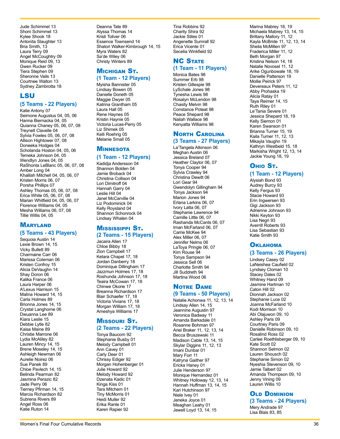Jude Schimmel 13 Shoni Schimmel 13 Kylee Shook 18 Antonita Slaughter 13 Bria Smith, 13 Laura Terry 09 Angel McCoughtry 09 Monique Reid 09, 13 Gwen Rucker 09 Tiera Stephen 09 Sheronne Vails 13 Courtnee Walton 13 Sydney Zambrotta 18

#### LSU

#### **(5 Teams - 22 Players)**

Katie Antony 07 Seimone Augustus 04, 05, 06 Hanna Biernacka 04, 05 Quianna Chaney 05, 06, 07, 08 Treynell Clavelle 04 Sylvia Fowles 05, 06, 07, 08 Allison Hightower 07, 08 Doneeka Hodges 04 Scholanda Hoston 04, 05, 06 Temeka Johnson 04, 05 Wendlyn Jones 04, 05 RaShonta LeBlanc 05, 06, 07, 08 Amber Long 04 Khalilah Mitchell 04, 05, 06, 07 Kristen Morris 06, 07 Porsha Phillips 07 Ashley Thomas 05, 06, 07, 08 Erica White 05, 06, 07, 08 Marian Whitfield 04, 05, 06, 07 Florence Williams 04, 05 Mesha Williams 06, 07, 08 Tillie Willis 04, 05

### **MARYLAND**

#### **(5 Teams - 43 Players)**

Sequoia Austin 14 Lexie Brown 14, 15 Vicky Bullett 89 Charmaine Carr 06 Marissa Coleman 06 Kristen Confroy 15 Alicia DeVaughn 14 Shay Doron 06 Kalika France 06 Laura Harper 06 A'Lexus Harrison 15 Malina Howard 14, 15 Carla Holmes 89 Brionna Jones 14, 15 Crystal Langhorne 06 Dwuanna Lee 89 Kiara Leslie 15 Debbie Lytle 82 Kaisa Maine 89 Christie Marrone 06 Lydia McAliley 82 Lauren Mincy 14, 15 Brene Moseley 14, 15 Ashleigh Newman 06 Aurelie Noirez 06 Sue Panek 89 Chloe Pavlech 14, 15 Belinda Pearman 82 Jasmina Perazic 82 Jade Perry 06 Tierney Pfirman 14, 15 Marcia Richardson 82 Subrena Rivers 89 Angel Ross 06 Katie Ruton 14

Deanna Tate 89 Alyssa Thomas 14 Kristi Toliver 06 Essence Townsend 14 Shatori Walker-Kimbrough 14, 15 Myra Waters 82 Sa'de Wiley 06 Christy Winters 89

#### **MICHIGAN ST. (1 Team - 12 Players)**

Myisha Bannister 05 Lindsay Bowen 05 Danielle Doneth 05 Maggie Dwyer 05 Katrina Grantham 05 Laura Hall 05 Rene Haynes 05 Kristin Haynie 05 Victoria Lucas-Perry 05 Liz Shimek 05 Kelli Roehrig 05 Melanie Small 05

### **MINNESOTA**

#### **(1 Team - 12 Players)**

Kadidja Andersson 04 Shannon Bolden 04 Jamie Broback 04 Christina Collison 04 Lori Dimitroff 04 Hannah Garry 04 Leslie Hill 04 Janel McCarville 04 Liz Podominick 04 Kelly Roysland 04 Shannon Schonrock 04 Lindsay Whalen 04

#### Mississippi St. **(2 Teams - 15 Players)**

Jacaira Allen 17 Chloe Bibby 18 Zion Campbell 17 Ketara Chapel 17, 18 Jordan Danberry 18 Dominique Dillingham 17 Jazzmun Holmes 17, 18 Roshunda Johnson 17, 18 Teaira McCowan 17, 18 Chinwe Okorie 17 Breanna Richardson 17 Blair Schaefer 17, 18 Victoria Vivians 17, 18 Morgan William 17, 18 Ameshya Williams 17

# **MISSOURI ST.**

### **(2 Teams - 22 Players)**

Tonya Baucom 92 Stephanie Busby 01 Melody Campbell 01 Ann Cavey 01 Carly Deer 01 Chrissy Ediger 92 Morgan Hohenberger 01 Julie Howard 92 Melody Howard 92 Dzenata Kadic 01 Kinga Kiss 01 Tara Mitchem 01 Tiny McMorris 01 Heidi Muller 92 Erika Rante 01 Karen Rapier 92

Tina Robbins 92 Charity Shira 92 Jackie Stiles 01 Angenette Sumrall 92 Erica Vicente 01 Secelia Winkfield 92

### **NC STATE (1 Team - 11 Players)**

Monica Bates 98 Summer Erb 98 Kristen Gillespie 98 LySchale Jones 98 Tynesha Lewis 98 Rosalyn McLendon 98 Chasity Melvin 98 Constance Poteat 98 Peace Shepard 98 Nailah Wallace 98 Kenyatta Williams 98

#### **NORTH CAROLINA (3 Teams - 27 Players)**

La'Tangela Atkinson 06 Meghan Austin 06 Jessica Breland 07 Heather Claytor 06, 07 Tonya Cooper 94 Sylvia Crawley 94 Christina Dewitt 06 Lori Gear 94 Gwendolyn Gillingham 94 Tonya Jackson 94 Marion Jones 94 Erlana Larkins 06, 07 Ivory Latta 06, 07 Stephanie Lawrence 94 Camille Little 06, 07 Rashanda McCants 06, 07 Iman McFarland 06, 07 Carrie McKee 94 Alex Miller 06, 07 Jennifer Nelms 06 LaToya Pringle 06, 07 Kim Rouse 94 Tonya Sampson 94 Jessica Sell 06 Charlotte Smith 94 Jill Suddreth 94 Martina Wood 06

#### Notre Dame **(9 Teams - 50 Players)**

Natalie Achonwa 11, 12, 13, 14 Lindsay Allen 14, 15 Jeannine Augustin 97 Veronica Badway 11 Amanda Barksdale 01 Rosanne Bohman 97 Ariel Braker 11, 12, 13, 14 Becca Bruszewski 11 Madison Cable 13, 14, 15 Skylar Diggins 11, 12, 13 Imani Dunbar 01 Mary Forr 11 Katryna Gaither 97 Ericka Haney 01 Julie Henderson 97 Monique Hernandez 01 Whitney Holloway 12, 13, 14 Hannah Huffman 13, 14, 15 Kari Hutchinson 97 Niele Ivey 01 Jeneka Joyce 01 Meaghan Leahy 01 Jewell Loyd 13, 14, 15

Marina Mabrey 18, 19 Michaela Mabrey 13, 14, 15 Brittany Mallory 11, 12 Kayla McBride 11, 12, 13, 14 Sheila McMillen 97 Fraderica Miller 11, 12 Beth Morgan 97 Kristina Nelson 14, 18 Natalie Novosel 11, 12 Arike Ogunbowale 18, 19 Danielle Patterson 19 Mollie Peirick 97 Devereaux Peters 11, 12 Abby Prohaska 19 Alicia Ratay 01 Taya Reimer 14, 15 Ruth Riley 01 Le'Tania Severe 01 Jessica Shepard 18, 19 Kelly Siemon 01 Karen Swanson 01 Brianna Turner 15, 19 Kaila Turner 11, 12, 13 Mikayla Vaughn 19 Kathryn Westbeld 15, 18 Markisha Wright 12, 13, 14 Jackie Young 18, 19

### Ohio St.

#### **(1 Team - 12 Players)**

Alysiah Bond 93 Audrey Burcy 93 Kelly Fergus 93 Stacie Howard 93 Erin Ingwersen 93 Gigi Jackson 93 Adrienne Johnson 93 Nikki Keyton 93 Lisa Negri 93 Averrill Roberts 93 Lisa Sebastian 93 Katie Smith 93

### **OKLAHOMA**

#### **(3 Teams - 26 Players)**

Lindsey Casey 02 LaNeishea Caufield 02 Lyndsey Cloman 10 Stacey Dales 02 Whitney Hand 09 Jasmine Hartman 10 Caton Hill 02 Dionnah Jackson 02 Stephanie Luce 02 Joanna McFarland 10 Kodi Morrison 10 Abi Olajuwon 09, 10 Ashley Paris 09 Courtney Paris 09 Danielle Robinson 09, 10 Rosalind Ross 02 Carlee Roethlisberger 09, 10 Kate Scott 02 Shannon Selmon 02 Lauren Shousch 02 Stephanie Simon 02 Nyeshia Stevenson 09, 10 Jamie Talbert 02 Amanda Thompson 09, 10 Jenny Vining 09 Lauren Willis 10

### **OLD DOMINION**

**(3 Teams - 24 Players)** Mery Andrade 97 Lisa Blais 83, 85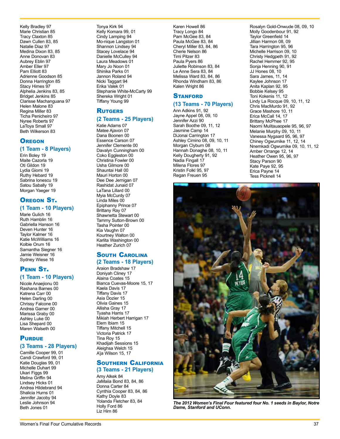Kelly Bradley 97 Marie Christian 85 Tracy Claxton 85 Dawn Cullen 83, 85 Natalie Diaz 97 Medina Dixon 83, 85 Anne Donovan 83 Aubrey Eblin 97 Amber Eller 97 Pam Elliott 83 Adrienne Goodson 85 Donna Harrington 85 Stacy Himes 97 Alphelia Jenkins 83, 85 Bridget Jenkins 85 Clarisse Machanguana 97 Helen Malone 83 Regina Miller 83 Ticha Penicheiro 97 Nyree Roberts 97 LaToya Small 97 Beth Wilkerson 83

### **OREGON**

### **(1 Team - 8 Players)**

Erin Boley 19 Maite Cazorla 19 Oti Gildon 19 Lydia Giomi 19 Ruthy Hebard 19 Sabrina Ionescu 19 Satou Sabally 19 Morgan Yaeger 19

### Oregon St. **(1 Team - 10 Players)**

Marie Gulich 16 Ruth Hamblin 16 Gabriella Hanson 16 Deven Hunter 16 Taylor Kalmer 16 Katie McWilliams 16 Kolbie Orum 16 Samantha Siegner 16 Jamie Weisner 16 Sydney Wiese 16

### Penn St. **(1 Team - 10 Players)**

Nicole Anaejionu 00 Rashana Barnes 00 Katrena Carr 00 Helen Darling 00 Chrissy Falcone 00 Andrea Garner 00 Marissa Graby 00 Ashley Luke 00 Lisa Shepard 00 Maren Walseth 00

### **PURDUE**

#### **(3 Teams - 28 Players)**

Camille Cooper 99, 01 Candi Crawford 99, 01 Katie Douglas 99, 01 Michelle Duhart 99 Ukari Figgs 99 Melina Griffin 94 Lindsey Hicks 01 Andrea Hildebrand 94 Shalicia Hurns 01 Jennifer Jacoby 94 Leslie Johnson 94 Beth Jones 01

Tonya Kirk 94 Kelly Komara 99, 01 Cindy Lamping 94 Mo-nique Langston 01 Shannon Lindsey 94 Stacey Lovelace 94 Danielle McCulley 94 Laura Meadows 01 Mary Jo Noon 01 Shinika Parks 01 Jannon Roland 94 Nicki Taggart 94 Erika Valek 01 Stephanie White-McCarty 99 Shereka Wright 01 Tiffany Young 99

### **RUTGERS**

#### **(2 Teams - 25 Players)**

Katie Adams 07 Matee Ajavon 07 Dana Boonen 00 Essence Carson 07 Jennifer Clemente 00 Davalyn Cunningham 00 Coko Eggleston 00 Christina Fowler 00 Usha Gilmore 00 Shauntai Hall 00 Mauri Horton 00 Dee Dee Jernigan 07 Rashidat Junaid 07 LaTana Lillard 00 Myia McCurdy 07 Linda Miles 00 Epiphanny Prince 07 Brittany Ray 07 Shawnetta Stewart 00 Tammy Sutton-Brown 00 Tasha Pointer 00 Kia Vaughn 07 Kourtney Walton 00 Karlita Washington 00 Heather Zurich 07

#### South Carolina **(2 Teams - 18 Players)**

Araion Bradshaw 17 Doniyah Cliney 17 Alaina Coates 15 Bianca Cuevas-Moore 15, 17 Kaela Davis 17 Tiffany Davis 17 Asia Dozier 15 Olivia Gaines 15 Allisha Gray 17 Tyasha Harris 17 Mikiah Herbert Harrigan 17 Elem Ibiam 15 Tiffany Mitchell 15 Victoria Patrick 17 Tina Roy 15 Khadijah Sessions 15 Aleighsa Welch 15 A'ja Wilson 15, 17

#### Southern California **(3 Teams - 21 Players)**

Amy Alkek 84 JaMaiia Bond 83, 84, 86 Donna Carter 84 Cynthia Cooper 83, 84, 86 Kathy Doyle 83 Yolanda Fletcher 83, 84 Holly Ford 86 Liz Hirn 86

Karen Howell 86 Tracy Longo 84 Pam McGee 83, 84 Paula McGee 83, 84 Cheryl Miller 83, 84, 86 Cherie Nelson 86 Timi Pitzer 83 Paula Pyers 86 Juliette Robinson 83, 84 Le Anne Sera 83, 84 Melissa Ward 83, 84, 86 Rhonda Windham 83, 86 Kalen Wright 86

### **STANFORD**

### **(13 Teams - 70 Players)**

Ann Adkins 91, 92 Jayne Appel 08, 09, 10 Jennifer Azzi 90 Sarah Boothe 09, 11, 12 Jasmine Camp 14 DiJonai Carrington 17 Ashley Cimino 08, 09, 10, 11 Morgan Clyburn 08 Hannah Donaghe 08, 10, 11 Kelly Dougherty 91, 92 Nadia Fingall 17 Milena Flores 97 Kristin Folkl 95, 97 Regan Freuen 95

Rosalyn Gold-Onwude 08, 09, 10 Molly Goodenbour 91, 92 Taylor Greenfield 14 Jillian Harmon 08, 09 Tara Harrington 95, 96 Michelle Harrison 09, 10 Christy Hedgpeth 91, 92 Rachel Hemmer 92, 95 Sonja Henning 90, 91 JJ Hones 08, 10 Sara James, 11, 14 Kaylee Johnson 17 Anita Kaplan 92, 95 Bobbie Kelsey 95 Toni Kokenis 11, 12 Lindy La Rocque 09, 10, 11, 12 Chris MacMurdo 91, 92 Grace Mashore 10, 11 Erica McCall 14, 17 Brittany McPhee 17 Naomi Mulitauaopele 95, 96, 97 Melanie Murphy 09, 10, 11 Vanessa Nygaard 95, 96, 97 Chiney Ogwumike 11, 12, 14 Nnemkadi Ogwumike 09, 10, 11, 12 Amber Orrange 12, 14 Heather Owen 95, 96, 97 Stacy Parson 90 Kate Paye 92, 95 Erica Payne 14 Tess Picknell 14



*The 2012 Women's Final Four featured four No. 1 seeds in Baylor, Notre Dame, Stanford and UConn.*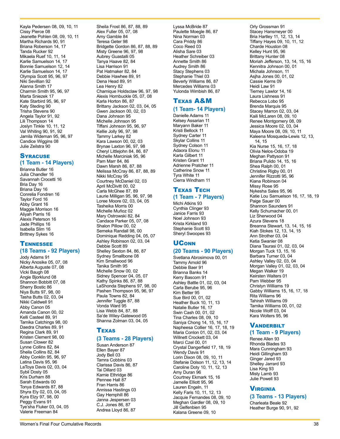Kayla Pedersen 08, 09, 10, 11 Cissy Pierce 08 Jeanette Pohlen 08, 09, 10, 11 Martha Richards 90, 91 Briana Roberson 14, 17 Tanda Rucker 92 Mikaela Ruef 10, 11, 14 Karlie Samuelson 14, 17 Bonnie Samuelson 12, 14 Karlie Samuelson 14, 17 Olympia Scott 95, 96, 97 Niki Sevillian 92 Alanna Smith 17 Charmin Smith 95, 96, 97 Marta Sniezek 17 Kate Starbird 95, 96, 97 Katy Steding 90 Trisha Stevens 90 Angela Taylor 91, 92 Lili Thompson 14 Joslyn Tinkle 10, 11, 12 Val Whiting 90, 91, 92 Jamila Wideman 95, 96, 97 Candice Wiggins 08 Julie Zeilstra 90

### **SYRACUSE (1 Team - 14 Players)**

Brianna Butler 16 Julia Chandler 16 Savannah Crocetti 16 Bria Day 16 Briana Day 16 Conrelia Fondren 16 Taylor Ford 16 Abby Grant 16 Maggie Morrison 16 Aliyah Parris 16 Alexis Peterson 16 Jade Phillips 16 Isabella Slim 16 Brittney Sykes 16

#### **TENNESSEE (18 Teams - 92 Players)**

Jody Adams 91 Nicky Anosike 05, 07, 08 Alberta Auguste 07, 08 Vicki Baugh 08 Angie Bjorklund 08 Shannon Bobbitt 07, 08 Sherry Bostic 86 Niya Butts 97, 98, 00 Tasha Butts 02, 03, 04 Nikki Caldwell 91 Abby Canon 05 Amanda Canon 00, 02 Kelli Casteel 89, 91 Tamika Catchings 98, 00 Daedra Charles 89, 91 Regina Clark 89, 91 Kristen Clement 98, 00 Susan Clower 82 Lynne Collins 82, 84 Sheila Collins 82, 84 Abby Conklin 95, 96, 97 Latina Davis 95, 96 LaToya Davis 02, 03, 04 Sybil Dosty 05 Kris Durham 88 Sarah Edwards 00 Tonya Edwards 87, 88 Shyra Ely 02, 03, 04, 05 Kyra Elzy 97, 98, 00 Peggy Evans 91 Tye'sha Fluker 03, 04, 05 Valerie Freeman 84

Sheila Frost 86, 87, 88, 89 Alex Fuller 05, 07, 08 Amy Gamble 84 Teresa Geter 98 Bridgette Gordon 86, 87, 88, 89 Misty Greene 96, 97, 98 Aubrey Guastalli 05 Tanya Haave 82, 84 Lisa Harrison 91 Pat Hatmaker 82, 84 Debbie Hawhee 89, 91 Dena Head 89, 91 Lea Henry 82 Chamique Holdsclaw 96, 97, 98 Alexis Hornbuckle 05, 07, 08 Karla Horton 86, 87 Brittany Jackson 02, 03, 04, 05 Gwen Jackson 00, 02, 03 Dana Johnson 95 Michelle Johnson 95 Tiffani Johnson 95, 96, 97 Kellie Jolly 96, 97, 98 Tammy Larkey 82 Kara Lawson 00, 02, 03 Brynae Laxton 96, 97, 98 Cheryl Littlejohn 84, 86, 87 Michelle Marciniak 95, 96 Pam Marr 84, 86 Dawn Marsh 86, 87, 88 Melissa McCray 86, 87, 88, 89 Nikki McCray 95 Courtney McDaniel 02, 03 April McDivitt 00, 02 Carla McGhee 87, 89 Laurie Milligan 95, 96, 97, 98 Loree Moore 02, 03, 04, 05 Tasheika Morris 00 Michelle Muñoz 02 Mary Ostrowski 82, 84 Candace Parker 05, 07, 08 Shalon Pillow 00, 02 Semeka Randall 98, 00 Dominique Redding 04, 05, 07 Ashley Robinson 02, 03, 04 Debbie Scott 89 Shelley Sexton 84, 86, 87 Sydney Smallbone 08 Kim Smallwood 96 Tanika Smith 95 Michelle Snow 00, 02 Sidney Spencer 04, 05, 07 Kathy Spinks 86, 87, 88 LaShonda Stephens 97, 98, 00 Pashen Thompson 95, 96, 97 Paula Towns 82, 84 Jennifer Tuggle 87, 88 Vonda Ward 95 Lisa Webb 84, 87, 88 Sa'de Wiley-Gatewood 05 Shanna Zolman 03, 04, 05

### Texas

#### **(3 Teams - 28 Players)**

Susan Anderson 87 Ellen Bayer 87 Jody Bell 03 Tamra Cobbins 03 Clarissa Davis 86, 87 Tai Dillard 03 Kamie Ethridge 86 Pennee Hall 87 Fran Harris 86 Annissa Hastings 03 Gay Hemphill 86 Janna Jespersen 03 C.J. Jones 86, 87 Andrea Lloyd 86, 87

Lyssa McBride 87 Paulette Moegle 86, 87 Nina Norman 03 Cara Priddy 86 Coco Reed 03 Alisha Sare 03 Heather Schreiber 03 Annette Smith 86 Audrey Smith 86 Stacy Stephens 03 Stephanie Thiel 03 Beverly Williams 86, 87 Mercedes Williams 03 Yulonda Wimbish 86, 87

### Texas A&M

### **(1 Team- 14 Players)**

Danielle Adams 11 Kelsey Assarian 11 Maryann Baker 11 Kristi Bellock 11 Sydney Carter 11 Skylar Collins 11 Sydney Colson 11 Adaora Elonu 11 Karla Gilbert 11 Kristen Grant 11 Adrienne Pratcher 11 Catherine Snow 11 Tyra White 11 Cierra Windham 11

#### Texas Tech **(1 Team - 7 Players)**

Michi Atkins 93 Cynthia Clinger 93 Janice Farris 93 Noel Johnson 93 Krista Kirkland 93 Stephanie Scott 93 Sheryl Swoopes 93

# **UCONN**

### **(20 Teams - 90 Players)**

Svetlana Abrosimova 00, 01 Tammy Arnold 96 Debbie Baer 91 Brianna Banks 14 Kerry Bascom 91 Ashley Battle 01, 02, 03, 04 Carla Berube 95, 96 Kim Better 95 Sue Bird 00, 01, 02 Heather Buck 10, 11, 13 Natalie Butler 16, 17 Swin Cash 00, 01, 02 Tina Charles 08, 09, 10 Saniya Chong 14, 15, 16, 17 Napheesa Collier 16, 17, 18, 19 Maria Conlon 01, 02, 03, 04 Willnett Crockett 03, 04 Marci Czel 00, 01 Crystal Dangerfield 17, 18, 19 Wendy Davis 91 Lorin Dixon 08, 09, 10, 11 Stefanie Dolson 11, 12, 13, 14 Caroline Doty 10, 11, 12, 13 Amy Duran 96 Courtney Ekmark 15, 16 Jamelle Elliott 95, 96 Lauren Engeln, 11 Kelly Faris 10, 11, 12, 13 Jacquie Fernandes 08, 09, 10 Meghan Gardler 08, 09, 10 Jill Gelfenbien 95 Kalana Greene 09, 10

Orly Grossman 91 Stacey Hansmeyer 00 Bria Hartley 11, 12, 13, 14 Tiffany Hayes 09, 10, 11, 12 Charde Houston 08 Kelley Hunt 95, 96 Brittany Hunter 08 Moriah Jefferson, 13, 14, 15, 16 Kennitra Johnson 00, 01 Michala Johnson, 11 Asjha Jones 00, 01, 02 Cassie Kerns 09 Heidi Law 91 Tierney Lawlor 14, 16 Laura Lishness 91 Rebecca Lobo 95 Brenda Marquis 95 Stacey Marron 02, 03, 04 Kaili McLaren 08, 09, 10 Renee Montgomery 08, 09 Jessica Moore 02, 03, 04 Maya Moore 08, 09, 10, 11 Kaleena Mosqueda-Lewis 12, 13, 14, 15 Kia Nurse 15, 16, 17, 18 Olivia Nelos-Odoba 19 Meghan Pattyson 91 Briana Pulido 14, 15, 16 Shea Ralph 00, 01 Christine Rigby 00, 01 Jennifer Rizzotti 95, 96 Kiana Robinson 04 Missy Rose 95 Nykesha Sales 95, 96 Katie Lou Samuelson 16, 17, 18, 19 Paige Sauer 00 Shannon Saunders 91 Kelly Schumacher 00, 01 Liz Sherwood 04 Azura Stevens 18 Breanna Stewart, 13, 14, 15, 16 Kiah Stokes 12, 13, 14, 15 Ann Strother 03, 04 Ketia Swanier 08 Diana Taurasi 01, 02, 03, 04 Morgan Tuck 13, 15, 16 Barbara Turner 03, 04 Ashley Valley 02, 03, 04 Morgan Valley 01, 02, 03, 04 Megan Walker 19 Keirsten Walters 01 Pam Webber 95 Christyn Williams 19 Gabby Williams 15, 16, 17, 18 Rita Williams 96 Tahirah Williams 09 Tamika Williams 00, 01, 02 Nicole Wolff 03, 04 Kara Wolters 95, 96

### **VANDERBILT**

### **(1 Team - 9 Players)**

Renee Allen 93 Rhonda Blades 93 Mara Cunningham 93 Heidi Gillingham 93 Ginger Jared 93 Shelley Jarrard 93 Lisa King 93 Misty Lamb 93 Julie Powell 93

### Virginia

**(3 Teams - 13 Players)** Charleata Beale 92 Heather Burge 90, 91, 92

Women's Final Four Cumulative Records 38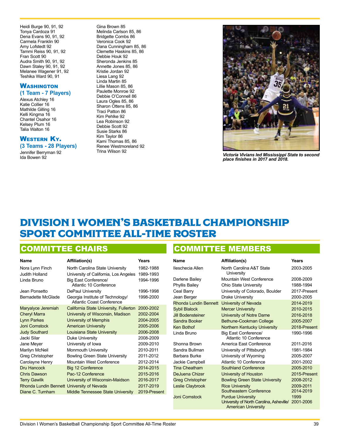<span id="page-34-0"></span>Heidi Burge 90, 91, 92 Tonya Cardoza 91 Dena Evans 90, 91, 92 Carmela Franklin 90 Amy Lofstedt 92 Tammi Reiss 90, 91, 92 Fran Scott 90 Audra Smith 90, 91, 92 Dawn Staley 90, 91, 92 Melanee Wagener 91, 92 Teshika Ward 90, 91

### **WASHINGTON (1 Team - 7 Players)**

Alexus Atchley 16 Katie Collier 16 Mathilde Gilling 16 Kelli Kingma 16 Chantel Osahor 16 Kelsey Plum 16 Talia Walton 16

#### WESTERN **KY.**

**(3 Teams - 28 Players)** Jennifer Berryman 92 Ida Bowen 92

Gina Brown 85 Melinda Carlson 85, 86 Bridgette Combs 86 Veronica Cook 92 Dana Cunningham 85, 86 Clemette Haskins 85, 86 Debbie Houk 92 Sheronda Jenkins 85 Annette Jones 85, 86 Kristie Jordan 92 Liesa Lang 92 Linda Martin 85 Lillie Mason 85, 86 Paulette Monroe 92 Debbie O'Connell 86 Laura Ogles 85, 86 Sharon Ottens 85, 86 Traci Patton 86 Kim Pehlke 92 Lea Robinson 92 Debbie Scott 92 Susie Starks 86 Kim Taylor 86 Kami Thomas 85, 86 Renee Westmoreland 92 Trina Wilson 92



*Victoria Vivians led Mississippi State to second place finishes in 2017 and 2018.*

# DIVISION I WOMEN'S BASKETBALL CHAMPIONSHIP SPORT COMMITTEE ALL-TIME ROSTER

### COMMITTEE CHAIRS

| <b>Name</b>           | <b>Affiliation(s)</b>                                         | Years        |
|-----------------------|---------------------------------------------------------------|--------------|
| Nora Lynn Finch       | North Carolina State University                               | 1982-1988    |
| Judith Holland        | University of California, Los Angeles                         | 1989-1993    |
| Linda Bruno           | Big East Conference/<br>Atlantic 10 Conference                | 1994-1996    |
| Jean Ponsetto         | DePaul University                                             | 1996-1998    |
| Bernadette McGlade    | Georgia Institute of Technology/<br>Atlantic Coast Conference | 1998-2000    |
| Maryalyce Jeremiah    | California State University, Fullerton                        | 2000-2002    |
| <b>Cheryl Marra</b>   | University of Wisconsin, Madison                              | 2002-2004    |
| <b>Lynn Parkes</b>    | University of Memphis                                         | 2004-2005    |
| Joni Comstock         | <b>American University</b>                                    | 2005-2006    |
| <b>Judy Southard</b>  | Louisiana State University                                    | 2006-2008    |
| Jacki Silar           | Duke University                                               | 2008-2009    |
| Jane Meyer            | University of Iowa                                            | 2009-2010    |
| Marilyn McNeil        | <b>Monmouth University</b>                                    | 2010-2011    |
| Greg Christopher      | <b>Bowling Green State University</b>                         | 2011-2012    |
| Carolayne Henry       | Mountain West Conference                                      | 2012-2014    |
| Dru Hancock           | Big 12 Conference                                             | 2014-2015    |
| <b>Chris Dawson</b>   | Pac-12 Conference                                             | 2015-2016    |
| <b>Terry Gawlik</b>   | University of Wisconsin-Maidson                               | 2016-2017    |
| Rhonda Lundin Bennett | University of Nevada                                          | 2017-2019    |
| Diane C. Turnham      | <b>Middle Tennessee State University</b>                      | 2019-Present |
|                       |                                                               |              |

# COMMITTEE MEMBERS

| Name                         | <b>Affiliation(s)</b>                                                                              | Years                  |
|------------------------------|----------------------------------------------------------------------------------------------------|------------------------|
| Ileschecia Allen             | North Carolina A&T State<br>University                                                             | 2003-2005              |
| Darlene Bailey               | Mountain West Conference                                                                           | 2008-2009              |
| Phyllis Bailey               | <b>Ohio State University</b>                                                                       | 1988-1994              |
| Ceal Barry                   | University of Colorado, Boulder                                                                    | 2017-Present           |
| Jean Berger                  | Drake University                                                                                   | 2000-2005              |
| <b>Rhonda Lundin Bennett</b> | University of Nevada                                                                               | 2014-2019              |
| <b>Sybil Blalock</b>         | <b>Mercer University</b>                                                                           | 2010-2015              |
| <b>Jill Bodensteiner</b>     | University of Notre Dame                                                                           | 2016-2018              |
| Sandra Booker                | Bethune-Cookman College                                                                            | 2005-2007              |
| Ken Bothof                   | Northern Kentucky University                                                                       | 2018-Present           |
| Linda Bruno                  | Big East Conference/<br>Atlantic 10 Conference                                                     | 1990-1996              |
| Shonna Brown                 | America East Conference                                                                            | 2011-2016              |
| Sandra Bullman               | University of Pittsburgh                                                                           | 1981-1984              |
| Barbara Burke                | University of Wyoming                                                                              | 2005-2007              |
| Jackie Campbell              | Atlantic 10 Conference                                                                             | 2001-2002              |
| <b>Tina Cheatham</b>         | <b>Southland Conference</b>                                                                        | 2005-2010              |
| DeJuena Chizer               | University of Houston                                                                              | 2015-Present           |
| <b>Greg Christopher</b>      | <b>Bowling Green State University</b>                                                              | 2008-2012              |
| <b>Leslie Claybrook</b>      | <b>Rice University</b><br>Southeastern Conference                                                  | 2009-2011<br>2014-2019 |
| <b>Joni Comstock</b>         | <b>Purdue University</b><br>University of North Carolina, Asheville/<br><b>American University</b> | 1999<br>2001-2006      |
|                              |                                                                                                    |                        |